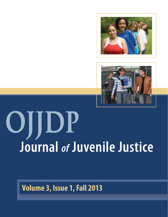



# **Journal** *of* **Juvenile Justice OJJDP**

## **Volume 3, Issue 1, Fall 2013**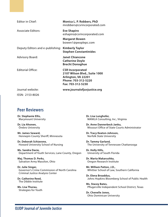| Editor in Chief:                 | Monica L. P. Robbers, PhD<br>mrobbers@csrincorporated.com                                                                   |
|----------------------------------|-----------------------------------------------------------------------------------------------------------------------------|
| <b>Associate Editors:</b>        | <b>Eve Shapiro</b><br>eshapiro@csrincorporated.com                                                                          |
|                                  | <b>Margaret Bowen</b><br>bowen1@peoplepc.com                                                                                |
| Deputy Editors and e-publishing: | <b>Kimberly Taylor</b><br><b>Stephen Constantinides</b>                                                                     |
| <b>Advisory Board:</b>           | <b>Janet Chiancone</b><br><b>Catherine Doyle</b><br><b>Brecht Donoghue</b>                                                  |
| <b>Editorial Office:</b>         | <b>CSR Incorporated</b><br>2107 Wilson Blvd., Suite 1000<br>Arlington, VA 22201<br>Phone: 703-312-5220<br>Fax: 703-312-5230 |
| Journal website:                 | www.journalofjuvjustice.org                                                                                                 |

ISSN: 2153-8026

#### **Peer Reviewers**

**Dr. Stephanie Ellis,** Marymount University

**Dr. Lia Ahonen,** Örebro University

**Mr. James Seward,** Hennepin County Sheriff, Minnesota

**Dr. Deborah Schiavone,** Howard University School of Nursing

**Ms. Sandra Davie,**  Department of Youth Services, Lane County, Oregon

**Maj. Thomas D. Perks,** Salvation Army [Massilon, Ohio](http://www.linkedin.com/company/the-salvation-army?trk=ppro_cprof)

**Dr. Julie Singer,**  Governor's Crime Commission of North Carolina Criminal Justice Analysis Center

**Dr. Catherine Reed,**  The Dibble Institute

**Ms. Lisa Thurau,**  Strategies for Youth **Dr. Lisa Lunghofer,** MANILA Consulting, Inc., Virginia

**Dr. Anne Dannerbeck Janku,**  Missouri Office of State Courts Administrator

**Dr. Tracy Keaton-Johnson,**  Norfolk State University

**Dr. Tammy Garland,**  The University of Tennessee Chattanooga

**Dr. Holly Hills,**  University of South Florida

**Dr. Marta Makarushka,**  Oregon Research Institute

**Mr. William Patton, J.D.,**  Whittier School of Law, Southern California

**Dr. Elena Broaddus,**  Johns Hopkins Bloomberg School of Public Health

**Ms. Stacey Bates,**  Pflugerville Independent School District, Texas

**Dr. Chenelle Jones,**  Ohio Dominican University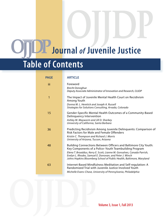## **Journal** *of* **Juvenile Justice**

**OJJDP**

## **Table of Contents**

| <b>PAGE</b> | <b>ARTICLE</b>                                                                                                                                                                                                                                                                                                                         |
|-------------|----------------------------------------------------------------------------------------------------------------------------------------------------------------------------------------------------------------------------------------------------------------------------------------------------------------------------------------|
| iii         | Foreword<br><b>Brecht Donoghue</b><br>Deputy Associate Administrator of Innovation and Research, OJJDP                                                                                                                                                                                                                                 |
| 1           | The Impact of Juvenile Mental Health Court on Recidivism<br>Among Youth<br>Donna M. L. Heretick and Joseph A. Russell<br>Strategies for Solutions Consulting, Arvada, Colorado                                                                                                                                                         |
| 15          | Gender-Specific Mental Health Outcomes of a Community-Based<br>Delinquency Intervention<br>Ashley M. Mayworm and Jill D. Sharkey<br>University of California, Santa Barbara                                                                                                                                                            |
| 36          | Predicting Recidivism Among Juvenile Delinquents: Comparison of<br>Risk Factors for Male and Female Offenders<br>Kristin C. Thompson and Richard J. Morris<br>University of Arizona, Tucson, Arizona                                                                                                                                   |
| 48          | Building Connections Between Officers and Baltimore City Youth:<br>Key Components of a Police-Youth Teambuilding Program<br>Elena T. Broaddus, Kerry E. Scott, Lianne M. Gonsalves, Canada Parrish,<br>Evelyn L. Rhodes, Samuel E. Donovan, and Peter J. Winch<br>Johns Hopkins Bloomberg School of Public Health, Baltimore, Maryland |
| 63          | Internet-Based Mindfulness Meditation and Self-regulation: A<br>Randomized Trial with Juvenile Justice Involved Youth<br>Michelle Evans-Chase, University of Pennsylvania, Philadelphia                                                                                                                                                |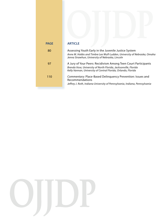| <b>PAGE</b> | <b>ARTICLE</b>                                                                                                                                                                                     |  |  |  |  |
|-------------|----------------------------------------------------------------------------------------------------------------------------------------------------------------------------------------------------|--|--|--|--|
| 80          | Assessing Youth Early in the Juvenile Justice System<br>Anne M. Hobbs and Timbre Lee Wulf-Ludden, University of Nebraska, Omaha<br>Jenna Strawhun, University of Nebraska, Lincoln                 |  |  |  |  |
| 97          | A Jury of Your Peers: Recidivism Among Teen Court Participants<br>Brenda Vose, University of North Florida, Jacksonville, Florida<br>Kelly Vannan, University of Central Florida, Orlando, Florida |  |  |  |  |
| 110         | Commentary: Place-Based Delinguency Prevention: Issues and<br>Recommendations<br>Jeffrey J. Roth, Indiana University of Pennsylvania, Indiana, Pennsylvania                                        |  |  |  |  |

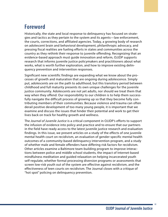## **Foreword**

Historically, the state and local response to delinquency has focused on strategies and tactics as they pertain to the system and its agents—law enforcement, the courts, corrections, and affiliated agencies. Today, a growing body of research on adolescent brain and behavioral development, philanthropic advocacy, and pressing fiscal realities are fueling efforts in states and communities across the country as they rethink their response to juvenile offending. Recognizing that an evidence-based approach must guide innovation and reform, OJJDP supports research that informs juvenile justice policymakers and practitioners about what works, what is worth further exploration, and how to improve existing delinquency prevention and intervention responses.

Significant new scientific findings are expanding what we know about the processes of growth and maturation that are ongoing during adolescence. Simply put, adolescents are on the path to adulthood, but this transitory period between childhood and full maturity presents its own unique challenges for the juvenile justice community. Adolescents are not yet adults, nor should we treat them that way when they offend. Our responsibility to our children is to help them successfully navigate the difficult process of growing up so that they become fully contributing members of their communities. Because violence and trauma can often derail positive development of too many young people, it is important that we examine and discuss the issues that hinder their potential and work to get their lives back on track for healthy growth and wellness.

The *Journal of Juvenile Justice* is a critical component in OJJDP's efforts to support the infusion of evidence into policy and practice and to ensure that our partners in the field have ready access to the latest juvenile justice research and evaluation findings. In this issue, we present articles on a study of the effects of one juvenile mental health court on recidivism, an evaluation of gender-specific mental health outcomes of a community-based delinquency intervention program, and a study of whether male and female offenders have differing risk factors for recidivism. Other articles examine a Baltimore team-building program to improve interactions between police and middle school students, the impact of Internet-based mindfulness meditation and guided relaxation on helping incarcerated youth self-regulate, whether formal processing diversion programs or assessments that screen low-risk youth out of the system are effective against recidivism, and the effectiveness of teen courts on recidivism. The Journal closes with a critique of "hot spot" policing on delinquency prevention.

iii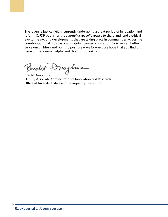The juvenile justice field is currently undergoing a great period of innovation and reform. OJJDP publishes the *Journal of Juvenile Justice* to share and lend a critical eye to the exciting developments that are taking place in communities across the country. Our goal is to spark an ongoing conversation about how we can better serve our children and point to possible ways forward. We hope that you find this issue of the Journal helpful and thought provoking.

Bucht Droghue

Deputy Associate Administrator of Innovation and Research Office of Juvenile Justice and Delinquency Prevention

iv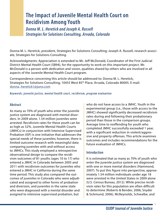## **The Impact of Juvenile Mental Health Court on Recidivism Among Youth**

*Donna M. L. Heretick and Joseph A. Russell Strategies for Solutions Consulting, Arvada, Colorado*

Donna M. L. Heretick, president, Strategies for Solutions Consulting; Joseph A. Russell, research associate, Strategies for Solutions Consulting.

Acknowledgments: Appreciation is extended to Mr. Jeff McDonald, Coordinator of the First Judicial District Mental Health Court (SB94), for the opportunity to work on this important project. Mr. McDonald is a person with dedication and vision, qualities shared by others who are involved in all aspects of the Juvenile Mental Health Court program.

Correspondence concerning this article should be addressed to: Donna M. L. Heretick, Strategies for Solutions Consulting, 10455 West 85<sup>th</sup> Place, Arvada, Colorado 80005. E-mail: [donna\\_heretick1@juno.com](mailto:donna_heretick1@juno.com)

*Keywords: juvenile justice, mental health court, recidivism, program evaluation*

#### **Abstract**

As many as 70% of youth who enter the juvenile justice system are diagnosed with mental disorders. In 2009 alone, 1.54 million juveniles were arrested. Recidivism rates for these youth can be as high as 52%. Juvenile Mental Health Courts (JMHCs) in conjunction with Intensive Supervised Probation (ISP) is one initiative that addresses the special needs of these juveniles; however, there is limited outcome research with meaningful data comparing juveniles with and without access to JMHCs. This study employed a retrospective observational design to compare the recidivism outcomes of 81 youths (ages 10 to 17) who entered a JMHC in Colorado between 2005 and 2011 with recidivism outcomes for juveniles who entered a JMHC in California during the same time period. This study also compared the outcomes of juveniles in Colorado who were adjudicated and assigned to other forms of probation and diversion, and juveniles in the same state who were diagnosed with a mental disorder and assigned to intensive supervised probation, but

who do not have access to a JMHC. Youth in the experimental group (i.e., those with access to the JMHC) showed significantly decreased recidivism rates during and following their probationary period than those in the comparison groups. Average time to reoffending for youth who completed JMHC successfully exceeded 1 year, with a significant reduction in violent/aggressive and property offenses. This article examines outcomes and includes recommendations for the future evaluation of JMHCs.

#### **Introduction**

It is estimated that as many as 70% of youth who enter the juvenile justice system are diagnosed with one or more mental disorders (Hammond, 2007). To put this figure into perspective, approximately 1.54 million individuals under age 18 were arrested in the United States in 2009 alone (U.S. Census Bureau, 2012). While precise recidivism rates for this population are often difficult to determine (Roberts & Bender, 2006; Snyder & Sickmund, 2006), McReynolds, Schwalbe, and

 $\overline{1}$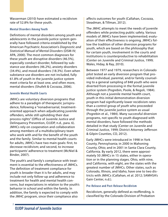Wasserman (2010) have estimated a recidivism rate of 52.8% for these youth.

#### **Mental Disorders Among Youth**

Definitions of mental disorders among youth and adolescents in the juvenile justice system generally have followed criteria established by the American Psychiatric Association's *Diagnostic and Statistical Manual of Mental Disorders* (DSM-IV; APA, 2000). The most common diagnoses for these youth are disruptive disorders (46.5%), especially conduct disorder, followed by substance use disorders (46.2%), anxiety disorders (34.4%), and mood disorders (18.3%). Even when substance use disorders are not included, fully 61.8% of youth in the juvenile justice system meet criteria for at least one, and often more, mental disorders (Shufelt & Cocozza, 2006).

#### **Juvenile Mental Health Courts**

JMHCs are voluntary diversion programs that adhere to a paradigm of therapeutic jurisprudence, following a "nonadversarial, treatmentoriented approach when adjudicating juvenile offenders, while still upholding their due process rights" (Office of Juvenile Justice and Delinquency Prevention, OJJDP, n.d., para. 6). JMHCs rely on cooperation and collaboration among members of a multidisciplinary team who work with and for the benefit of the youth and the family. Similar to mental health courts for adults, JMHCs have two main goals: first, to decrease recidivism; and second, to increase participants' adherence to treatment (McNiel & Binder, 2007).

The youth's and family's compliance with treatment is essential to the effectiveness of JMHCs. The definition of treatment compliance for youth is broader than it is for adults, and may include not only follow-up and adherence to treatment for health and mental health concerns, but expectations in relation to the youth's behavior in school and within the family. In addition, the family is expected to comply with the JMHC program, since their compliance also

affects outcomes for youth (Callahan, Cocozza, Steadman, & Tillman, 2012).

The JMHC attempts to meet the needs of juvenile offenders while protecting public safety. Various models of JMHCs have been implemented; evaluation of their effectiveness is ongoing. JMHCs follow the tradition of other diversion programs for youth, which are based on the philosophy that for certain youth, involvement in the courts and institutions is counterproductive to rehabilitation (Center on Juvenile and Criminal Justice, 1999; Wales, Hiday, & Ray, 2010).

Between 1977 and 1979, researchers in Colorado pilot tested an early diversion program that provided individual, parental, and/or family counseling to a general sampling of 848 youth who were diverted from processing in the formal juvenile justice system (Pogrebin, Poole, & Regoli, 1984). Although not a juvenile mental health court, youth in this initial demonstration diversion program had significantly lower recidivism rates than a control group of youth who proceeded through the juvenile justice system as usual (Pogrebin et al., 1984). Many successful diversion programs, not specific to youth diagnosed with mental disorders, have followed the methods detailed in that study (Center on Juvenile and Criminal Justice, 1999; District Attorney Jefferson & Gilpin Counties, CO, 2012).

Early JMHCs were introduced in 1998 in York County, Pennsylvania; in 2000 in Mahoning County, Ohio; and in 2001 in Santa Clara County, California. By early 2012, there were approximately 50 JMHCs in 15 states, either in operation or in the planning stages. Ohio, with nine, and California, with eight, are the states with the greatest number of JMHCs. Other states, such as Colorado, Illinois, and Idaho, have one to two districts with JMHCs (Callahan, et al. 2012; SAMHSA's Gain Center, n.d.).

#### **Pre-Release and Post-Release Recidivism**

Recidivism, generally defined as reoffending, is classified by the Colorado Division of Probation

 $\mathcal{L}$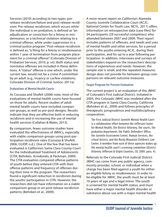Services (2010) according to two types: prerelease recidivism/failure and post-release recidivism. Pre-release recidivism, which occurs while the individual is on probation, is defined as "an adjudication or conviction for a felony or misdemeanor, or a technical violation relating to a criminal offense, while under supervision in a criminal justice program." Post-release recidivism is defined as, "a filing for a felony or misdemeanor within 1 year of termination from program placement for a criminal offense" (Colorado Division of Probation Services, 2010, p. vii). Both status and nonstatus offenses are included in these definitions. A "status" offense is one which, under the current law, would not be a crime if committed by an adult (e.g., truancy or curfew violations; Colorado Division of Criminal Justice, 2011a).

#### **Evaluations of Mental Health Courts**

As Cocozza and Shufelt (2006) note, most of the evaluations of mental health courts have focused on those for adults. Recent studies of adult mental health courts have included comparison groups, as well as pre-post designs. Results indicate that they are effective both in reducing recidivism and in increasing the use of mental health services (Callahan & Wales, 2013).

By comparison, fewer outcome studies have evaluated the effectiveness of JMHCs, especially with viable comparison groups using post-participation recidivism rates (Cocozza & Shufelt, 2006; OJJDP, n.d.). One of the few that has been evaluated is California's Santa Clara County Court for the Individualized Treatment of Adolescents (CITA; Behnken, Arredondo, & Packman, 2009). The CITA evaluation compared offense patterns of youth before they entered CITA with their offense patterns and frequency of offenses during their time in the program. The researchers found a significant reduction in recidivism during the youths' participation in CITA. However, the researchers did not have information on a viable comparison group or on post-release recidivism patterns (Behnken et al., 2009).

A more recent report on California's Alameda County Juvenile Collaborative Court (ACJC; National Center for Youth Law, NCYL, 2011) offers information on retrospective data (case files) for 34 participants (29 successful completers) who attended between 2007 and 2009. Their report includes patterns of offenses, and needs and uses of mental health and other services, for a period prior to the youths entering ACJC, during their participation, and for up to a year following participation. In addition, interviews and surveys of stakeholders expand on the researchers' descriptions of experiences and needs. However, the sample size is small, and the repeated measures design does not provide for between-group comparisons on relevant outcome measures.

#### **Target Program for Present Evaluation**

The current project is an evaluation of the JMHC of Colorado's First Judicial District. Initiated in 2005, this Colorado JMHC was modeled after the CITA program in Santa Clara County, California (Behnken et al., 2009) and follows principles of therapeutic jurisprudence and multidisciplinary cooperation:

The First Judicial District Juvenile Mental Health Court is a collaborative effort between the Jefferson Center for Mental Health, the District Attorney, the courts, the probation department, the Public Defenders' Office, the Juvenile Assessment Center, Human Services, the school district, and the Rocky Mountain Children's Law Center. A member from each of these agencies makes up the mental health court's screening committee (District Attorney Jefferson & Gilpin Counties, CO, 2009, para. 4).

Referrals to the Colorado First Judicial District JMHC can come from any public agency, community provider, school, or individual when a charge has been filed against a youth for either an eligible felony or misdemeanor. In order to be eligible for JMHC, the youth must be at least 10 years of age and a legal minor. The youth is screened for mental health status, and must have either a major mental health disorder or substance abuse use with a major mental health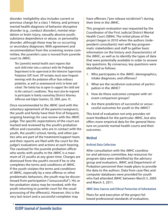disorder. Ineligibility also includes current or previous charge for a class 1 felony, and primary mental health diagnosis of behavior disruptive disorder (e.g., conduct disorder), mental retardation or brain injury, sexually abusive youth, substance dependence or abuse, or personality disorder, although these may be co-occurring or secondary diagnoses. With agreement and recommendation from the screening review committee, the juvenile's case is moved from juvenile court to JMHC.

The [ juvenile] mental health court requires that each child enter into a contract with the Probation Department to be supervised at the Intensive Supervision Probation (ISP) level. ISP includes much more frequent meetings with the probation officer than ordinary probation, as well as unannounced visits to home and school. The family has to agree to support the child and to the contract's conditions. They must also be required to participate in family counseling (District Attorney Jefferson and Gilpin Counties, CO, 2009, para. 9).

Once recommended to the JMHC (and with the voluntary agreement of the parents/caregivers), the youth and family have their first of frequent, ongoing hearings for case review with the JMHC judge. The specific expectations of the court are tracked and reviewed by the youth's probation officer and counselor, who are in contact with the youth, the youth's school, family, and other parties who are part of the treatment/support team, and their reports are filed with the court for the judge's evaluations and actions at each hearing. The caseload for the juvenile probation officer who works with youths in the JMHC is a maximum of 25 youths at any given time. Charges are dismissed from the youth's record if he or she completes the terms and conditions of JMHC. If the youth violates the terms and conditions of JMHC, especially by a new offense or other problematic behaviors, the youth may be discontinued from participation ("unsuccessful"). His or her probation status may be revoked, with the youth returning to juvenile court for the usual processing of the offense(s). However, this is the very last resort and a successful completer may

have offenses ("pre-release recidivism") during their time in the JMHC.

This program evaluation was requested by the Coordinator of the First Judicial District Mental Health Court (SB94). The initial phase of the project began in 2010 when the authors (independent consultants) met with key programmatic stakeholders and staff to gather basic information on the history and characteristics of the JMHC, as well as to identify the types of data that were potentially available in order to answer key questions. By consensus, key questions were identified as follows:

- 1. Who participates in the JMHC: demographics, intake diagnoses, and offenses?
- 2. What are the recidivism outcomes of participation in the JMHC?
- 3. How do these outcomes compare with relevant comparison groups?
- 4. Are there predictors of successful or unsuccessful outcomes for youth in the JMHC?

This kind of evaluation not only provides relevant feedback for the particular JMHC, but also offers more empirical data for the general literature on juvenile mental health courts and their outcomes.

#### **Method**

#### **Archival Data Collection**

After consultation with the JMHC coordinator and advisory committee, key resources for program data were identified by the advisory group and evaluators. JMHC and Department of Probation personnel then made plans to provide the data to the authors. Data from case files and computer databases were provided for youth who had attended JMHC between March 5, 2005 and March 3, 2011.

#### **JMHC Data Sources and Ethical Protection of Information**

Plans for and execution of the project followed professional standards of evaluation,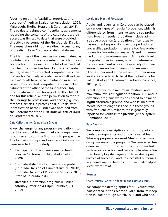focusing on utility, feasibility, propriety, and accuracy (American Evaluation Association, 2004; Yarbrough, Shulha, Hopson, & Caruthers, 2011). The evaluators signed confidentiality agreements regarding the contents of the case records; their access was limited to data that were provided directly by personnel of the First Judicial District. The researchers did not have direct access to any of the district's or Colorado state's databases.

The identities of the juveniles were maintained as confidential and the study substituted identification codes for their names. The list of names that matched the codes has been kept in a separate, secure, password-protected computer file of the first author. Similarly, all data files and all written case materials have been maintained in secure, password-protected computer files or in locked cabinets at the office of the first author. Only group data were used for reports to the District and for this article. Written permission to report the findings to professional audiences (e.g., conferences, articles in professional journals) with identification of the District was obtained from the Coordinator of the First Judicial District JMHC on September 9, 2012.

#### **Data Collection for Comparison Groups**

A key challenge for any program evaluation is to identify reasonable benchmarks or comparison groups so as to put the findings into perspective. The following groups and sources of information were selected for this study:

- 1. Participants in the juvenile mental health court in California (CITA) (Behnken et al., 2009).
- 2. Colorado state data for juveniles on probation (Colorado Division of Criminal Justice, 2011b; Colorado Division of Probation Services, 2010; State of Colorado, n.d.).
- 3. Juveniles in diversion programs (District Attorney Jefferson & Gilpin Counties, CO, 2012).

#### **Levels and Types of Probation**

Adults and juveniles in Colorado can be placed on various types of "regular" probation, which is differentiated from intensive supervised probation. Types of regular probation include administrative probation (a probation officer usually has no direct supervision over the probationer), unclassified probation (there are too few probationers for "meaningful analysis"), and minimum, medium, and maximum levels. As the risk level of the probationer increases, which is determined by preassessment scores, the intensity of supervision increases from minimum to maximum: "Those supervised at the maximum supervision level are considered to be at the highest risk for failure" (Colorado Division of Probation Services, 2010, p. 7).

Results for youth in minimum, medium, and maximum levels of regular probation, JISP, and in diversion programs were considered to be meaningful alternative groups, and we assumed that mental health diagnoses occur in these groups with frequencies similar to those generally reported for youth in the juvenile justice system (Hammond, 2007).

#### **Data Analysis**

We computed descriptive statistics for participants' demographics and outcome variables. Where appropriate, we used *t*-tests to compare group means across programs. We compared frequencies/proportions using the chi-square test with Yates correction and two-sample *z*-tests. We used binary logistic regression to evaluate predictors of successful and unsuccessful outcomes in juvenile mental health court. Two-tailed alpha levels were set at .05.

#### **Results**

#### **Characteristics of Participants in the Colorado JMHC**

We compared demographics for 81 youths who participated in the Colorado JMHC from its inception in 2005 through March, 2011 and who had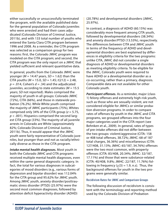either successfully or unsuccessfully terminated the program, with the available published data for the general population of Colorado juveniles who were arrested and had their cases adjudicated (Colorado Division of Criminal Justice, 2011b), and with 133 total number of youths who entered the Santa Clara CITA program between 1996 and 2008. As a reminder, the CITA program was selected as a comparison group for two reasons: first, the Colorado JMHC program was modeled on the CITA program; and second, the CITA program was the only report on a JMHC that yielded sufficient and relevant quantitative data.

In general, youths from the Colorado JMHC were younger (*M* = 14.47 years, *SD* = 1.62) than the CITA youths ( $M = 15.0$ ,  $SD = 1.45$ ;  $t(212) = 2.48$ ,  $p = .014$ , Cohen's  $d = .34$ ) and the adjudicated juveniles, according to state estimates (*M* = 15.5 years; *SD* not reported). Males comprised the majority of youth in all groups: Colorado JMHC (72%), CITA (66%), and those in statewide probation (76.2%). While White youth comprised the majority of JMHC participants (75%), Whites comprised only 34% of the CITA group (*z* = 5.75, *p* < .001). Hispanics comprised the second largest CITA group (33%). The majority of all juvenile arrests in Colorado are White (approximately 82%; Colorado Division of Criminal Justice, 2011b). Thus, it would appear that the JMHC youth were fairly representative of Colorado juveniles, but younger than and not as racially/ethnically diverse as those in the CITA program.

*Intake mental health diagnoses.* Most youth in both the Colorado JMHC and CITA programs received multiple mental health diagnoses, even within the same general diagnostic category. In fact, the total for various diagnoses in subcategories of mood disorders (e.g., various forms of depression and bipolar disorder) was 112.04% for the CITA group and 95.62% for JMHC youth. Among JMHC youth, anxiety disorder/posttraumatic stress disorder (PTSD) (25.97%) were the second most common diagnoses, followed by attention deficit hyperactivity disorder (ADHD)

(20.78%) and developmental disorders (JMHC, 25.97%).

In contrast, a diagnosis of ADHD (60.15%) was considerably more frequent among CITA youth, followed by developmental disorders (38.34%) and anxiety disorder/PTSD (13.53%), respectively. The differences between CITA and JMHC youth in terms of the frequency of ADHD and developmental disorders are best explained by differences in eligibility criteria for the two programs: unlike CITA, JMHC did not consider a single diagnosis of ADHD or developmental disorders as meeting eligibility criteria. To be eligible for the JMHC, Colorado youth were required to have ADHD or a developmental disorder as a co-occurring, rather than a primary, diagnosis. Comparable data are not available for other Colorado youth.

*Participant offenses.* As a reminder, major (class 1) felony offenses and extremely high-risk youth, such as those who are sexually violent, are not considered eligible for JMHCs or similar probation diversion programs. In order to compare rates of offenses by youth in the JMHC and CITA programs, we grouped offenses into the four major categories used in the CITA report (see Behnken et al., 2009). In general, rates of types of pre-intake offenses did not differ between the two groups: violent/aggressive (CITA: 158 or 408 total offenses, 38.72%; JMHC: 68 of 187 total charges, 36.36%) and miscellaneous (CITA: 127/408, 31.13%; JMHC: 65/187, 34.76%) offenses were the two most common, with property offenses (CITA: 83/408, 20.34%; JMHC: 32/187, 17.11%) and those that were substance-related (CITA: 40/408, 9.8%; JMHC: 22/187, 11.76%) following in frequency ( $\gamma$ (3) = 1.9, n.s). Thus, the background offenses for youth in the two programs were generally similar.

#### **Recidivism Rates for JMHC and Comparison Groups**

The following discussion of recidivism is consistent with the terminology and reporting method used by the Colorado Division of Probation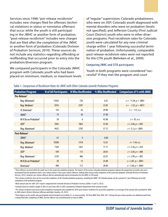Services since 1998: "pre-release recidivism" includes new charges filed for offenses (technical violations or status or nonstatus offenses) that occur while the youth is still participating in the JMHC or another form of probation; "post-release recidivism" includes new charges that are filed after the completion of the JMHC or another form of probation (Colorado Division of Probation Services, 2010). These sources do not include any statistics regarding offending or reoffending that occurred prior to entry into the probation/diversion program.

We compared participants in the Colorado JMHC program with Colorado youth who had been placed on minimum, medium, or maximum levels of "regular" supervision; Colorado probationers who were on JISP; Colorado youth diagnosed with mental disorders who were on probation (levels not specified); and Jefferson County (First Judicial Court District) youth who were in other diversion programs. Post-recidivism rates for Colorado youth were calculated for any new criminal charge within 1 year following successful termination of probation. Unfortunately, comparable post-release recidivism rates were not reported for the CITA youth (Behnken et al., 2009).

#### **Comparing JMHC and CITA participants**

Youth in both programs were considered "successful" if they met the program and court

| <b>Probation Program</b>        | N of All Participants | <b>N Who Reoffended</b> | % Who Reoffended | <b>Comparison of % with JMHC</b> |  |  |
|---------------------------------|-----------------------|-------------------------|------------------|----------------------------------|--|--|
| Pre-Release <sup>1</sup>        |                       |                         |                  |                                  |  |  |
| Reg. Minimum <sup>3</sup>       | 11034                 | 726                     | 6.67             | $z = -11.04, p < .0001$          |  |  |
| Reg. Medium <sup>3</sup>        | 9276                  | 2107                    | 22.85            | $z = -3.22, p = .0013$           |  |  |
| JC Diversion <sup>5</sup>       | 143                   | 42                      | 29.00            | $z = -1.31$ , n.s.               |  |  |
| JMHC <sup>6</sup>               | 79                    | 30 <sup>°</sup>         | 37.98            |                                  |  |  |
| MH Dx on Probation <sup>4</sup> | 58                    | 6                       | 45.00            | $z = .81$ , n.s.                 |  |  |
| JISP <sup>3</sup>               | 3443                  | 1863                    | 53.96            | $z = 2.84, p = .005$             |  |  |
| Reg. Maximum <sup>3</sup>       | 4922                  | 2783                    | 57.12            | $z = 3.3, p < .0001$             |  |  |
| Post-Release <sup>2</sup>       |                       |                         |                  |                                  |  |  |
| JMHC <sup>6</sup>               | 61                    | $\overline{4}$          | 6.60             |                                  |  |  |
| Reg. Minimum <sup>3</sup>       | 10308                 | 1310                    | 12.61            | $z = 1.44$ , n.s.                |  |  |
| Reg. Medium <sup>3</sup>        | 7169                  | 1261                    | 17.11            | $z = 2.26, p = .024$             |  |  |
| JISP <sup>3</sup>               | 549                   | 113                     | 20.81            | $z = 2.64, p = .008$             |  |  |
| Reg. Maximum <sup>3</sup>       | 2139                  | 486                     | 22.07            | $z = 2.99, p = .003$             |  |  |
| MH Dx on Probation <sup>4</sup> | 58                    | 15                      | 25.00            | $z = 2.87, p = .0041$            |  |  |
| Diversion <sup>5</sup>          | 400                   | 112                     | 28.00            | $z = 3.60, p = .0003$            |  |  |

#### Table 1. *Comparison of Recidivism Rates for JMHC with Other Colorado Juvenile Probation Programs*

<sup>1</sup>These offenses occurred while the youth was in the respective probation program. The reports of the various Colorado probation programs indicate the proportions of youths who were terminated from the probation status ("pre-release failure") due to pre-release offenses, making them unsuccessful completers of the particular program (Colorado Division of Probation Services, 2012). However, pre-release offenses did not automatically lead to termination for the JMHC or CITA youth.

<sup>2</sup> Post-release recidivism rates are for successful completers of all Colorado probation programs, including the JMHC. All Colorado groups are for a period of 1 year following successful completion of the probation program.

<sup>3</sup> Mean annual rates for 2005-2011 reports computed from Colorado Division of Probation Services (Tables 11 and 12; 2012).

4 Estimate based on random sample of 20% of cases from 2001 to 2007, provided by Probation Department from internal records.

<sup>5</sup> Pre-release recidivism and unsuccessful completion of program only available for 2010; post-release recidivism for successful completers is an average of the annual rates provided for 2006 to 2009 cohorts (District Attorney Jefferson and Gilpin Counties, CO, 2012).

6 These figures are for youths who participated and terminated (successfully, 61, or unsuccessfully, 18) from JMHC from 2005-2011. During the post-release period, one additional youth had a charge filed after completion of JMHC, but the offense was committed prior to entry to JMHC.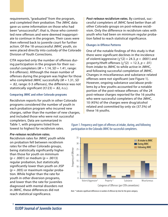requirements, "graduated" from the program, and completed their probation. The JMHC data gave us some information on those who had been "unsuccessful"; that is, those who committed new offenses and were deemed inappropriate to continue in the program. Their cases were then referred back to juvenile court for further action. Of the 18 unsuccessful JMHC youth, six were placed directly into custody of the Colorado Division of Youth Corrections.

CITA reported only the number of offenses during participation in the program for their successful completers ( $M = 1.14$ ,  $SD = 1.41$ , range: 0-6 offenses). Although the mean number of offenses during the program was higher for those who completed JMHC successfully (*M* = 1.31, *SD* = .82, range: 0-3 offenses), the difference was not statistically significant (*t*(123) = .82, n.s.).

#### **Comparing JMHC and other Colorado programs**

Recidivism reports for youth in other Colorado programs considered the number of youth in each probation program who incurred new charges, rather than the number of new charges, and included those who were not successful

completers. Data are summarized in Table 1, with programs listed from lowest to highest for recidivism rates.

#### *Pre-release recidivism rates.*

Recidivism rates for JMHC youth while on probation fell between recidivism rates for the other Colorado groups, being statistically significantly higher than those for youth on minimum (*p* < .0001) or medium (*p* = .0013) regular probation, but statistically significantly lower than youth on JISP (*p* = .005) or maximum regular probation. While higher than the rate for youth in other diversion programs, and lower than the rate for juveniles diagnosed with mental disorders not in JMHC, these differences did not reach statistical significance.

*Post-release recidivism rates.* By contrast, successful completers of JMHC fared better than all other Colorado groups on post-release recidivism. Only the difference in recidivism rates with youth who had been on minimum regular probation failed to reach statistical significance.

#### **Changes in Offense Patterns**

One of the notable findings of this study is that there were significant declines in the incidence of violent/aggressive  $(\chi^2(2) = 24.3, p < .0001)$  and property/theft offenses  $(\chi^2(2) = 12.3, p < .01)$ from intake to JMHC to while active in JMHC, and following successful completion of JMHC. Changes in miscellaneous and substance-related offenses were not significant (see Figure 1). However, ongoing substance use/abuse problems by a few youths accounted for a notable portion of the post-release offenses: of the 24 post-release charges reported for the 16 youths who were successful completers of the JMHC, 10 (45%) of the charges were drug/alcohol related and committed by only six (37.5%) of these 16 youths.

*Figure 1.* Frequency and types of offenses at intake, during, and following participation in the Colorado JMHC for successful completers.



*Note:* \* indicates significant differences in number of offenses by time for the given category.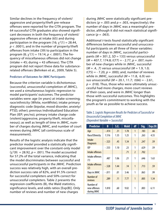Similar declines in the frequency of violent/ aggressive and property/theft pre-release offenses were reported for the CITA program. The 64 successful CITA graduates also showed significant decreases in both the frequency of violent/ aggressive offenses at intake (65) and during participation in the program (16;  $\chi^2(1) = 28.44$ , *p* < .0001), and in the number of property/theft offenses from intake (39) to participation in the program (8;  $\chi^2(1) = 19.14$ , *p* < .0001). The frequency of miscellaneous offenses did not change  $(intake = 45; during = 43$  offenses). The CITA program did not report these data for substancerelated offenses (Behnken et al., 2009, Table 5).

#### **Predictors of Outcomes for JMHC Participants**

Because the criterion variable is dichotomous (successful, unsuccessful completion of JMHC), we used a simultaneous logistic regression to model participants' outcomes. The predictor variables were: age (in years) at intake screening; race/ethnicity (White, nonWhite); intake primary diagnostic code (bipolar, mood disorder, anxiety/ PTSD, other); previous Individualized Education Plan (IEP; yes/no); primary intake charge code (violent/aggressive, property/theft, miscellaneous); as well as length of time in JMHC, number of charges during JMHC, and number of court reviews during JMHC (all continuous scale of measurement).

Results of the logistic analysis indicate that the predictor model provided a statistically significant improvement over the constant-only model  $(χ<sup>2</sup>(9) = 28.92, p = .001)$ . The model accounted for 57.2% of the total variance, indicating that the model discriminates between successful and unsuccessful participants in the JMHC. Prediction success was relatively high, with an overall prediction success rate of 82%, and 91.5% correct for successful completers and 50% correct for unsuccessful completers. Table 2 presents the regression coefficients (B), the Wald statistics, significance levels, and odds ratios [Exp(B)]. Only number of reviews and number of new charges

during JMHC were statistically significant predictors ( $p = .005$  and  $p = .003$ , respectively); the number of days in JMHC was a meaningful predictor, although it did not reach statistical significance  $(p = .063)$ .

Additional *t*-tests found statistically significant differences between successful and unsuccessful participants on all three of these variables: number of days in JMHC, successful participants (*M* = 301.2, *SD* = 133) versus unsuccessful (*M* = 407.7, 174.8; *t*(77) = - 2.77, *p* = .007; number of new charges while in JMHC, successful (*M* = .4, .7) versus unsuccessful (*M* = 1.9, 1.0; *t*(75) = - 7.20, *p* = .000); and, number of reviews while in JMHC, successful (*M* = 11.8, 6.9) versus unsuccessful (*M* = 20.1, 11.7; *t*(66) = - 2.61,  $p = .018$ ). Thus, those who were ultimately unsuccessful had more charges, more court reviews of their cases, and were in JMHC longer than those with successful outcomes. This highlights the program's commitment to working with the youth as far as possible to achieve success.

#### Table 2. *Logistic Regression Results for Predictors of Successful or Unsuccessful Completion of JMHC (Dependent Variable = Successful)*

| <b>Predictor</b>                         | B        | S.E. | <b>Wald</b> | df             | Sig. | Exp.(B) |
|------------------------------------------|----------|------|-------------|----------------|------|---------|
| Age                                      | $-.414$  | .31  | 1.78        | 1              | .183 | .66     |
| Race/Ethnicity                           | 1.516    | 1.35 | 1.25        | 1              | .263 | 4.55    |
| <b>Intake</b><br><b>Diagnosis</b>        | $-.523$  | .45  | 1.34        | 1              | .247 | .59     |
| <b>IEP</b>                               | $-0.533$ | 1.10 | .23         | 1              | .629 | .59     |
| Intake offenses                          |          |      | .71         | $\overline{2}$ | .702 |         |
| Intake offenses<br>(1)                   | .487     | 1.06 | .21         | 1              | .646 | 1.63    |
| Intake offenses<br>(2)                   | $-.528$  | 1.44 | .14         | 1              | .713 | .59     |
| Days in JMHC                             | $-.011$  | .01  | 3.46        | 1              | .063 | .99     |
| Number of<br>reviews                     | .289     | .11  | 7.77        | 1              | .005 | 1.34    |
| Number of<br>new offenses<br>during JMHC | 1.810    | .60  | 9.02        | 1              | .003 | 6.11    |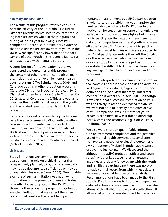#### **Summary and Discussion**

The results of this program review clearly support the efficacy of the Colorado First Judicial District's juvenile mental health court for reducing both recidivism while in the program and during at least 1 year following successful completion. There also is preliminary evidence that post-release recidivism rates of youth in the JMHC were significantly lower than those for a sample of other youth in the juvenile justice system diagnosed with mental disorders.

A contribution of this evaluation is that we considered the outcomes of this program in the context of other relevant comparison markers, including another juvenile mental health court program (CITA; Behnken et al., 2009) and Colorado youths in other probation programs (Colorado Division of Probation Services, 2010; District Attorney Jefferson & Gilpin Counties, Co., 2012; state of Colorado, n.d.). This allowed us to consider the breadth of risk levels of the youth and the related levels of supervision during probation.

Results of this kind of research help us to compare the effectiveness of JMHCs with the effectiveness of adult mental health courts. For example, we can now note that graduates of JMHC show significant post-release reduction in violent offenses, which also are reported for successful completers of adult mental health courts (McNiel & Binder, 2007).

#### **Limitations**

10

Study limitations are common for program evaluations that rely on archival, rather than prospectively planned, data; that is, some data may not be documented sufficiently or may be unavailable (Posavac & Carey, 2007). One notable example of such a limitation was not having information on the pre-entry offense histories of youth who participated in the JMHC or for those in other probation programs in Colorado. Another limitation that may affect the interpretation of results is the possible impact of

nonrandom assignment by JMHCs; participation is voluntary. It is possible that youth and/or their families who participate in JMHC differ in their motivation for treatment or some other unknown variable from those who are eligible but choose not to participate. Regrettably, there were no data for a comparison sample of youth who were eligible for the JMHC but chose not to participate. In fact, most families who were accepted to JMHC did participate, unless they left the district or otherwise became ineligible. Furthermore, our case study focused on one judicial district in one state. It is difficult to know how these findings may generalize to other locations and other programs.

While we interpreted our evaluations in comparative contexts, there is always the risk of variations in diagnostic procedures, eligibility criteria, and definitions of recidivism that may limit direct comparison (Cocozza & Shufelt, 2006). Although it was clear that successful completion of JMHC was positively related to decreased recidivism, we were not able to identify predictors of successful completion. Was it a matter of youth or family readiness, or was it due to other support systems and resources (e.g., Cottle, Lee, & Heilbrun, 2001)?

We also were short on quantifiable information on treatment compliance and the juveniles' use of mental health services, a second criterion typically noted for evaluating outcomes of JMHC treatment (McNiel & Binder, 2007; Office of Juvenile Justice, n.d.). We discovered that although the JMHC probation officer and counselor/navigator kept case notes on treatment activities and clearly followed up with the youth and families regarding care, there was no systematic central record from which these details were readily available for external analysis. Recommendations have been made to the First Judicial District for ways to improve prospective data collection and maintenance for future evaluations of this JMHC. Improved data collection will allow evaluators to consider possible predictors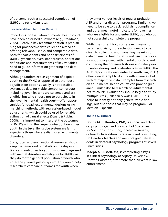of outcome, such as successful completion of JMHC and recidivism rates.

#### **Recommendations for Future Research**

Procedures for evaluation of mental health courts have been described elsewhere (e.g., Steadman, 2005). Clearly, a key recommendation is preplanning for prospective data collection aimed at offering relevant, usable, and comparable data, both for participants and nonparticipants of JMHC. Systematic, even standardized, operational definitions and measurements of key variables need to guide information gathering and data management.

Although randomized assignment of eligible youth to the JMHC as opposed to other postadjudication options usually is not possible, systematic data for viable comparison groups including juveniles who are screened and are eligible, but who choose not to participate in the juvenile mental health court—offer opportunities for quasi-experimental designs using matching methods, with regression-based model adjustments, which could be used for reliable estimation of causal effects (Stuart & Rubin, 2008). It is important to interpret the outcomes of JMHCs within the larger context of how other youth in the juvenile justice system are faring, especially those who are diagnosed with mental disorders.

State, local, and even national resources should keep the same kind of details on the dispositions and outcomes for youth who are diagnosed with mental disorders and eligible for JMHCs as they do for the general population of youth who enter the juvenile justice system. This would help researchers compare outcomes for youth when

they enter various levels of regular probation, JISP, and other diversion programs. Similarly, we need to be able to track recidivism, compliance, and other meaningful indicators for juveniles who are eligible for and enter JMHC, but who do not successfully complete the program.

While the current focus of research seems to be on recidivism, more attention needs to be given to collecting and managing meaningful data on mental health status and use of services for youth diagnosed with mental disorders, and comparing their offense histories and rates prior to entry, during, and post-release from JMHC. The ACJC report (National Center for Youth Law, 2011) offers one attempt to do this with juveniles, but with retrospective data. Examples from research on adult mental health courts can provide guidance. Similar also to research on adult mental health courts, evaluations should begin to study multiple sites (Callahan & Wales, 2013). This helps to identify not only generalizable findings, but also those that may be program—or location—specific.

#### **About the Authors**

**Donna M. L. Heretick, PhD,** is a social and clinical psychologist and president of Strategies for Solutions Consulting, located in Arvada, Colorado. In addition to research and consulting, Dr. Heretick teaches and mentors graduate students in doctoral psychology programs at several universities.

**Joseph A. Russell, MA,** is completing a PsyD in clinical psychology at Argosy University, Denver, Colorado, after more than 20 years in law enforcement.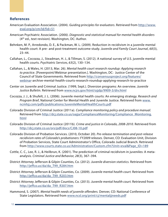#### **References**

- American Evaluation Association. (2004). *Guiding principles for evaluators*. Retrieved from [http://www.](http://www.eval.org/p/cm/ld/fid) [eval.org/p/cm/ld/fid](http://www.eval.org/p/cm/ld/fid)=51
- American Psychiatric Association. (2000*). Diagnostic and statistical manual for mental health disorders*  $(4<sup>th</sup>$  ed., text revision). Washington, DC: Author.
- Behnken, M. P., Arredondo, D. E., & Packman, W. L. (2009). Reduction in recidivism in a juvenile mental health court: A pre- and post-treatment outcome study. *Juvenile and Family Court Journal*, *60*(3), 23–44.
- Callahan, L., Cocozza, J., Steadman, H. J., & Tillman, S. (2012). A national survey of U.S. juvenile mental health courts. *Psychiatric Services, 63*(2), 130–134.
- Callahan, L., & Wales, H. (2013, Mar. 26). *Mental health court research roundup: Applying research to practice*. [Powerpoint/Webinar presentation.]. Washington, DC: Justice Center of the Council of State Governments. Retrieved from [http://consensusproject.org/features/](http://consensusproject.org/features/webinar) [webinar-](http://consensusproject.org/features/webinar)archive-mental-health-courts-research-roundup-applying-research-to-practice
- Center on Juvenile and Criminal Justice. (1999, Sept.). Diversion programs: An overview. *Juvenile Justice Bulletin.* Retrieved from<www.ncjrs.gov/html/ojjdp/9909-3/div.html>
- Cocozza, J. J., & Shufelt, J. L. (2006). Juvenile mental health courts: An emerging strategy. *Research and Program Brief*, National Center for Mental Health and Juvenile Justice. Retrieved from [www.](http://www.ncmhjj.com/pdfs/publications/JuvenileMentalHealthCourts.pdf) [ncmhjj.com/pdfs/publications/JuvenileMentalHealthCourts.pdf](http://www.ncmhjj.com/pdfs/publications/JuvenileMentalHealthCourts.pdf)
- Colorado Division of Criminal Justice (2011a). *Compliance monitoring policy and procedure manual.* Retrieved from [http://dcj.state.co.us/oajja/ComplianceMonitoring/Compliance\\_Monitoring.](http://dcj.state.co.us/oajja/ComplianceMonitoring/Compliance_Monitoring.html) [html](http://dcj.state.co.us/oajja/ComplianceMonitoring/Compliance_Monitoring.html)
- Colorado Division of Criminal Justice (2011b). *Crime and justice in Colorado, 2008-2010.* Retrieved from <http://dcj.state.co.us/ors/pdf/docs/CJ08-10.pdf>
- Colorado Division of Probation Services. (2010, October 20)*. Pre-release termination and post-release recidivism rates of Colorado's probationers: FY2009 releases.* Denver, CO: Evaluation Unit, Division of Probation Services, State Court Administrator's Office, Colorado Judicial Branch. Retrieved from [http://www.courts.state.co.us/Administration/Custom.cfm?Unit=eval&Page\\_ID=189](http://www.courts.state.co.us/Administration/Custom.cfm?Unit=eval&Page_ID=189)
- Cottle, C. C., Lee, R. J., & Heilbrun, K. (2001). The prediction of criminal recidivism in juveniles: A metaanalysis. *Criminal Justice and Behavior, 28*(3), 367–394.
- District Attorney Jefferson & Gilpin Counties, Co. (2012). *Juvenile diversion statistics.* Retrieved from [http://jeffco.us/da/da\\_T99\\_R284.htm](http://jeffco.us/da/da_T99_R284.htm)
- District Attorney Jefferson & Gilpin Counties, Co. (2009). *Juvenile mental health court.* Retrieved from [http://jeffco.us/da/da\\_T99\\_R203.htm](http://jeffco.us/da/da_T99_R203.htm)
- District Attorney Jefferson & Gilpin Counties, Co. (2013). *Juvenile mental health court.* Retrieved from [http://jeffco.us/da/da\\_T99\\_R307.htm](http://jeffco.us/da/da_T99_R307.htm)
- Hammond, S. (2007). *Mental health needs of juvenile offenders.* Denver, CO: National Conference of State Legislators. Retrieved from <www.ncsl.org/print/cj/mentaljjneeds.pdf>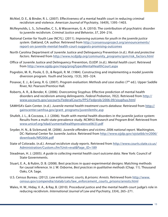- McNiel, D. E., & Binder, R. L. (2007). Effectiveness of a mental health court in reducing criminal recidivism and violence. *American Journal of Psychiatry*, *164*(9), 1395–1403.
- McReynolds, L. S., Schwalbe, C. S., & Wasserman, G. A. (2010). The contribution of psychiatric disorder to juvenile recidivism. *Criminal Justice and Behavior, 37*, 204–216.
- National Center for Youth Law (NCYL). (2011). *Improving outcomes for youth in the juvenile justice system.* Oakland, CA: author. Retrieved from [http://consensusproject.org/announcements/](http://consensusproject.org/announcements/report) [report](http://consensusproject.org/announcements/report)-on-juvenile-mental-health-court-suggests-promising-outcomes
- North Carolina Department of Juvenile Justice and Delinquency Prevention (n.d.). *Risk and protective factors*. Retrieved from [http://www.ncdjjdp.org/community\\_programs/gsm/risk\\_factors.html](http://www.ncdjjdp.org/community_programs/gsm/risk_factors.html)
- Office of Juvenile Justice and Delinquency Prevention, OJJDP. (n.d.). *Mental health court*. Retrieved from <http://www.ojjdp.gov/mpg/progTypesMentalHealthCourt.aspx>
- Pogrebin, M. R., Poole, E. D., & Regoli, R. M. (1984). Constructing and implementing a model juvenile diversion program. *Youth and Society, 15*(3), 305–324.
- Posavac, E. J., & Carey, R. G. (2007). *Program evaluation: Methods and case studies* (7th ed.). Upper Saddle River, NJ: Pearson/Prentice Hall.
- Roberts, A. R., & Bender, K. (2006). Overcoming Sisyphus: Effective prediction of mental health disorders and recidivism among delinquents. *Federal Probation, 70*(2). Retrieved from [http://](http://www.uscourts.gov/uscourts/FederalCourts/PPS/Fedprob/2006-09/sisyphus.html) [www.uscourts.gov/uscourts/FederalCourts/PPS/Fedprob/2006-09/sisyphus.html](http://www.uscourts.gov/uscourts/FederalCourts/PPS/Fedprob/2006-09/sisyphus.html)
- SAMHSA's Gain Center. (n.d.). *Juvenile mental health treatment courts database.* Retrieved from [http://](http://gainscenter.samhsa.gov/grant_programs/juvenilemhc.asp) [gainscenter.samhsa.gov/grant\\_programs/juvenilemhc.asp](http://gainscenter.samhsa.gov/grant_programs/juvenilemhc.asp)
- Shufelt, J. L., & Cocozza, J. J. (2006). Youth with mental health disorders in the juvenile justice system: Results from a multi-state prevalence study. *NCMHJJ Research and Program Brief.* Retrieved from <www.unicef.org/tdad/usmentalhealthprevalence>06(3).pdf
- Snyder, H. N., & Sickmund, M. (2006). *Juvenile offenders and victims: 2006 national report.* Washington, DC: National Center for Juvenile Justice. Retrieved from [http://www.ojjdp.gov/ojstatbb/nr2006/](http://www.ojjdp.gov/ojstatbb/nr2006/downloads/NR2006.pdf) [downloads/NR2006.pdf](http://www.ojjdp.gov/ojstatbb/nr2006/downloads/NR2006.pdf)
- State of Colorado. (n.d.). *Annual recidivism study reports*. Retrieved from [http://www.courts.state.co.us/](http://www.courts.state.co.us/Administration/Custom.cfm?Unit=eval&Page_ID=189) [Administration/Custom.cfm?Unit=eval&Page\\_ID=189](http://www.courts.state.co.us/Administration/Custom.cfm?Unit=eval&Page_ID=189)
- Steadman, H. J. (2005). *A guide to collecting mental health court outcome data.* New York: Council of State Governments.
- Stuart, E. A., & Rubin, D. B. (2008). Best practices in quasi-experimental designs: Matching methods for causal inference. In J. W. Osborne, *Best practices in qualitative methods* (Chap. 11). Thousand Oaks, CA: Sage.
- U.S. Census Bureau. (2012). *Law enforcement, courts, & prisons: Arrests.* Retrieved from [http://www.](http://www.census.gov/compendia/statab/cats/law_) [census.gov/compendia/statab/cats/law\\_](http://www.census.gov/compendia/statab/cats/law_)enforcement\_courts\_prisons/arrests.html
- Wales, H. W., Hiday, V. A., & Ray, B. (2010). Procedural justice and the mental health court judge's role in reducing recidivism. *International Journal of Law and Psychiatry, 33*(4), 265–271.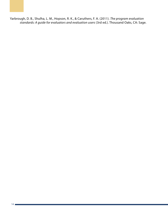

Yarbrough, D. B., Shulha, L. M., Hopson, R. K., & Caruthers, F. A. (2011). *The program evaluation standards: A guide for evaluators and evaluation users* (3rd ed.). Thousand Oaks, CA: Sage.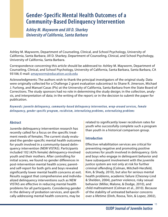### **Gender-Specific Mental Health Outcomes of a Community-Based Delinquency Intervention**

*Ashley M. Mayworm and Jill D. Sharkey University of California, Santa Barbara*

Ashley M. Mayworm, Department of Counseling, Clinical, and School Psychology, University of California, Santa Barbara; Jill D. Sharkey, Department of Counseling, Clinical, and School Psychology, University of California, Santa Barbara.

Correspondence concerning this article should be addressed to: Ashley M. Mayworm, Department of Counseling, Clinical, and School Psychology, University of California, Santa Barbara, Santa Barbara, CA 93106; E-mail: [amayworm@education.ucsb.edu](mailto:amayworm@education.ucsb.edu)

Acknowledgments: The authors wish to thank the principal investigators of the original study. Data were originally collected for a Challenge 2 grant evaluation subcontract to Shane R. Jimerson, Michael J. Furlong, and Manuel Casas (PIs) at the University of California, Santa Barbara from the State Board of Corrections. The study sponsors had no role in determining the study design; in the collection, analysis, and interpretation of data; in the writing of the report; or in the decision to submit the paper for publication.

Keywords: juvenile delinquency, community-based delinquency intervention, wrap-around services, female *delinquency, gender-specific program, recidivism, internalizing problems, ex ternalizing problems*

#### **Abstract**

Juvenile delinquency intervention research has recently called for a focus on the specific treatment needs of females. The current study evaluated the gender-specific mental health outcomes for youth involved in a community-based delinquency intervention (NEW VISTAS). Participants included 102 (42% female) delinquency-involved youth and their mothers. After controlling for initial scores, we found no gender differences in post-intervention mental health scores; parentand self-report for both girls and boys revealed significantly lower mental health concerns at exit. Results suggest that comprehensive and individualized delinquency interventions such as NEW VISTAS are effective in reducing mental health problems for all participants. Considering gender in the delivery of probation services, and specifically addressing mental health concerns, may be

related to significantly lower recidivism rates for youth who successfully complete such a program than youth in a historical comparison group.

#### **Introduction**

Effective rehabilitation services are critical for preventing negative and promoting positive outcomes for youth involved in delinquency. Girls and boys who engage in delinquent behavior and have subsequent involvement with the juvenile justice system are not only at risk for further criminal offending (Colman, Mitchell-Herzfeld, Kim, & Shady, 2010), but also for serious mental health problems, academic failure (Chesney-Lind & Shelden, 2004), partner violence, risky sexual behavior (Miller, Malone, & Dodge, 2010), and child maltreatment (Colman et al., 2010). Because of the stability of untreated behavior concerns over a lifetime (Dinh, Roosa, Tein, & Lopez, 2002),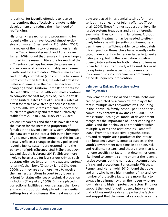it is critical for juvenile offenders to receive interventions that effectively promote healthy development and reduce their likelihood of reoffending.

Historically, research on and programming for juvenile offenders have focused almost exclusively on males (Chesney-Lind & Shelden, 2004). In a review of the history of research on female crime, Tracy, Kempf-Leonard, and Abramoske-James (2009) found that female crime was largely ignored in the research literature for much of the 20<sup>th</sup> century, perhaps because the prevalence and incidence of female criminality was deemed insufficient for examination. Whereas males have traditionally committed (and continue to commit) more crimes than females, the rates of arrest for males and females in the past few decades show changing trends. Uniform Crime Report data for the year 2007 show that although males continue to comprise the vast majority of juvenile arrests in the United States (71% of all arrests), rates of arrest for males have steadily decreased from 1997 to 2007, while rates for females decreased much more gradually and remained relatively stable from 2002 to 2006 (Tracy et al., 2009).

Various researchers and theorists have debated the reason for the increased proportion of females in the juvenile justice system. Although the data seem to indicate a shift in the behavior of girls, many researchers argue that this increase actually reflects a change in the way police and juvenile justice systems are responding to the behavior of girls (Chesney-Lind & Shelden, 2004; Javdani, Sadeh, & Verona, 2011). Girls are more likely to be arrested for less serious crimes, such as status offenses (e.g., running away and curfew/ loitering), than boys (Chesney-Lind & Shelden, 2004), but they are also more likely to receive the harshest sanctions in court (e.g., juvenile prison) for status offenses or technical probation violations (Tracy et al., 2009). Girls are placed in correctional facilities at younger ages than boys and are disproportionately placed in residential settings for status offenses; the great majority of

boys are placed in residential settings for more serious misdemeanor or felony offenses (Tracy et al., 2009). These findings suggest that juvenile justice systems treat boys and girls differently, even when they commit similar crimes. Although differential treatment may be needed to effectively intervene with juveniles of different genders, there is insufficient evidence to adequately inform practice. Researchers have recently dedicated more attention to gender issues in juvenile delinquency, but further evaluation of delinquency interventions for both males and females is needed. The current study addressed this need by exploring gender-specific outcomes after involvement in a comprehensive, communitybased delinquency intervention.

#### **Delinquency Risk and Protective Factors and Trajectories**

Involvement in antisocial and criminal behaviors can be predicted by a complex interplay of factors in multiple areas of youths' lives, including in the individual, family, school, peer, and social/ community contexts (Hawkins et al., 2000). The transactional-ecological model of development recognizes the importance of understanding individuals and their behavior as embedded within multiple systems and relationships (Sameroff, 2000). From this perspective, a youth's difficulties and strengths are a product of the interaction between dynamic, complex aspects of the youth's environment over time. In addition, risk and resiliency research and theory states that it is not one specific risk factor that determines one's likelihood to commit a crime or enter the juvenile justice system, but the number, or accumulation, of risks and protections. For example, Whitney, Renner, and Herrenkohl (2010) found that boys and girls who have a high number of risk and low number of protective factors are more likely to engage in delinquency than their peers who are low in risk and high in protective factors. Findings support the need for delinquency interventions that address multiple risk and protective factors, and suggest that the more risks a youth faces, the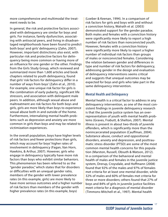more comprehensive and multimodal the treatment needs to be.

In general, the risk and protective factors associated with delinquency are similar for boys and girls. For instance, family dysfunction, associating with antisocial peers, and living in disadvantaged neighborhoods have been found to predict both boys' and girls' delinquency (Zahn, 2007). However, important distinctions also exist, with particular risk and protective factors for delinquency being more common or having more of an influence for one gender or the other. Findings from the Girls Study Group, which reviewed and summarized more than 1,600 articles and book chapters related to youth delinquency, found that girls' risk factors for delinquency differ in a number of ways from boys' (Zahn et al., 2010). For example, one unique risk factor for girls is the combination of early puberty, significant life stressors, and association with delinquent male peers. In addition, although sexual abuse and maltreatment are risk factors for both boys and girls, girls are more likely than boys to experience sexual abuse both in and outside of the home. Furthermore, internalizing mental health problems such as depression and anxiety are more common in girls than boys and may be related to victimization experiences.

In the overall population, boys have higher levels of risk factors and fewer protections than girls, which may account for boys' higher rates of involvement in delinquency (Fagan, Van Horn, Hawkins, & Arthur, 2007). However, girls who engage in delinquency typically have more risk factors than boys who exhibit similar behaviors. This phenomenon has been referred to as the "gender paradox," which states that for disorders or difficulties with an unequal gender ratio, members of the gender with lower prevalence rates (in this example, girls) are more likely to have more serious outcomes and a higher number of risk factors than members of the gender with higher prevalence rates (in this example, boys)

(Loeber & Keenan, 1994). In a comparison of risk factors for girls and boys with and without a conviction history, Walrath et al. (2003) demonstrated support for the gender paradox. Both males and females with a conviction history were significantly more likely to report a high number of risk factors than nonconvicted youth. However, females with a conviction history were significantly more likely to report a higher number of individual risk factors than groups of males or nonconvicted females. Considering the relation between gender and differences in type and number of risk factors for delinquency, addressing gender in the design and evaluation of delinquency interventions seems critical and suggests that unequal outcomes may be expected for boys and girls who take part in the same delinquency intervention.

#### **Mental Health and Delinquency**

Mental health is a critical factor to address in any delinquency intervention, as one of the most consistent findings in juvenile delinquency research is that the juvenile justice system has an overrepresentation of youth with mental health problems (Graves, Frabutt, & Shelton, 2007). Mental illness is present in about two-thirds of juvenile offenders, which is significantly more than the nonincarcerated population (Cauffman, 2004). Substance abuse, conduct and oppositional disorders, anxiety and depression, and posttraumatic stress disorder (PTSD) are some of the most common mental health concerns for this population (Marston, Russell, Obsuth & Watson, 2012). In a comparison of the behavioral and mental health of males and females in the juvenile justice system, Drerup, Croysdale, and Hoffmann (2008) found that 92% of the males and 97% of females met criteria for at least one mental disorder, while 32% of males and 60% of females met criteria for three or more disorders; others found that 27% of boys and 84% of girls in juvenile justice facilities meet criteria for a diagnosis of mental disorder (Timmons-Mitchell et al., 1997). Mental health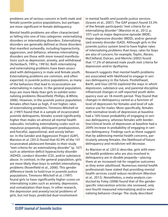problems are of serious concern in both male and female juvenile justice populations, but perhaps are more significant in female delinquency.

Mental health problems are often characterized as falling into one of two categories: externalizing disorders or internalizing disorders. Externalizing disorders are generally defined as those disorders that manifest outwardly, including hyperactivity, aggression, and defiance, whereas internalizing disorders are those with more inward manifestations such as depression, anxiety, and withdrawal (Achenbach, 1991a, 1991b). Both internalizing and externalizing problems have been associated with delinquency in male and female youth. Externalizing problems are common, and often expected, in juvenile justice populations, as many of the behaviors that lead to incarceration are externalizing in nature. In the general population, boys are more likely than girls to exhibit externalizing problems (Rosenfield, Phillips, & White, 2006). However, in the juvenile justice population, females often have as high, if not higher, rates of externalizing problems. Timmons-Mitchell et al. (1997) found that in a sample of incarcerated juvenile delinquents, females scored significantly higher than males on almost all mental health subscales, including externalizing scales such as impulsive propensity, delinquent predisposition, and forceful, oppositional, and unruly behavior. In the Gender and Aggression Project (GAP), Marston et al. (2012) found that 92.9% of the 141 incarcerated adolescent females in their study "met criteria for an externalizing disorder" (p. 107) such as attention deficit hyperactivity disorder (ADHD), conduct disorder (CD), and/or substance abuse. In contrast, in the general population, girls are more likely than boys to exhibit internalizing problems (Rosenfield et al., 2006). This gender difference tends to hold true in juvenile justice populations. Timmons-Mitchell et al. (1997) found girls to have significantly higher scores on internalizing scales such as anxiety, depression, and somatization than boys. In other research, the depression and anxiety/social problems of girls, but not boys, predicted dual involvement

in mental health and juvenile justice services (Graves et al., 2007). The GAP project found 33.3% of the female participants "met criteria for an internalizing disorder" (Marston et al., 2012, p. 107) such as major depressive episode (MDE), major depressive disorder (MDD), and/or generalized anxiety disorder (GAD). Although girls in the juvenile justice system tend to have higher rates of internalizing problems than boys, rates for boys are also of concern; for example, Teplin, Abram, McClelland, Dulcan, and Mericle (2002) found that 17.2% of detained male youth met criteria for depression and/or dysthymia.

Research suggests that mental health problems are associated with likelihood to engage in serious delinquency in the future. Postlethwait, Barth, and Guo (2010) explored the ways in which depression, substance use, and parental discipline influenced changes in self-reported youth delinquency over an 18-month period. They found that changes in delinquency varied as a function of level of depression for females and level of substance use for males. More specifically, females with normative levels of depression at baseline had a 16% lower probability of engaging in serious delinquency, whereas females with borderline/clinical levels of depression at baseline had a 204% increase in probability of engaging in serious delinquency. Findings such as these suggest that by addressing mental health concerns, particularly among females, the likelihood of future delinquency and recidivism will decrease.

As Marston et al. (2012) describe, girls with mental health problems who are also involved in delinquency are in double jeopardy—placing them at an increased risk for negative outcomes as they enter adulthood. Numerous mental health professionals have stated that providing mental health services could reduce recidivism (Marston et al., 2012). Nonetheless, a meta-analysis conducted by Foley (2008) found that of the genderspecific intervention articles she reviewed, only one-fourth measured internalizing and/or externalizing behavior change. The study described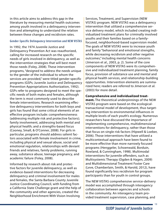in this article aims to address this gap in the literature by measuring mental health outcomes among youth involved in a delinquency intervention and attempting to understand the relation between these changes and recidivism rates.

#### **Gender-Specific Delinquency Intervention and NEW VISTAS**

In 1992, the 1974 Juvenile Justice and Delinquency Prevention Act was reauthorized, calling for increased research on the specific needs of girls involved in delinquency, as well as the intervention strategies that will best meet those needs (Foley, 2008). These intervention programs, "designed to address the needs unique to the gender of the individual to whom the services are provided," were titled gender-specific programs (GSPs; Juvenile Justice and Delinquency Prevention Appropriations Authorization, 1992). GSPs refer to programs designed to meet the specific needs of both males and females, although the term is most commonly used to describe female interventions. Research examining effective delinquency interventions for both boys and girls has found that some critical elements of an effective program include: comprehensiveness (addressing multiple risk and protective factors); family involvement, addressing both mental and physical health; and a strengths-based focus (Cooney, Small, & O'Conner, 2008). For girls in particular, programs should address salient factors associated with female involvement in crime, including physical and sexual abuse, social and emotional regulation, relationships with deviant friends and relatives, family problems, running away, substance abuse, teenage pregnancy, and academic failure (Foley, 2008).

Informed by research about risk and protective factors for juvenile delinquency, as well as evidence-based interventions for decreasing delinquency and criminal involvement for males and females, the Santa Barbara County Juvenile Justice Coordinating Council, with funding from a California State Challenge grant and the help of the community and other agencies, created the Neighborhood Enrichment With Vision Involving

Services, Treatment, and Supervision (NEW VISTAS) program. NEW VISTAS was a delinquency intervention that utilized a comprehensive service delivery model, which included creating individualized treatment plans for criminally involved youths and their families based on a familyfocused, neighborhood-based supervision model. The goals of NEW VISTAS were to increase youth and family "behavioral and emotional strengths, while decreasing recidivism and other negative outcomes," including mental health concerns (Jimerson et al., 2003, p. 2). Some of the core components of NEW VISTAS were its comprehensive and individualized treatment planning, family focus, provision of substance use and mental and physical health services, and relationship-building opportunities. Intervention elements are summarized here; readers are referred to Jimerson et al. (2003) for more detail.

**Comprehensive and individualized treat-**

**ment.** The theoretical underpinnings of the NEW VISTAS program were based on the ecologicaltransactional model of development, thus targeting intervention to environmental influences in multiple levels of each youth's ecology. Numerous researchers have discussed the importance of implementing comprehensive, multidimensional interventions for delinquency, rather than those that focus on single risk factors (Hipwell & Loeber, 2006). Those interventions that have utilized a multicontextual approach have been found to be more effective than more narrowly focused programs (Henggeler, Schoenwald, Borduin, Rowland, & Cunningham, 1998). Multimodal interventions for juvenile offenders, such as Multisystemic Therapy (Ogden & Hagen, 2009) and Multidimensional Treatment Foster Care (Leve, Chamberlain, Smith, & Harold, 2012), have found significantly less recidivism for program participants than for youth in control groups.

The NEW VISTAS comprehensive service-delivery model was accomplished through interagency collaboration between agencies and schools in the community. An interagency team provided treatment supervision, case planning, and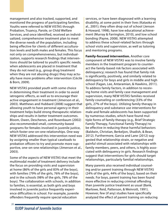management and also tracked, supported, and monitored the progress of participating families. Youths were referred to NEW VISTAS through Probation, Truancy, Parole, or Child Welfare Services, and once identified, received an individualized, comprehensive treatment plan to meet the diverse needs of the population, including being effective for clients of different acculturation levels and both males and females. This focus not only on comprehensiveness, but individualization, supports research findings that interventions should be tailored to youth's specific needs; when adolescents are placed in treatment that they do not need (e.g., group drug treatment when they are not abusing drugs) they may actually have more problems after intervention (Cécile & Born, 2009).

NEW VISTAS provided youth with some choice in determining their treatment in order to avoid iatrogenic effects, as well as to encourage their active engagement in treatment (Jimerson et al., 2003). Matthews and Hubbard (2008) suggest that allowing youth to have personal agency in their treatment helps build strong therapeutic relationships and results in better treatment outcomes. Bloom, Owen, Deschenes, and Rosenbaum (2002) also recommended small, community-based programs for females involved in juvenile justice, which foster one-on-one relationships. One way NEW VISTAS addressed this intervention need was by assigning smaller than typical caseloads to probation officers to try and promote more supportive, one-on-one relationships (Jimerson et al., 2003).

Some of the aspects of NEW VISTAS that meet the multimodal model of treatment delivery include the focus on providing visits and supervision at home (86% of the girls and 83% of the boys), with families (79% of the girls, 76% of the boys), and in the schools (98% of the girls, 78% of the boys). The collaboration with schools, in addition to families, is essential, as both girls and boys involved in juvenile justice frequently experience difficulties in school. For example, juvenile offenders frequently require special education

services, or have been diagnosed with a learning disability, at some point in their lives (Kataoka et al., 2001); they often drop out of school (Jenson & Howard, 1998), have low educational achievement (Murray & Farrington, 2010), and low school bonding (Payne, 2008). NEW VISTAS attempted to address these school-related factors through school visits and supervision, as well as tutoring and mentoring programs.

**Family-focused intervention.** Another core component of NEW VISTAS was to involve family members in the treatment program to counteract the family-based risk factors associated with delinquency; research has found that family risk is significantly, positively, and similarly related to delinquency for boys and girls in middle and high school (Fagan, Lee, Antaramian, & Hawkins, 2011). To address family factors, in addition to receiving home visits and family case management and supervision, many NEW VISTAS families received family counseling or conferencing (33% of the girls, 27% of the boys). Utilizing family therapy in delinquency and substance use interventions for male and female adolescents has been supported by numerous studies, which have found multiple forms of family therapy (e.g., Brief Strategic Family Therapy, Functional Family Therapy) to be effective in reducing these harmful behaviors (Baldwin, Christian, Berkeljon, Shadish, & Bean, 2012). Furthermore, Garcia and Lane (2012) suggested that relationship strain, or negative and painful stimuli associated with relationships with family members, peers, and others, is highly associated with delinquency in girls. Research findings suggest that interventions for girls should target relationships, particularly familial relationships.

Many parents also received individual counseling and/or parent training through NEW VISTAS (24% of the girls, 44% of the boys), based on their needs. For boys, parent training has been found more effective in reducing criminal offending than juvenile justice treatment as usual (Bank, Marlowe, Reid, Patterson, & Weinrott, 1991). However, few (if any) studies have specifically analyzed the effect of parent training on reducing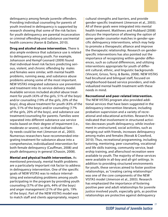delinquency among female juvenile offenders. Providing individual counseling for parents of youth involved in delinquency is supported by research showing that some of the risk factors for youth delinquency are parental incarceration or criminal offending and substance use/mental health concerns (Aaron & Dallaire, 2010).

**Drug and alcohol abuse intervention.** There is also ample evidence that substance use is related to delinquency among youth. For example, Johansson and Kempf-Leonard (2009) found that individual-level risk factors predicting serious, violent, and chronic offending by males and females were similar, with mental health problems, running away, and substance abuse problems among some of the most important. NEW VISTAS integrated substance use prevention and treatment into its service-delivery model. Available services included alcohol abuse treatment for youth (43% of the girls, 51% of the boys) and/or counseling (19% of the girls, 20% of the boys), drug abuse treatment for youth (43% of the girls, 51% of the boys) and/or counseling (17% of the girls, 20% of the boys), and substance use treatment/counseling for parents. Families were separated into different substance use service tracks based on their degree of impairment (i.e., moderate or severe), so that individual family needs could be met (Jimerson et al., 2003). Numerous researchers have recommended integrating treatment for substance abuse into a comprehensive, individualized intervention for both female delinquency (Cauffman, 2008) and youth delinquency in general (Chassin, 2008).

**Mental and physical health intervention.** As mentioned previously, mental health problems are a particularly important risk factor to address in delinquency intervention. One of the specific goals of NEW VISTAS was to reduce internalizing and externalizing problems among youth participating in the program by providing youth counseling (57% of the girls, 44% of the boys) and anger management (21% of the girls, 19% of the boys). Part of the NEW VISTAS model was to match staff and clients appropriately, respect

cultural strengths and barriers, and provide gender-specific treatment (Jimerson et al., 2003). All of these goals were integrated into mental health treatment. Matthews and Hubbard (2008) discuss the importance of allowing the option of same-gender counselor matches in gender-specific delinquency interventions, which may help to promote a therapeutic alliance and improve the therapeutic relationship. Research on genderspecific interventions has also pointed out the importance of recognizing within-gender differences, such as cultural differences, and utilizing interventions appropriate for youth of different cultural, ethnic, and linguistic backgrounds (Vincent, Grisso, Terry, & Banks, 2008). NEW VISTAS had bicultural and bilingual staff, focused on neighborhood-based service providers, and individualized mental health treatment with these needs in mind.

**Recreational and peer-related intervention.** The NEW VISTAS program also provided addi-

tional services that have been suggested in the delinquency intervention literature, including probation supervision and a variety of recreational and educational activities. Research has indicated that involvement in structured activities decreases youth delinquency, while involvement in unstructured, social activities, such as hanging out with friends, increases delinquency among males and females (Novak & Crawford, 2010). Thus, recreational programming, including tutoring, mentoring, peer counseling, vocational and life skills training, community service, leadership training, and afterschool recreation were available to youth. The majority of these services were available in all-boy and all-girl settings. In addition to providing structured environments for youth, these services aimed to foster positive relationships, as "creating caring relationships" was one of the core components of the NEW VISTAS model (Jimerson et al., 2003). Research has emphasized the importance of fostering positive peer and adult relationships for juvenile justice involved youth, especially girls, as positive relationships are protective against delinquency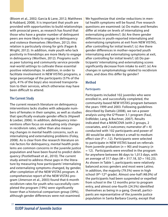(Bloom et al., 2002; Garcia & Lane, 2012; Matthews & Hubbard, 2008). It is important that youth are provided with opportunities to build relationships with prosocial peers, as research has found that those who have a greater number of delinquent peers are more likely to engage in delinquency and violence themselves (Worthen, 2012); this relation is particularly strong for girls (Fagan & Wright, 2012). In addition, male youth who lack positivity in friendships are more likely to engage in delinquency (Worthen, 2012). Programs such as peer tutoring and community service provide real-world settings to cultivate these essential positive relationships. In addition, in order to facilitate involvement in NEW VISTAS programs, a large percentage of the participants (57% of the girls, 41% of the boys) also received transportation to their services, which otherwise may have been difficult to attend.

#### **The Current Study**

The current research literature on delinquency interventions lacks studies with adequate numbers of females in their samples, as well as studies that specifically evaluate gender effects (Hipwell & Loeber, 2006). In addition, delinquency interventions often focus on evaluating only changes in recidivism rates, rather than also measuring changes in mental health concerns, such as internalizing and externalizing problems (Foley, 2008). As is clear from the research literature on risk factors for delinquency, mental health problems are common concerns in the juvenile justice population and have been found to predict delinquency (Postlethwait et al., 2010). The current study aimed to address these gaps in the literature by measuring how participants' internalizing and externalizing symptoms changed, by gender, after completion of the NEW VISTAS program. A comprehensive report of the NEW VISTAS program (Jimerson et al., 2003) found that 6-month recidivism rates for youth who successfully completed the program (19%) were significantly lower than a historical comparison group (39%), although gender differences were not examined.

We hypothesize that similar reductions in mental health symptoms will be found. Five research questions are examined: (a) Do males and females differ at intake on levels of internalizing and externalizing problems?; (b) Are there gender differences in youth-reported internalizing and externalizing symptoms at exit from NEW VISTAS, after controlling for initial levels?; (c) Are there gender differences in mother-reported youth internalizing and externalizing symptoms at exit, after controlling for initial levels?; (d) Do participants' internalizing and externalizing scores significantly decrease from intake to exit?; (e) Are changes in symptomatology related to recidivism rates, and does this differ by gender?

#### **Method**

#### **Participants**

Participants included 102 juveniles who were enrolled in, and successfully completed, the community-based NEW VISTAS program between the years 1999 and 2003. Following guidelines described by Dattalo (2008), we ran a power analysis using the G\*Power 3.1 program (Faul, Erdfelder, Lang, & Buchner, 2007). Results indicated that a MANCOVA (with 2 groups, 2 covariates, and 2 outcomes; numerator  $df = 4$ ) conducted with 102 participants and power of .80 would be able to detect a small to medium effect size  $(F = .12)$ . Participants were selected to participate in NEW VISTAS based on referrals from juvenile probation (*n* = 90) and truancy (*n*  = 12). Participants were enrolled in the program for anywhere between 86 days to 1,013 days, with an average of 317 days (*M* = 317.18, *SD* = 192.23). As shown in Table 1, participants were relatively balanced across genders and most were Latino. In addition, the majority (79.5%) were in high school (9<sup>th</sup>-12<sup>th</sup> grade). Almost one-half (48.0%) of the participants had been suspended or expelled from school in the 12 months prior to program entry, and almost one-fourth (24.5%) identified themselves as being in a gang. Overall, participants are representative of the juvenile justice population in Santa Barbara County, except that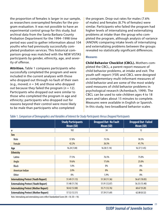the proportion of females is larger in our sample, as researchers oversampled females for the program evaluation. It was not possible to have an experimental control group for this study, but archival data from the Santa Barbara County Probation Department for the 1994–1998 time period was used to gather information about 104 youths who had previously successfully completed probation services. This historical comparison group was matched with the NEW VISTAS participants by gender, ethnicity, age, and severity of offense.

**Attrition.** Table 1 compares participants who successfully completed the program and were included in the current analyses with those who dropped out through no fault of their own (e.g., moved; *n* = 34) and those who dropped out because they failed the program  $(n = 12)$ . Participants who dropped out were similar to those who completed the program in age and ethnicity; participants who dropped out for reasons beyond their control were more likely to be male than participants who completed

the program. Drop-out rates for males (7.6% of males) and females (8.7% of females) were similar. Participants who failed the program had higher levels of internalizing and externalizing problems at intake than the group who completed the program, although analysis of variance (ANOVA) comparing intake levels of internalizing and externalizing problems between the groups revealed no statistically significant differences.

#### **Measures**

**Child Behavior Checklist (CBCL).** Mothers completed the CBCL, a parent-report measure of child behavior problems, at intake and exit. The youth self–report (YSR) and CBCL were designed as complementary multi-informant measures of child behavior and are some of the most widely used measures of child behavior problems in psychological research (Achenbach, 1999). The CBCL can be used to rate children ages 4 to 18 years and takes about 15 minutes to complete. Measures were available in English or Spanish. In this study, two broadband behavior scales

|                                              | <b>Study Participants</b><br>Mean (SD) | <b>Dropped Out-No Fault</b><br><b>Mean (SD)</b> | <b>Dropped Out-Failed</b><br>Mean (SD) |  |
|----------------------------------------------|----------------------------------------|-------------------------------------------------|----------------------------------------|--|
| n                                            | 102                                    | 34                                              | 12                                     |  |
| Sex                                          |                                        |                                                 |                                        |  |
| Male                                         | 57.8%                                  | 73.5%                                           | 58.3%                                  |  |
| Female                                       | 42.2%                                  | 26.5%                                           | 41.7%                                  |  |
| Age                                          | 16.24 (1.04)                           | 16.30(1.14)                                     | 16.37(1.45)                            |  |
| <b>Ethnicity</b>                             |                                        |                                                 |                                        |  |
| Latino                                       | 77.5%                                  | 76.5%                                           | 75.0%                                  |  |
| Anglo                                        | 19.6%                                  | 17.6%                                           | 25.0%                                  |  |
| <b>Black</b>                                 | 1.0%                                   | 0%                                              | 0%                                     |  |
| American Indian                              | 2.0%                                   | 0%                                              | 0%                                     |  |
| <b>Other</b>                                 | 0%                                     | 5.9%                                            | 0%                                     |  |
| <b>Internalizing Pretest (Youth Report)</b>  | 51.49(11.15)                           | 51.50 (11.36)                                   | 56.67 (10.05)                          |  |
| <b>Externalizing Pretest (Youth Report)</b>  | 51.48 (11.76)                          | 51.91 (12.07)                                   | 56.33 (13.40)                          |  |
| <b>Internalizing Pretest (Mother Report)</b> | 58.42 (12.00)                          | 55.71 (12.76)                                   | 60.67(9.20)                            |  |
| <b>Externalizing Pretest (Mother Report)</b> | 57.52 (12.31)                          | 57.59 (11.69)                                   | 62.08(8.32)                            |  |

Table 1. *Comparison of Demographics and Variables of Interest for Study Participants Versus Dropped Participants*

Note. Internalizing and externalizing scores reflect Standardized Scores ( $M = 50$ , SD = 10).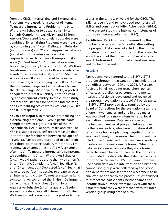from the CBCL (Internalizing and Externalizing Problems) were used, for a total of 63 items. To measure Internalizing Problems, the 9-item Withdrawn Behavior (e.g., sad, sulks), 9-item Somatic Complaints (e.g., dizzy), and 13-item Anxious/Depressed (e.g. lonely) subscales were combined. Externalizing Problems were measured by combining the 11-item Delinquent Behavior (e.g., runs away) and 21-item Aggressive Behavior (e.g. starts fights) subscales. Participants responded to each item on a three-point Likert scale ( $0 =$  "not true",  $1 =$  "somewhat or sometimes true",  $2 =$  "very true or often true"). We then transformed raw scores for both scales into agestandardized scores (*M* = 50, *SD* = 10). Standard scores below 60 are considered to be in the normal range, scores ranging from 60 to 63 are in the borderline range, and scores above 63 are in the clinical range. Achenbach (1991b) reported adequate test-retest reliability, criterion validity, and concurrent validity. In the current study, internal consistencies for both the Internalizing and Externalizing scales were excellent ( $\alpha$  = 0.89 and 0.93, respectively).

**Youth Self Report.** To measure internalizing and externalizing problems, juvenile participants completed five of eight subscales of the YSR (Achenbach, 1991a) at both intake and exit. The YSR is a standardized, self-report measure that is appropriate for children between the ages of 11 and 18. Participants responded to each item on a three-point Likert scale  $(0 = "not true", 1 =$ "somewhat or sometimes true",  $2 =$  "very true or often true"). To measure internalizing symptoms, we combined the 7-item Withdrawn Behavior (e.g., "I would rather be alone than with others"), 9-item Somatic Complaints (e.g., "I feel dizzy"), and 15-item Anxious/ Depressed (e.g., "I feel that I have to be perfect") subscales to create an overall Internalizing cluster. To measure externalizing symptoms, we combined the 11-item Delinquent Behavior (e.g., "I lie or cheat") and 19-item Aggressive Behavior (e.g., "I argue a lot") subscales to create an overall Externalizing cluster. We transformed raw scores into age-standardized

scores in the same way we did for the CBCL. The YSR has been found to have good test-retest reliability and construct validity (Achenbach, 1991a). In the current study, the internal consistencies of both scales were excellent ( $\alpha$  = 0.90).

**Recidivism.** Recidivism was measured by the number of arrests within 6 months after exiting the program. Data were collected by the probation department and transmitted to the researchers at the end of the project. Number of arrests was dichotomized into  $1 =$  had at least one arrest and  $0 =$  had no arrests.

#### **Procedure**

Participants were referred to the NEW VISTAS program through the truancy and juvenile probation offices between 1999 and 2003. A Research Advisory Panel, including researchers, police officers, school district personnel, and mental health professionals developed and reviewed the program evaluation protocol. All participants in NEW VISTAS provided data required by the Board of Corrections for the evaluation; a sample of one in two females and one in three males was recruited for a more intensive set of local evaluation measures. Data were collected from the involved families at program intake and exit by the team leaders, who were probation staff responsible for case planning, negotiating services, and family supervision. The forms could be filled out in Spanish or English and were available in interview or questionnaire format. When the data packets were complete they were transferred to researchers who scanned the forms and downloaded the data into the Statistical Package for the Social Sciences (SPSS) software program. Recidivism data on the intervention and historical comparison group were collected by the probation department and sent to the researchers to be analyzed. To adhere to the procedures established to protect the participants, neither names nor identification numbers were included with these data; therefore they were matched with the intervention group using date of birth.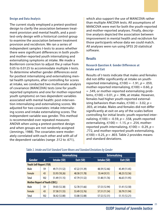#### **Design and Data Analysis**

The current study employed a pretest-posttest design to clarify the association between treatment provision and mental health, and a posttest-only design with a historical control group to examine the association between treatment provision and recidivism. We ran a series of independent samples *t*-tests to assess whether there were significant differences in both youthand mother-reported youth internalizing and externalizing symptoms at intake. We made a Bonferroni correction to adjust the *p* value from 0.05 to 0.0125 to accommodate multiple *t*-tests. To determine whether gender differences exist for posttest internalizing and externalizing mental health symptoms, after controlling for scores at intake, we conducted two multivariate analysis of covariance (MANCOVA) tests (one for youthreported symptoms and one for mother-reported youth symptoms) on two dependent variables associated with mental health: post-intervention internalizing and externalizing scores. We adjusted for two covariates: intake internalizing scores and intake externalizing scores. The independent variable was gender. This method is recommended over repeated measures ANOVA when using a pretest-posttest design and when groups are not randomly assigned (Jennings, 1988). The covariates were moderately correlated with each other and with all of the dependent variables (range .312 to .671),

which also support the use of MANCOVA rather than multiple ANCOVA tests. All assumptions of MANCOVA were met for both the youth-reported and mother-reported analyses. Finally, descriptive analysis depicted the association between improvement in mental health and recidivism for those participants whose data we could match. All analyses were run using SPSS 20 statistical software.

#### **Results**

#### **Research Question A: Gender Differences at Intake and Exit**

Results of *t-*tests indicate that males and females did not differ significantly at intake on youthreported internalizing, *t*(100) = -1.91, *p* = .059, mother-reported internalizing, *t*(100) = 0.60, *p*  = .549, or mother-reported externalizing problems, *t*(100) = 0.01, *p* = .996, at intake. However, females had higher youth-reported externalizing behaviors than males,  $t(100) = -3.02$ ,  $p =$ .003, at intake. Males and females did not differ significantly at exit on any of the scales before controlling for initial levels: youth-reported internalizing, *t*(100) = -0.59, *p* = .558, youth-reported externalizing, *t*(100) = -1.15, *p* = .254, motherreported youth internalizing,  $t(100) = -0.29$ ,  $p =$ .772, and mother-reported youth externalizing, *t*(100) = 0.25, *p* = .803. Table 2 provides means and standard deviations.

|                                      |             | <b>Internalizing</b> |               | <b>Externalizing</b> |               |  |  |
|--------------------------------------|-------------|----------------------|---------------|----------------------|---------------|--|--|
| Gender                               | $\mathbf n$ | Intake (SD)          | Exit (SD)     | Intake (SD)          | Exit (SD)     |  |  |
| <b>Youth Self-Report (YSR)</b>       |             |                      |               |                      |               |  |  |
| Male                                 | 59          | 49.71 (11.52)        | 47.22 (11.39) | 48.59 (12.46)        | 45.49 (11.45) |  |  |
| Female                               | 43          | 53.93 (10.26)        | 48.58 (11.78) | 55.44 (9.51)         | 48.23 (12.56) |  |  |
| Total                                | 102         | 51.49 (11.15)        | 47.79 (11.52) | 51.48 (11.76)        | 46.65 (11.95) |  |  |
| <b>Mother Report of Youth (CBCL)</b> |             |                      |               |                      |               |  |  |
| Male                                 | 59          | 59.03 (12.38)        | 52.78 (11.66) | 57.53 (12.94)        | 51.41 (12.50) |  |  |
| Female                               | 43          | 57.58 (11.55)        | 53.49 (12.76) | 57.51 (11.54)        | 50.79 (11.94) |  |  |
| Total                                | 102         | 58.42 (12.00)        | 53.08 (12.08) | 57.52 (12.31)        | 51.15 (12.21) |  |  |

#### Table 2. *Intake and Exit Standard Score Means and Standard Deviations by Gender*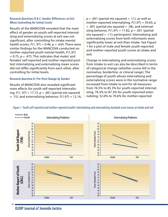#### **Research Questions B & C: Gender Differences at Exit When Controlling for Initial Levels**

Results of the MANCOVA revealed that the main effect of gender on youth self-reported internalizing and externalizing scores at exit was not significant, after controlling for intake mental health scores, *F*(1, 97) = 0.46, *p* = .634. There were similar findings for the MANCOVA conducted on mother-reported youth mental health, *F*(1,97) = 0.75, *p* = .475. This indicates that males' and females' self-reported and mother-reported posttest internalizing and externalizing mean scores did not differ significantly from each other, after controlling for initial levels.

#### **Research Question D: Pre-Post Change by Gender**

Results of MANCOVA also revealed significant main effects for youth self-reported internalizing, *F*(1, 97) = 17.73, *p* < .001 (partial eta squared = .15), and externalizing behavior, *F*(1,97) = 12.16,  $p = .001$  (partial eta squared  $= .11$ ), as well as mother-reported internalizing, *F*(1,97) = 59.65, *p*   $<$  .001 (partial eta squared  $=$  .38), and externalizing behavior, *F*(1,97) = 11.82, *p* = .001 (partial eta squared = .11); participants' internalizing and externalizing scores from both informants were significantly lower at exit than intake. See Figure 1 for a plot of male and female youth-reported and mother-reported youth scores at intake and exit.

Change in internalizing and externalizing scores from intake to exit can also be described in terms of categorical change (whether scores fell in the normative, borderline, or clinical range). The percentage of youth whose internalizing and externalizing scores were in the normative range increased from intake to exit for all measures: from 76.5% to 85.3% for youth-reported internalizing, 76.5% to 87.3% for youth-reported externalizing, 52.0% to 70.6% for mother-reported



*Figure 1.* Youth self-reported and mother-reported youths' internalizing and externalizing standard score means at intake and exit

**OJJDP Journal** *of* **Juvenile Justice**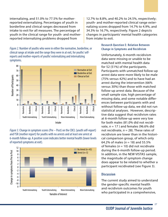internalizing, and 51.0% to 77.5% for motherreported externalizing. Percentages of youth in borderline and clinical ranges decreased from intake to exit for all measures. The percentage of youth in the clinical range for youth- and motherreported internalizing problems dropped from

*Figure 2.* Number of youths who were in either the normative, borderline, or clinical range at intake and the range they were in at exit, for youths' selfreports and mother-reports of youths' externalizing and internalizing symptoms.







12.7% to 8.8%, and 40.2% to 24.5%, respectively; youth- and mother-reported clinical range externalizing scores dropped from 14.7% to 4.9%, and 34.3% to 16.7%, respectively. Figure 2 depicts changes in participants' mental health categories from intake to exit.

#### **Research Question E: Relation Between Change in Symptoms and Recidivism**

Unfortunately, 6-month recidivism data were missing or unable to be matched with mental health data for 52 (51%) of the participants. Participants with unmatched follow-up arrest data were more likely to be male (75% versus 42%) and to have had an arrest during the intervention (66% versus 30%) than those with matched follow-up arrest data. Because of the small sample size, high percentage of missing data, and some notable differences between participants with and without follow-up data, we did not run statistical analyses. However, descriptive data suggest that recidivism rates at 6-month follow-up were very low for both males (81.0% did not recidivate, *n* = 17 ) and females (96.6% did not recidivate, *n* = 28). These rates of recidivism are lower than in the historical comparison group, of which only 64.2% of males (*n* = 18) and 55.5% of females (*n* = 10) did not recidivate during the 6-month follow-up period. In addition, in the NEW VISTAS sample, the magnitude of symptom change does appear to be related to whether a participant recidivated (see Figure 3).

#### **Discussion**

The current study aimed to understand the gender-specific mental health and recidivism outcomes for youth who participated in a comprehensive,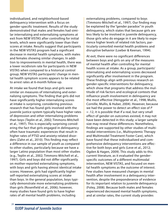individualized, and neighborhood-based delinquency intervention with a focus on gender-specific treatment. Results of the study demonstrated that males and females had similar internalizing and externalizing symptoms at exit from NEW VISTAS after controlling for initial levels, which were significantly lower than their scores at intake. Results suggest that participants in the NEW VISTAS program had a significant decrease in mental health symptoms, with males and females showing similar changes. In addition to improvements in mental health, there was a lower recidivism rate for participants in NEW VISTAS when compared to a historical control group; NEW VISTAS participants' change in mental health symptom scores appears to be related to arrest rates at 6-month follow-up.

At intake we found that boys and girls were similar on measures of internalizing and externalizing symptoms. The finding that girls did not have significantly higher internalizing scores at intake is surprising, considering previous research that has found girls involved with the juvenile justice system typically have higher rates of depression and other internalizing problems than boys (Teplin et al., 2002; Timmons-Mitchell et al., 1997). This is especially surprising considering the fact that girls engaged in delinquency often have traumatic experiences that result in higher rates of PTSD and anxiety-related disorders (Zahn et al., 2010). This finding may reflect a difference in our sample of youth as compared to other studies, particularly because we have a larger Latino population than most other studies (e.g., Teplin et al., 2002; Timmons-Mitchell et al., 1997). Girls and boys did not differ significantly on mother-reported externalizing symptoms, with boys and girls having almost identical intake scores. However, girls had significantly higher self-reported externalizing scores at intake than boys. In the general population, boys typically demonstrate more externalizing problems than girls (Rosenfield et al., 2006); however, many studies have found girls to have higher rates of all mental health problems, including

externalizing problems, compared to boys (Timmons-Mitchell et al., 1997). Our finding may be explained by the "gender paradox" in youth delinquency, which states that because girls are less likely to be involved in juvenile delinquency, those girls who do engage in it are likely to experience higher levels of related risk factors, particularly comorbid mental health problems and disruptive behavior (Loeber & Keenan, 1994).

At exit, there were no significant differences between boys and girls on any of the measures of mental health after controlling for mental health scores at intake. As a group, participants' internalizing and externalizing scores decreased significantly after involvement in the program. These findings align with previous research on gender-specific interventions for delinquency, which show that programs that address the multitude of risk factors and ecological contexts that influence youth involvement in delinquency are the most effective (Henggeler et al., 1998; Mullis, Cornille, Mullis, & Huber, 2004). However, because we had the power to detect an effect size of *f* 2 = .12, it is possible that if a real, but very small effect of gender on outcomes existed, it may not have been detected in this study; a larger sample size may reveal these differences. Nonetheless, findings are supported by other studies of multimodal interventions (i.e., Multisystemic Therapy and Multimodel Treatment Foster Care), which have found that these individualized and comprehensive delinquency interventions are effective for both boys and girls (Leve et al., 2012; Ogden & Hagen, 2009). This study adds to this current literature, as it evaluated the genderspecific outcomes of a different multimodal intervention, NEW VISTAS, and focused on mental health symptoms as the outcome of interest. Few studies have measured changes in mental health after involvement in a delinquency intervention, despite the preponderance of evidence for its important relation to juvenile delinquency (Foley, 2008). Because both males and females experienced decreased mental health symptoms, and at similar rates, the current study provides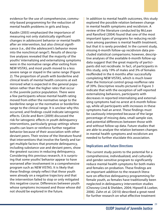evidence for the use of comprehensive, community-based programming for the reduction of mental health problems in girls and boys.

Kazdin (2003) emphasized the importance of measuring not only statistically significant changes in adolescent behavior or mental health after an intervention, but also clinical significance (i.e., did the adolescent's behavior move into the nonclinical range?). Results of descriptive analyses revealed that the majority of the youths' internalizing and externalizing symptoms were in the normative range after exiting from NEW VISTAS, and most youth moved to a less severe range or stayed in the same range (Figure 2). The proportion of youth with borderline and clinical levels of mental health concerns at exit mirrored what is expected in the general population rather than the higher rates that occur in the juvenile justice population. There were a few participants whose mental health rating moved from either the normative range to the borderline range or the normative or borderline range to the clinical range. It is unclear why this occurred, and findings could indicate iatrogenic effects. Cécile and Born (2009) discussed the risk for iatrogenic effects in youth delinquency interventions, particularly group settings where youths can learn or reinforce further negative behavior because of their association with other deviant peers. Their review of the literature found that interventions that involve the family and target multiple factors that promote delinquency, including substance use and deviant peers, show the greatest success in reducing delinquency. Considering this previous research, it is surprising that some youths' behavior appear to have worsened after involvement in a comprehensive program such as NEW VISTAS. It is likely that these findings simply reflect that these youth were already on a negative trajectory and that the intervention failed to stop or only mitigated this negative course. Differences between youth whose symptoms increased and those whose did not should be explored in the future.

In addition to mental health outcomes, this study explored the possible relation between change in mental health symptoms and recidivism. A review of the literature conducted by McLean and Ransford (2004) found that one of the most important types of programs for reducing recidivism among parolees is mental health treatment, but that it is rarely provided. In the current study, missing 6-month follow-up recidivism data precluded statistical comparisons; however, descriptive analyses of the available 6-month follow-up data suggest that the great majority of participants did not recidivate. In fact, of participants in this study, only 19% of males and 3% of females reoffended in the 6 months after successfully completing NEW VISTAS, which is much lower than the historical control group reoffense rate of 39%. Descriptive results pictured in Figure 3 indicate that with the exception of self-reported externalizing behaviors, participants with decreases in reported internalizing and externalizing symptoms had no arrest at 6-month followup, while all participants with increases in these symptoms had an arrest. These findings must be cautiously interpreted because of the large percentage of missing data, small sample size, and potential differences between those with and without follow-up data. Future studies that are able to analyze the relation between changes in mental health symptoms and recidivism are needed to further elucidate this association.

#### **Implications and Future Directions**

The current study points to the potential for a comprehensive, individualized, and culturallyand gender-sensitive program to significantly reduce mental health symptoms for both males and females on probation. These findings are an important addition to the research literature on effective delinquency programming for female youth, as females have traditionally been neglected in delinquency intervention studies (Chesney-Lind & Shelden, 2004; Hipwell & Loeber, 2006). Zahn et al. (2010) described a great need for further research on what effective treatment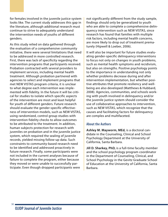for females involved in the juvenile justice system looks like. The current study addresses this gap in the literature, although additional research must continue to strive to adequately understand the intervention needs of youths of different genders.

As this study relied on data gathered through the evaluation of a comprehensive community initiative, there were several limitations that need to be addressed in more controlled research. First, there was lack of specificity regarding the intervention programs that participants received. Probation contracted with several providers to implement services, including mental health treatment. Although probation partnered with agencies to select and implement programs that met NEW VISTAS program criteria, it is unclear to what degree each intervention was implemented with fidelity. In the future it will be critical for studies to isolate which specific aspects of the intervention are most and least helpful for youth of different genders. Future research should evaluate the gender-specific effectiveness of intervention models, such as NEW VISTAS, using randomized, control group studies with intervention fidelity checks to allow outcomes to be attributed to the treatment. In addition, human subjects protection for research with juveniles on probation and in the juvenile justice system, which required the sealing of juvenile records, yielded missing follow-up data. Such constraints to community-based research need to be identified and addressed proactively in future research. Finally, some participants were not included in the current analyses because of failure to complete the program, either because they moved or were unable to successfully participate. Even though dropped participants were

not significantly different from the study sample, findings should only be generalized to youth who are able to complete a comprehensive delinquency intervention such as NEW VISTAS, since research has found that families with multiple risk factors, including mental health concerns, are more likely to drop out of treatment prematurely (Hipwell & Loeber, 2006).

It will also be important for future studies evaluating gender-specific delinquency interventions to focus not only on changes in youth problems, such as mental health symptoms and recidivism, but also on strengths. Positive psychology points to the importance in understanding not only whether problems decrease during and after intervention implementation, but whether positive attributes that promote resiliency and wellbeing are also developed (Matthews & Hubbard, 2008). Agencies, communities, and schools working with youth involved in delinquency and/or the juvenile justice system should consider the use of collaborative approaches to intervention, such as NEW VISTAS, which recognize that the causes and facilitating factors for delinquency are complex and multifaceted.

#### **About the Authors**

**Ashley M. Mayworm, MEd,** is a doctoral candidate in the Counseling, Clinical and School Psychology Department at the University of California, Santa Barbara.

**Jill D. Sharkey, PhD,** is a full-time faculty member and the school psychology program coordinator in the Department of Counseling, Clinical, and School Psychology in the Gevitz Graduate School of Education at the University of California, Santa Barbara.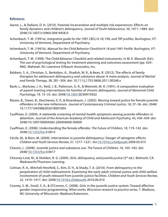## **References**

- Aaron, L., & Dallaire, D. H. (2010). Parental incarceration and multiple risk experiences: Effects on family dynamics and children's delinquency. *Journal of Youth Adolescence, 39,* 1471–1484. doi: 2048/10.1007/s10964-009-9458-0
- Achenbach, T. M. (1991a). *Integrative guide for the 1991 CBCL/4-18, YSR, and TRF profiles*. Burlington, VT: University of Vermont, Department of Psychiatry.
- Achenbach, T. M. (1991b). *Manual for the Child Behavior Checklist/4-18 and 1991 Profile*. Burlington, VT: University of Vermont, Department of Psychiatry.
- Achenbach, T. M. (1999). The Child Behavior Checklist and related instruments. In M. E. Maruish (Ed.), The use of psychological testing for treatment planning and outcomes assessment (pp. 429– 466). Mahwah, NJ: Lawrence Erlbaum Associates, Inc.
- Baldwin, S. A., Christian, S., Berkeljon, A., Shadish, W. R., & Bean, R. (2012). The effects of family therapies for adolescent delinquency and substance abuse: A meta-analysis. *Journal of Marital and Family Therapy, 38*, 281–304. doi: 10.111/j.1752-0606.2011.00248.x
- Bank, L., Marlowe, J. H., Reid, J. B., Patterson, G. R., & Weinrott, M. R. (1991). A comparative evaluation of parent-training interventions for families of chronic delinquents. *Journal of Abnormal Child Psychology, 19,* 15–33. doi: 2048/<10.1007/BF>00910562
- Bloom, B., Owen, B., Deschenes, E. P., & Rosenbaum, J. (2002). Moving toward justice for female juvenile offenders in the new millennium. *Journal of Contemporary Criminal Justice, 18*, 37–56. doi: 2048/ 10.1177/1043986202018001004
- Cauffman, E. (2004). A statewide screening of mental health symptoms among juvenile offenders in detention. *Journal of the American Academy of Child and Adolescent Psychiatry, 43*, 430–439. doi: 2048/10.1097/00004583-200404000-00009
- Cauffman, E. (2008). Understanding the female offender. *The Future of Children, 18,* 119–142. doi: 2048/<10.1353/foc>.0.0015
- Cécile, M., & Born, M. (2009). Intervention in juvenile delinquency: Danger of iatrogenic effects. *Children and Youth Services Review, 31*, 1217–1221. doi:[10.1016/j.childyouth.](10.1016/j.childyouth)2009.05.015
- Chassin, L. (2008). Juvenile justice and substance use. *The Future of Children, 18*, 165–183. doi: 2048/<10.1353/foc>.0.0017
- Chesney-Lind, M., & Shelden, R. G. (2004). *Girls, delinquency, and juvenile justice* (3rd ed.). Belmont, CA: Wadsworth/Thomson Learning.
- Colman, R. A., Mitchell-Herzfeld, S., Kim, D. H., & Shady, T. A. (2010). From delinquency to the perpetration of child maltreatment: Examining the early adult criminal justice and child welfare involvement of youth released from juvenile justice facilities. *Children and Youth Services Review, 32*, 1410–1417. doi: 2048/<10.1016/j.childyouth>.2010.06.010
- Cooney, S. M., Small, S. A., & O'Conner, C. (2008). Girls in the juvenile justice system: Toward effective gender-responsive programming. *What works, Wisconsin research to practice series,* 7. Madison, WI: University of Wisconsin–Madison/Extension.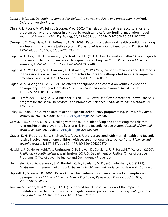- Dattalo, P. (2008). *Determining sample size: Balancing power, precision, and practicality*. New York: Oxford University Press.
- Dinh, K. T., Roosa, M. W., Tein, J., & Lopez, V. A. (2002). The relationship between acculturation and problem behavior proneness in a Hispanic youth sample: A longitudinal mediation model. *Journal of Abnormal Child Psychology, 30*, 295–309. doi: 2048/10.1023/A:1015111014775
- Drerup, L. C., Croysdale, A., & Hoffmann, N. G. (2008). Patterns of behavioral health conditions among adolescents in a juvenile justice system. *Professional Psychology: Research and Practice, 39,*  122–128. doi: 10.1037/0735-7028.39.2.122
- Fagan, A. A., Lee, V. H., Antaramian, S., & Hawkins, J. D. (2011). How do families matter? Age and gender differences in family influences on delinquency and drug use. *Youth Violence and Juvenile Justice, 9*, 150–170. doi: 10.1177/1541204010377748
- Fagan, A. A., Van Horn, M. L., Hawkins, J. D., & Arthur, M. W. (2007). Gender similarities and differences in the association between risk and protective factors and self-reported serious delinquency. *Prevention Science, 8*, 115–124. doi:10.1007/s11121-006-0062-1
- Fagan, A. A., & Wright, E. M. (2012). The effects of neighborhood context on youth violence and delinquency: Does gender matter? *Youth Violence and Juvenile Justice, 10*, 64–82. doi: 10.1177/1541204011422086
- Faul, F., Erdfelder, E., Lang, A. G., & Buchner, A. (2007). G\*Power 3: A flexible statistical power analysis program for the social, behavioral, and biomedical sciences. *Behavior Research Methods, 39*, 175–191.
- Foley, A. (2008). The current state of gender-specific delinquency programming. *Journal of Criminal Justice, 36,* 262–269. doi: 2048/<10.1016/j.jcrimjus>.2008.04.007
- Garcia, C. A., & Lane, J. (2012). Dealing with the fall-out: Identifying and addressing the role that relationship strain plays in the lives of girls in the juvenile justice system. *Journal of Criminal Justice, 40*, 259–267. doi:<10.1016/j.jcrimjus>.2012.02.005
- Graves, K. N., Frabutt, J. M., & Shelton, T. L. (2007). Factors associated with mental health and juvenile justice involvement among children with severe emotional disturbance. *Youth Violence and Juvenile Justice, 5,* 147–167. doi: 10.1177/1541204006292870
- Hawkins, J. D., Herrenkohl, T. I., Farrington, D. P., Brewer, D., Catalano, R. F., Harachi, T. W., et al. (2000). *Predictors of youth violence*. Washington, DC: U.S. Department of Justice, Office of Justice Programs, Office of Juvenile Justice and Delinquency Prevention.
- Henggeler, S. W., Schoenwald, S. K., Borduin, C. M., Rowland, M. D., & Cunningham, P. B. (1998). *Multisystemic treatment of antisocial behavior in children and adolescents*. New York: Guilford.
- Hipwell, A., & Loeber, R. (2006). Do we know which interventions are effective for disruptive and delinquent girls? *Clinical Child and Family Psychology Review*, *9*, 221–255. doi:10.1007/ s10567-006-0012-2.
- Javdani, S., Sadeh, N., & Verona, E. (2011). Gendered social forces: A review of the impact of institutionalized factors on women and girls' criminal justice trajectories. *Psychology, Public Policy, and Law, 17*, 161–211. doi: 10.1037/a0021957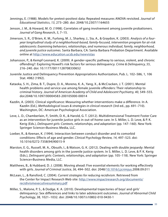- Jenson, J. M., & Howard, M. O. (1998). Correlates of gang involvement among juvenile probationers. *Journal of Gang Research, 5*, 7–15.
- Jimerson, S. R., O'Brien, K. M., Furlong, M. J., Sharkey, J., Sia, A., & Graydon, K. (2003). *Analysis of a fouryear longitudinal study of a neighborhood-based, family-focused, intervention program for at-risk adolescents: Examining behaviors, relationships, and numerous individual, family, neighborhood, and juvenile justice outcomes.* Santa Barbara, CA: Santa Barbara Probation Department. Available online at<http://www.education.ucsb.edu/newvistas>
- Johansson, P., & Kempf-Leonard, K. (2009). A gender-specific pathway to serious, violent, and chronic offending?: Exploring Howell's risk factors for serious delinquency. *Crime & Delinquency, 55*, 216–240. doi: 10.1177/0011128708330652
- Juvenile Justice and Delinquency Prevention Appropriations Authorization, Pub. L. 102–586, 1, 106 Stat. 4982 (1992).
- Kataoka, S. H., Zima, B. T., Dupre, D. A., Moreno, K. A., Yang, X., & McCracken, J. T. (2001). Mental health problems and service use among female juvenile offenders: Their relationship to criminal history. *Journal of American Academy of Child and Adolescent Psychiatry, 40*, 549–555. doi:2048/10.1097/00004583-200105000-00014
- Kazdin, A. (2003). Clinical significance: Measuring whether interventions make a difference. In A. Kazdin (Ed.), *Methodological issues & strategies in clinical research* (3rd ed., pp. 691–710). Washington, DC: American Psychological Association.
- Leve, L. D., Chamberlain, P., Smith, D. K., & Harold, G. T. (2012). Multidimensional Treatment Foster Care as an intervention for juvenile justice girls in out-of-home care. In S. Miller, L. D. Leve, & P. K. Kerig (Eds.), *Delinquent girls: Contexts, relationships, and adaptation* (pp. 147–160). New York: Springer Science+Business Media, LLC.
- Loeber, R., & Keenan, K. (1994). Interaction between conduct disorder and its comorbid conditions: Effects of age and gender. *Clinical Psychology Review, 14*, 497–523. doi: 10.1016/0272-7358(94)90015-9
- Marston, E. G., Russell, M. A., Obsuth, I., & Watson, G. K. (2012). Dealing with double jeopardy: Mental health disorders among girls in the juvenile justice system. In S. Miller, L. D. Leve, & P. K. Kerig (Eds.), *Delinquent girls: Contexts, relationships, and adaptation* (pp. 105–118). New York: Springer Science+Business Media, LLC.
- Matthews, B., & Hubbard, D. J. (2008). Moving ahead: Five essential elements for working effectively with girls. *Journal of Criminal Justice, 36*, 494–502. doi: 2048/<10.1016/j.jcrimjus>.2008.09.011
- McLean, L., & Ransford, C. (2004). *Current strategies for reducing recidivism*. Retrieved from the Center for Impact Research Web site: [http://www.impactresearch.org/documents/](http://www.impactresearch.org/documents/recidivismexecutivesummary.pdf) [recidivismexecutivesummary.pdf](http://www.impactresearch.org/documents/recidivismexecutivesummary.pdf)
- Miller, S., Malone, P. S., & Dodge, K. A. (2010). Developmental trajectories of boys' and girls' delinquency: Sex differences and links to later adolescent outcomes. *Journal of Abnormal Child Psychology, 38,* 1021–1032. doi: 2048/10.1007/s10802-010-9430-1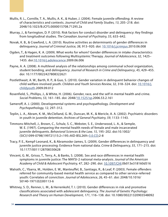- Mullis, R. L., Cornille, T. A., Mullis, A. K., & Huber, J. (2004). Female juvenile offending: A review of characteristics and contexts. *Journal of Child and Family Studies, 13*, 205–218. doi: 2048/10.1023/B:JCFS.0000015708.71295.2a
- Murray, J., & Farrington, D. P. (2010). Risk factors for conduct disorder and delinquency: Key findings from longitudinal studies. *The Canadian Journal of Psychiatry, 55*, 633–642.
- Novak, K. B., & Crawford, L. A. (2010). Routine activities as determinants of gender differences in delinquency. *Journal of Criminal Justice, 38*, 913–920. doi: [10.1016/j.jcrimjus.](10.1016/j.jcrimjus)2010.06.008
- Ogden, T., & Hagen, K. A. (2009). What works for whom? Gender differences in intake characteristics and treatment outcomes following Multisystemic Therapy. *Journal of Adolescence, 32*, 1425– 1435. doi:[10.1016/j.adolescence.](10.1016/j.adolescence)2009.06.006
- Payne, A. A. (2008). A multilevel analysis of the relationships among communal school organization, student bonding, and delinquency. *Journal of Research in Crime and Delinquency*, *45*, 429–455. doi: 10.1177/0022427808322621
- Postlethwait, A. W., Barth, R. P., & Guo, S. (2010). Gender variation in delinquent behavior changes of child welfare-involved youth. *Children and Youth Services Review, 32*, 318–324. doi: [10.1016/j.](10.1016/j.childyouth) [childyouth](10.1016/j.childyouth).2009.09.012
- Rosenfield, S., Phillips, J., & White, H. (2006). Gender, race, and the self in mental health and crime. *Social Problems, 53*, 161–185. doi: 2048[/10.1525/sp](10.1525/sp).2006.53.2.161
- Sameroff, A. J. (2000). Developmental systems and psychopathology. *Development and Psychopathology, 12*, 297–312.
- Teplin, L. A., Abram, K. M., McClelland, G. M., Duncan, M. K., & Mericle, A. A. (2002). Psychiatric disorders in youth in juvenile detention. *Archives of General Psychiatry, 59*, 1133–1143.
- Timmons-Mitchell, J., Brown, C., Schulz, S. C., Webster, S. E., Underwood, L. A., & Semple, W. E. (1997). Comparing the mental health needs of female and male incarcerated juvenile delinquents. *Behavioral Sciences & the Law, 15*, 195–202. doi:10.1002/ (SICI)1099-0798(199721)15:2<195::AID-BSL269><3.0.CO>;2-8
- Tracy, P. E., Kempf-Leonard, K., & Abramoske-James, S. (2009). Gender differences in delinquency and juvenile justice processing: Evidence from national data. *Crime & Delinquency, 55*, 171–215. doi: 10.1177/0011128708330628
- Vincent, G. M., Grisso, T., Terry, A., & Banks, S. (2008). Sex and race differences in mental health symptoms in juvenile justice: The MAYSI-2 national meta-analysis. *Journal of the American Academy of Child & Adolescent Psychiatry, 47*, 282–290. doi: [10.1097/CHI.](10.1097/CHI)0b013e318160d516
- Walrath, C., Ybarra, M., Holden, E. W., Manteuffel, B., Santiago, R., & Leaf, P. (2003). Female offenders referred for community-based mental health service as compared to other service-referred youth: Correlates of conviction. *Journal of Adolescence, 26,* 45–61. doi: 2048/10.1016/ S0140-1971(02)00113-6
- Whitney, S. D., Renner, L. M., & Herrenkohl, T. I. (2010). Gender differences in risk and promotive classifications associated with adolescent delinquency. *The Journal of Genetic Psychology: Research and Theory on Human Development, 171*, 116–138. doi: 10.1080/00221320903548092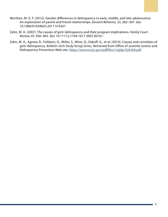- Worthen, M. G. F. (2012). Gender differences in delinquency in early, middle, and late adolescence: An exploration of parent and friend relationships. *Deviant Behavior, 33*, 282–307. doi: 10.1080/01639625.2011.573421
- Zahn, M. A. (2007). The causes of girls' delinquency and their program implications. *Family Court Review, 45*. 456–465. doi: 10.1111/j.1744-1617.2007.00161.
- Zahn, M. A., Agnew, R., Fishbein, D., Miller, S., Winn, D., Dakoff, G., et al. (2010). Causes and correlates of girls' delinquency. *Bulletin: Girls Study Group Series.* Retrieved from Office of Juvenile Justice and Delinquency Prevention Web site: <https://www.ncjrs.gov/pdffiles1/ojjdp/226358.pdf>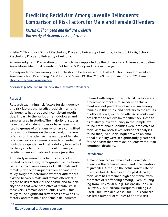# **Predicting Recidivism Among Juvenile Delinquents: Comparison of Risk Factors for Male and Female Offenders**

*Kristin C. Thompson and Richard J. Morris University of Arizona, Tucson, Arizona*

Kristin C. Thompson, School Psychology Program, University of Arizona; Richard J. Morris, School Psychology Program, University of Arizona.

Acknowledgment: Preparation of this article was supported by the University of Arizona's Jacqueline Anne Morris Memorial Foundation's Children's Policy and Research Project.

Correspondence concerning this article should be addressed to: Kristin C. Thompson, University of Arizona–School Psychology, 1430 East 2nd Street, PO Box 210069, Tucson, Arizona 85721; E-mail: [thomkr01@email.arizona.edu](mailto:thomkr01@email.arizona.edu)

*Keywords: gender, recidivism, education, juvenile delinquency*

# **Abstract**

36

Research examining risk factors for delinquency and risk factors that predict recidivism among delinquents has produced inconsistent results, due, in part, to the various methodologies and samples used in studies. The majority of studies have used all-male samples or have been limited to groups of offenders who have committed only minor offenses on the one hand, or severe offenses on the other. As the number of female offenders increases, more research is needed that controls for gender and methodology in an effort to clarify risk factors for both delinquency and recidivism among male and female juveniles.

This study examined risk factors for recidivism related to education, demographics, and offense patterns in a diverse sample of 3,287 male and female juvenile delinquents from Arizona. The study sought to determine whether differences existed between male and female offenders in regard to risk factors for recidivism, and to identify those that were predictive of recidivism in male versus female delinquents. Overall, this study found significant differences between risk factors, and that male and female delinquents

differed with respect to which risk factors were predictive of recidivism. Academic achievement was not predictive of recidivism among females in this study, and contrary to the results of other studies, we found offense severity was not related to recidivism for either sex. Despite its relatively low frequency in the sample, we found emotional disabilities were predictive of recidivism for both sexes. Additional analyses found that juvenile delinquents with an emotional disability were at significantly greater risk for recidivism than were delinquents without an emotional disability.

## **Introduction**

A major concern in the area of juvenile delinquency is the repeated arrest and incarceration of juveniles. Although the actual arrest rate of juveniles has declined over the past decade, recidivism has remained high and stable, with estimates of reoffending among juveniles ranging from 30% to 90% (e.g., McMackin, Tansi, & LaFratta, 2004; Trulson, Marquart, Mullings, & Caeti, 2005; van der Geest, 2008). This concern has led a number of studies to address risk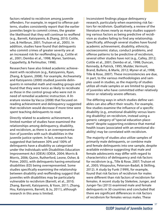factors related to recidivism among juvenile offenders. For example, in regard to offense patterns, studies consistently report that the earlier juveniles begin to commit crimes, the greater the likelihood that they will continue to reoffend (e.g., Barrett, Katsiyannis, & Zhang, 2010; Cottle, Lee, & Heilbrun, 2001; Trulson et al., 2005). In addition, studies have found that delinquents who commit crimes of greater severity are at an increased risk for reoffending (e.g., Cottle et al., 2001; Dembo et al., 1998; Myner, Santman, Cappelletty, & Perlmutter, 1998).

Researchers have also linked academic achievement with recidivism (e.g., Katsiyannis, Ryan, Zhang, & Spann, 2008). For example, Archwamety and Katsiyannis (2000) studied juvenile delinquents in remedial math and reading groups and found that they were twice as likely to recidivate as those in the control group who were not in need of remedial academic instruction. A literature review by Vacca (2008) that focused on reading achievement and delinquency suggested that recidivism would decrease if more time were spent teaching delinquents to read.

Directly related to academic achievement, a limited number of studies have examined the relationships among delinquency, disability, and recidivism, as there is an overrepresentation of juveniles with such disabilities in the juvenile justice system. In fact, research has suggested that between 30% and 100% of delinquents have a disability as categorized under the Individuals with Disabilities Education Improvement Act (IDEIA) (IDEIA, 2004; Morris & Morris, 2006; Quinn, Rutherford, Leone, Osher, & Poirer, 2005), with delinquents having emotional disabilities (ED) being overrepresented. Some studies specifically examining the relationship between disability and reoffending suggest that juveniles with disabilities may be particularly vulnerable to recidivism (Barrett, et al., 2010; Zhang, Barrett, Katsiyannis, & Yoon, 2011; Zhang, Hsu, Katsiyannis, Barrett, & Ju, 2011), although research in this area is limited.

Inconsistent findings plague delinquency research, particularly when examining risk factors for recidivism. Qualitatively, a review of the literature shows nearly as many studies supporting various factors as being predictive of recidivism as studies failing to find any relationship. Specifically, although several studies have found academic achievement, disability, ethnicity, socioeconomic status, conduct problems, and offense patterns to be predictive of recidivism, several other studies have not (e.g., Calley, 2012; Cottle et al., 2001; Dembo et al., 1998; Duncan, Kennedy, & Patrick, 1995; Mulder, Vermunt, Brand, Bullens, & Marle, 2012; Myner et al.,1998; Tille & Rose, 2007). These inconsistencies are due, in part, to the various methodologies and samples used in studies, as the majority of studies utilize all-male samples or are limited to groups of juveniles who have committed either relatively minor or relatively severe offenses.

The differing ways in which studies define variables can also affect their results. For example, few studies examine the influence of a specific disability (e.g., emotional disability versus learning disability) on recidivism, instead using a generic category of "special education placement" despite supporting evidence that mental health issues (associated with an emotional disability) may be correlated with recidivism.

The majority of studies also utilize samples of primarily male delinquents, or combine male and female delinquents into one sample, despite available evidence suggesting that male and female adolescents may differ with regard to characteristics of delinquency and risk factors for recidivism (e.g., Tille & Rose, 2007; Trulson et al., 2005; Vitopoulos, Peterson-Badali, & Skilling, 2012). A study by Funk (1999), for example, found that risk factors of recidivism for males were different than risk factors of recidivism for females. A recent study by Steketee, Junger, and Junger-Tas (2013) examined male and female delinquents in 30 countries and concluded that there are significant differences in risk factors of recidivism for females versus males. These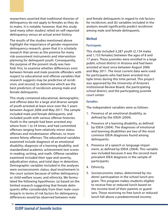researchers asserted that traditional theories of delinquency do not apply to females as they do to males. It is notable, however, that this study (and many other studies) relied on self-reported delinquency versus an actual arrest history.

The results of the studies mentioned above highlight the importance of gender-responsive delinquency research, given that it is scholarly research that serves as the premise for many risk-assessment instruments and intervention planning for delinquent youth. Consequently, the purpose of the present study was twofold: first, to examine whether differences exist between female and male juvenile offenders with respect to educational and offense variables that research suggests may be predictive of recidivism; and second, to determine which are the best predictors of recidivism among male and female delinquents.

This study contained educational, demographic, and offense data for a large and diverse sample of youth arrested at least once over the 5 years between August 2006 and May 2011. The sample included male and female delinquents, and included youth with various offense histories. Youth in the sample had been arrested anywhere from 1 to 54 times, and had committed offenses ranging from relatively minor status offenses and misdemeanor offenses, to more severe felony offenses. The educational variables examined include diagnosis of an emotional disability; diagnosis of a learning disability; and standardized academic achievement test scores in reading, writing, and math. Offense variables examined included their type and severity, adjudication status, and total days in detention. Demographic variables included in the analyses were socioeconomic status, dual involvement in the court system because of either delinquency or child welfare issues, and ethnicity. We formulated the following hypotheses: (a) based on the limited research suggesting that female delinquents differ considerably from their male counterparts in terms of risk factors for delinquency, differences would be observed between male

and female delinquents in regard to risk factors for recidivism; and (b) variables included in the analysis would significantly predict recidivism among male and female delinquents.

# **Method**

# **Participants**

This study included 3,287 youth (2,134 males and 1,153 females) between the ages of 8 and 17 years. These juveniles were enrolled in a large public school district in Arizona and had been arrested at least once between August 2006 and May 2011. The most current data were used for participants who had been arrested multiple times during this time period. This project was approved by the University of Arizona's Institutional Review Board, the participating school district, and the participating juvenile court center.

# **Variables**

The independent variables were as follows:

- 1. Presence of an emotional disability, as defined by the IDEIA (2004).
- 2. Presence of a learning disability, as defined by IDEIA (2004). The diagnoses of emotional and learning disabilities are two of the most common IDEIA diagnoses found among delinquents.
- 3. Presence of a speech or language impairment, as defined by IDEIA (2004). This variable was included because it was the second most prevalent IDEA diagnosis in the sample of participants.
- 4. Ethnicity.
- 5. Socioeconomic status, determined by students' participation in the school lunch program. This program makes students eligible to receive free or reduced lunch based on the income level of their parents or guardians. Those receiving no free lunch or reduced lunch fall above a predetermined income;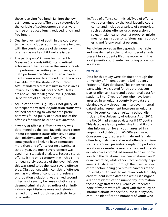those receiving free lunch fall into the lowest income category. The three categories for the variable of socioeconomic status were: no free or reduced lunch, reduced lunch, and free lunch.

- 6. Dual involvement of youth in the court system, which included youth who were involved with the courts because of delinquency offenses, as well as child welfare issues.
- 7. The participants' Arizona Instrument to Measure Standards (AIMS) standardized achievement test scores in the areas of reading performance, writing performance, and math performance. Standardized achievement scores were determined from the scores available from the students' most recent AIMS standardized test results in these areas. Reliability coefficients for the AIMS tests are above 0.90 for all grade levels (Arizona Department of Education, 2008).
- 8. Adjudication status (guilty vs. not guilty) of participants arrested. Adjudication status was defined according to whether the participant was found guilty of at least one of the offenses for which he or she was arrested.
- 9. Severity of offense. Offense severity was determined by the local juvenile court center in four categories: status offenses, obstruction, misdemeanor, and felony. Given that some youth are likely to have committed more than one offense during a particular school year, the most severe offense was used in all statistical analyses. Because status offense is the only category in which a crime is illegal solely because of the juvenile's age, this was rated to be the least severe offense type. Obstruction, which consists of offenses such as violation of conditions of release or probation violations, was ranked second in terms of severity because violations are deemed criminal acts regardless of an individual's age. Misdemeanors and felonies ranked third and fourth, respectively, in terms of severity.

10. Type of offense committed. Type of offense was determined by the local juvenile court center and included a variety of categories, such as status offense, drug possession or sales, misdemeanor against property, misdemeanor against persons, felony against property, and felony against persons.

Recidivism served as the dependent variable and was defined as the total number of arrests present in a student's lifetime record with the local juvenile court center, including probation violations.

#### **Procedure**

Data for this study were obtained through the University of Arizona Juvenile Delinquency Project (UAJDP) database. This extensive database, which we created for this project, consists of offense history and educational data for students 8 to 17 years of age who have been arrested in an Arizona county. New data are obtained yearly through an intergovernmental data-sharing agreement between an Arizona juvenile court center, an Arizona school district, and the University of Arizona. As of 2012, the UAJDP had amassed data for 8,997 youths. This database is comprehensive in that it contains information for all youth arrested in a large school district (*n* = 60,000) each year. Consequently, it represents male and female offenders, first-time and repeat offenders, minor status offenders, juveniles completing probation violations or misdemeanor offenses, and offenders who have committed serious felonies. Some youth in the database have been detained and/ or incarcerated, while others received only paper arrests. All data went through the juvenile court center before being given to researchers at the University of Arizona. To maintain confidentiality, each student in the database was first assigned a random identification number by information technology staff at the juvenile court center, none of whom were affiliated with this study or informed about its specific purpose or hypotheses. The identification numbers of youth who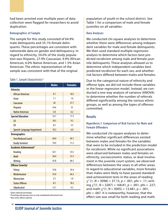had been arrested over multiple years of data collection were flagged for researchers to avoid duplication.

#### **Demographics of Sample**

The sample for this study consisted of 64.9% male delinquents and 35.1% female delinquents. These percentages are consistent with nationwide data on gender and delinquency. In regard to ethnicity, 54.0% of the study population was Hispanic, 27.9% Caucasian, 9.9% African American, 6.0% Native American, and 1.3% Asian American. The ethnic representation of the sample was consistent with that of the original

#### Table 1. *Sample Characteristicsa*

|                                   | <b>Males</b> | <b>Females</b> |  |
|-----------------------------------|--------------|----------------|--|
| <b>Ethnicity</b>                  |              |                |  |
| <b>African American</b>           | 9.7          | 10.5           |  |
| Asian                             | 1.1          | 1.6            |  |
| Caucasian                         | 28           | 27.7           |  |
| Hispanic                          | 54.6         | 53             |  |
| <b>Native American</b>            | 5.8          | 6.2            |  |
| <b>Special Education</b>          | 33.7         | 17.5           |  |
| LD                                | 18.5         | 9.2            |  |
| ED                                | 8.3          | 3.5            |  |
| Speech-Language Impairment        | 10.3         | 6.0            |  |
| <b>Demographics</b>               |              |                |  |
| <b>Free/Reduced Lunch</b>         | 69.0         | 69.1           |  |
| <b>Dually Involved</b>            | 10.9         | 11.3           |  |
| Academic Achievement <sup>b</sup> |              |                |  |
| Reading                           | 42.1         | 53.5           |  |
| Math                              | 50.4         | 57.5           |  |
| Writing                           | 42.8         | 66.5           |  |
| Offense Severity <sup>c</sup>     |              |                |  |
| Felony                            | 33.8         | 16.4           |  |
| <b>Misdemeanor</b>                | 55.0         | 64.2           |  |
| <b>Obstruction</b>                | 2.5          | 1.0            |  |
| <b>Status Offense</b>             | 8.5          | 18.2           |  |
| Adjudicated                       | 12.7         | 4.3            |  |

a: Values represent percentages

**b: Percentage with passing scores on state standardized achievement tests** 

c: Most severe offense reported

40

population of youth in the school district. See Table 1 for a comparison of male and female juveniles on all variables.

#### **Data Analyses**

We conducted chi-square analyses to determine whether there were differences among independent variables for male and female delinquents. We then used standard multiple regression analysis to determine which factors best predicted recidivism among male and female juvenile delinquents. These analyses allowed us to determine which independent variables best predicted recidivism for each sex, and whether risk factors differed between males and females.

Due to the categorical nature of ethnicity and offense type, we did not include these variables in the linear regression model. Instead, we conducted a one-way analysis of variance (ANOVA) to determine whether the number of referrals differed significantly among the various ethnic groups, as well as among the types of offenses committed.

#### **Results**

#### **Hypothesis I: Comparison of Risk Factors for Male and Female Offenders**

We conducted chi-square analyses to determine whether significant differences existed between males and females for the variables that were to be included in the prediction model for recidivism. While no significant associations were observed between males and females on ethnicity, socioeconomic status, or dual involvement in the juvenile court system, we observed differences between the sexes in all other areas. In regard to educational variables, more females than males were likely to have passed standardized achievement tests in the areas of reading χ2 (1, *N =* 3098) = 37.15, *p* < .001, phi = .11; writing χ<sup>2</sup> (1, *N =* 3287) = 168.81, *p* < .001, phi = .227; and math  $\chi^2(1, N = 3005) = 13.681, p < .001,$  $phi = .067$ . It is noteworthy, however, that the effect size was small for both reading and math.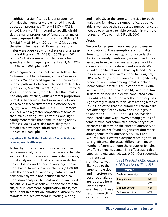In addition, a significantly larger proportion of males than females were enrolled in special education programs  $\chi^2(1, N = 3287) = 97.58$ ,  $p < .001$ , phi = .172. In regard to specific disabilities, a smaller proportion of females than males were diagnosed with emotional disabilities  $\chi^2(1, \mathcal{O})$ *N =* 3287) = 28.26, *p* < .001, phi = -.093, but again, the effect size was small. Fewer females than males were observed with a diagnosis of a learning disability  $\chi^2(1, N = 3287) = 50.29, p < .001,$ phi = -.124. We observed similar results for speech and language impairments  $\chi^2(1, N = 3287)$  $= 32.89, p < .001, \text{ phi} = -.072.$ 

We categorized offense patterns as follows: (a) 1 offense; (b) 2 to 5 offenses; and (c) 6 or more offenses. We observed significant differences in offense patterns between male and female delinquents χ<sup>2</sup> (2, *N =* 3280) = 19.52, *p* < .001, Cramer's  $V = 0.78$ . Specifically, more females than males had only one offense, while a greater proportion of males than females had six or more offenses. We also observed differences in offense severity,  $\chi^2(3, N = 3279) = 160.61, p < .001$ , Cramer's  $V = .221$ , with a greater proportion of females than males having status offenses, and significantly more males than females having felony offenses. Males were also more likely than females to have been adjudicated  $\chi^2(1, N = 3280)$  $= 67.06, p < .001, \text{phi} = .143.$ 

#### **Hypothesis II: Predicting Recidivism Among Male and Female Juvenile Offenders**

To test hypothesis II, we conducted standard regression analysis for both the male and female samples. For both male and female delinquents, initial analyses found that offense severity, learning disabilities, and a speech-language impairment had extremely low correlations (all <0.10) with the dependent variable (recidivism) and consequently were not included in the final regression analysis. The final variables included in the analysis were as follows: socioeconomic status, dual involvement, adjudication status, total time spent in detention, emotional disability, and standardized achievement in reading, writing,

and math. Given the large sample size for both males and females, the number of cases per variable is well above the suggested number of cases needed to ensure a reliable equation in multiple regression (Tabachnick & Fidell, 2007).

#### *Females*

We conducted preliminary analyses to ensure no violation of the assumptions of normality, linearity, multicollinearity, or homoscedasticity. As previously mentioned, we removed three variables from the final analysis because of low correlations with the dependent variable. We found a significant model that explained 36% of the variance in recidivism among females, *F*(9,  $1057$ ) = 67.31,  $p < 0.001$ . Variables that significantly predicted recidivism among females included socioeconomic status, adjudication status, dual involvement, emotional disability, and total time in detention (see Table 2). We conducted a oneway ANOVA to determine whether ethnicity was significantly related to recidivism among females; results indicated that the number of referrals did not differ significantly from one ethnic group to another, *F*(4,1133) = 0.671; *p* > .05. We also conducted a one-way ANOVA among groups of females who had committed different types of offenses to determine the effect of offense type on recidivism. We found a significant difference among females for offense type, *F*(6, 1129) = 5.98, *p* < .001. However, despite reaching statistical significance, the actual difference in mean number of arrests among the groups of females by offense type was small. The effect size, calculated using eta squared, was 0.001. Consequently,

the statistical significance was likely due to the large sample size and, therefore, no post hoc analyses are reported here because upon examination these results were clinically insignificant.

Table 2. *Variables Predicting Recidivism in Adolescent Females (N =1,153 )*

| <b>Variable</b>            | B        |
|----------------------------|----------|
| Total time in detention    | 0.324    |
| <b>Dually Involved</b>     | 0.281    |
| FD                         | 0.175    |
| <b>Adjudication Status</b> | 0.169    |
| Socioeconomic Status       | $-0.110$ |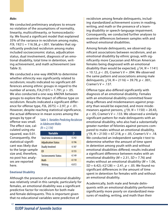#### *Males*

We conducted preliminary analyses to ensure no violation of the assumptions of normality, linearity, multicollinearity, or homoscedasticity. We found a significant model that explained 35% of the variance in recidivism among males, *F*(9, 1921) = 116.58, *p* <.001. Variables that significantly predicted recidivism among males included socioeconomic status, adjudication status, dual involvement, diagnosis of an emotional disability, total time in detention, writing achievement, and math achievement (see Table 3).

We conducted a one-way ANOVA to determine whether ethnicity was significantly related to recidivism; results indicated no significant differences among ethnic groups in regard to the number of arrests, *F*(4,2107*)* = 1.791; *p* > .05. We also conducted a one-way ANOVA between groups to explore the impact of offense type on recidivism. Results indicated a significant difference for offense type, *F*(6, 2075) = 2.97, *p* < .01. However, despite reaching statistical significance, the actual difference in mean scores among the

groups by type of offense was small. The effect size, calculated using eta squared, was 0.01. Consequently, the statistical significant was likely due to the large sample size and, therefore, no post hoc analyses are reported here.

| Table 3. Variables Predicting Recidivism |
|------------------------------------------|
| in Adolescent Males                      |
| $(N = 2, 134)$                           |

| Variable                   | l3       |
|----------------------------|----------|
| Total time in detention    | 0.342    |
| <b>Adjudication Status</b> | 0.196    |
| <b>Dually Involved</b>     | 0.187    |
| FD                         | 0.155    |
| Socioeconomic Status       | $-0.149$ |
| <b>Math</b>                | $-0.110$ |
| Writing                    | $-0.072$ |

#### **Emotional Disability**

42

Although the presence of an emotional disability was relatively small in this sample, particularly for females, an emotional disability was a significant predictive factor for recidivism for both male and female delinquents. This is important given that no educational variables were predictive of

recidivism among female delinquents, including standardized achievement scores in reading, writing, and math or the presence of a learning disability or speech-language impairment. Consequently, we conducted further analyses to examine differences between samples with and without emotional disabilities.

Among female delinquents, we observed significant associations between recidivism, and an emotional disability by ethnic group, with significantly more Caucasian and African American females being diagnosed with an emotional disability than would be expected,  $\chi^2$ (4, N = 1141) = 10.12, *p <* .05, Cramer's V = .094. We observed the same pattern and associations among male delinquents, χ<sup>2</sup> (4, *N =* 2116) = 39.79, *p <* .001, Cramer's  $V = .137$ .

Offense type also differed significantly with diagnosis of an emotional disability. Females with an emotional disability committed fewer drug offenses and misdemeanors against property than would be expected, and more misdemeanors against persons,  $\chi^2(9, N = 1150) = 20.43$ , *p <* .05, Cramer's V = .133. We observed a similarly significant pattern for male delinquents with an emotional disability, who also had a substantially greater number of felonies against persons compared to males without an emotional disability, χ2 (9, *N =* 2130) = 67.218, *p <* .05, Cramer's V = .18. We conducted an independent sample *t*-test to determine whether the amount of time spent in detention among youth with and without emotional disabilities differed; results indicated a significant difference between males with an emotional disability (*M =* 2.31, *SD* = 7.76) and males without an emotional disability (*M* = 1.06, *SD* = 6.42); *t*(2128) = -2.41, *p* < .05. We found no significant differences in the amount of time spent in detention for females with and without an emotional disability.

Academically, both male and female delinquents with an emotional disability performed significantly more poorly on standardized measures of reading, writing, and math than their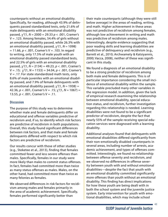counterparts without an emotional disability. Specifically, for reading, although 43.9% of delinquents passed standardized tests, only 21.6% of male delinquents with an emotional disability passed, χ<sup>2</sup> (1, *N =* 2000 = 29.33 *p <* .001, Cramer's  $V = .123$ . Among females, 54.4% of girls without an emotional disability passed, while 26.3% with an emotional disability passed,  $\chi^2(1, N = 1098)$ = 11.66, *p <* .001, Cramer's V = .103. In regard to writing, only 17.5% of male youth with an emotional disability passed standardized tests, and 22.5% of girls with an emotional disability passed, χ<sup>2</sup> (1, *N =* 2134) = 49.23, *p <* .001, Cramer's V = .15; χ<sup>2</sup> (1, *N =* 1153) = 34.04, *p <* .001, Cramer's  $V = .17$ . For state standardized math tests, only 8.6% of male juveniles with an emotional disability passed, and 7.9% of female delinquents with an emotional disability passed;  $\chi^2(1, N = 1938) =$ 42.36, *p <* .001, Cramer's V = .15; χ<sup>2</sup> (1, *N =* 1067) = 13.55, *p <* .001, Cramer's V = .11.

# **Discussion**

The purpose of this study was to determine whether male and female delinquents differ on educational and offense variables predictive of recidivism and, if so, to identify which risk factors are predictive of recidivism in both populations. Overall, this study found significant differences between risk factors, and that male and female delinquents differed with respect to which risk factors are predictive of recidivism.

Our results concur with those of other studies (e.g., Steketee et al., 2013), finding that females committed fewer and less severe offenses than males. Specifically, females in our study were more likely than males to commit status offenses. In fact, females had committed more than twice as many status offenses as males. Males, on the other hand, had committed more than twice as many felonies as females.

We observed differences in risk factors for recidivism among males and females primarily in the area of academic achievement. Specifically, females performed significantly better than

their male counterparts (although they were still below average) in the areas of reading, writing, and math. Higher achievement in these areas was not predictive of recidivism among females, although low achievement in writing and math was predictive of recidivism among males. Interestingly, despite evidence suggesting that poor reading skills and learning disabilities are predictive of delinquency and recidivism (e.g., Barrett et al., 2010; Archwamety & Katsiyannis, 2000; Vacca, 2008), neither of these was significant in this study.

We found a diagnosis of an emotional disability to be a strong predictor of recidivism among both male and female delinquents. This is of particular importance considering the small incidence of emotional disability within the sample. This variable precluded many other variables in the regression model. In addition, given the lack of empirical research examining the relationship between emotional disability, special education status, and recidivism, further investigation regarding this relationship is needed. Learning disabilities were not found to be a significant predictor of recidivism, despite the fact that nearly 55% of the sample receiving special education services were diagnosed with a learning disability.

Additional analyses found that delinquents with emotional disabilities differed significantly from their non-emotionally disabled counterparts in several areas, including number of arrests, academic achievement, and types of offenses committed. Interestingly, we found no relationship between offense severity and recidivism, and we observed no differences in offense severity between youth with and without emotional disabilities—despite the fact that youth with an emotional disability committed significantly more offenses than youth without an emotional disability. This finding has direct implications for how these youth are being dealt with in both the school system and the juvenile justice system. Early intervention for youth with emotional disabilities, which may include school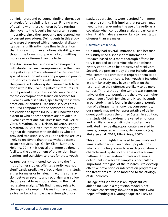administrators and personnel finding alternative strategies for discipline, is critical. Finding ways of dealing with these children before turning them over to the juvenile justice system seems imperative, since they appear to not respond well to current procedures. Delinquents in this study who were diagnosed with an emotional disability spent significantly more time in detention than those without an emotional disability, even though the former group was not committing more severe offenses than the latter.

The discussions focusing on why delinquents with disabilities are overrepresented in the juvenile justice system are interminable. Yet, despite special education reforms and progress in providing services to students with disabilities within the general education system, more needs to be done within the juvenile justice system. Results of the present study have specific implications for the development of transition services for juveniles with disabilities, specifically those with emotional disabilities. Transition services are a required component of the services students are entitled to by the IDEIA (2004); however, the extent to which these services are provided in juvenile correctional facilities is minimal (Griller-Clark, & Mathur, 2010; Nelson, Jolivette, Leone, & Mathur, 2010). Given recent evidence suggesting that delinquents with disabilities who are provided transition services upon release are less likely to recidivate than those without access to such services (e.g., Griller-Clark, Mathur, & Helding, 2011), it is crucial that more be done to facilitate the development of prevention, intervention, and transition services for these youth.

As previously mentioned, contrary to the findings of other studies, offense severity was not significantly predictive of recidivism in this study, either for males or females. In fact, the correlation between severity and recidivism was so low that the variable was not retained in the final regression analysis. This finding may relate to the impact of sampling biases in other studies; a diverse, broad sample was a strength of our

study, as participants were recruited from more than one setting. This implies that research may need to further examine the use of severity as a covariate when conducting analyses, particularly given that females are more likely to have status offenses than are males.

#### **Limitations of the Study**

Our study had several limitations. First, because this study used a snapshot of information, research based on a more thorough offense history is needed to determine whether offense history continues to be predictive of recidivism. Second, the present study did not include youth who committed crimes that required them to be transferred to adult court. Such youth, if included in a similar study, may have an effect on the results, since their offenses are likely to be more serious. Third, although the sample was representative of the local population, there were a higher percentage of both females and Hispanic youth in our study than is found in the general population of delinquents nationwide; consequently, our sample may not be representative of delinquent youth across the United States. In addition, this study did not address the varied emotional and familial characteristics that studies have indicated may be disproportionately related to female, compared with male, delinquency (e.g., Steketee et al., 2013; Tille & Rose, 2007).

This study highlights the need to treat male and female offenders as two distinct populations when conducting research, as each population is characterized by distinct offense and academic patterns. This separation of male and female delinquents in research samples is particularly important if the goal of the research is to develop effective prevention or intervention programs, as the treatments must be modified to the etiology of delinquency.

The age of first offense is an important variable to include in a regression model, since research consistently shows that juveniles who begin offending at a younger age are likely to

 $\overline{A}A$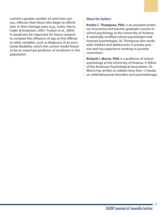commit a greater number of, and more serious, offenses than those who begin to offend later in their teenage years (e.g., Jones, Harris, Fader, & Grubstein, 2001; Trulson et al., 2005). It would also be important for future research to compare the influence of age at first offense to other variables, such as diagnosis of an emotional disability, which the current model found to be an important predictor of recidivism in this population.

# **About the Authors**

**Kristin C. Thompson, PhD,** is an assistant professor of practice and teaches graduate courses in school psychology at the University of Arizona. A nationally certified school psychologist and licensed psychologist, Dr. Thompson also works with children and adolescents in private practice and has experience working in juvenile corrections.

**Richard J. Morris, PhD,** is a professor of school psychology at the University of Arizona. A fellow of the American Psychological Association, Dr. Morris has written or edited more than 13 books on child behavioral disorders and psychotherapy.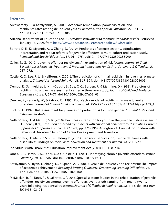#### **References**

- Archwamety, T., & Katsiyannis, A. (2000). Academic remediation, parole violation, and recidivism rates among delinquent youths. *Remedial and Special Education, 21,* 161–170. doi:10.1177/074193250002100306
- Arizona Department of Education (2008). *Arizona's instrument to measure standards results.* Retrieved January 17, 2009, from http://www.ade.state.az.us/researchpolicy/AIMSresults
- Barrett, D. E., Katsiyannis, A., & Zhang, D. (2010). Predictors of offense severity, adjudication, incarceration and repeat referrals for juvenile offenders: A multi-cohort replication study. *Remedial and Special Education, 31,* 261–275. doi:[10.1177/0741932509355990](http://dx.doi.org/10.1177%2F0741932509355990)
- Calley, N. G. (2012). Juvenile offender recidivism: An examination of risk factors. *Journal of Child Sexual Abuse: Research, Treatment, & Program Innovations for Victims, Survivors, & Offenders, 21,*  257–272.
- Cottle, C. C., Lee, R. J., & Heilbrun, K. (2001). The prediction of criminal recidivism in juveniles: A metaanalysis. *Criminal Justice and Behavior, 28,* 367–394. doi:10.1177/0093854801028003005
- Dembo, R., Schmeidler, J., Nini-Gough, B., Sue, C. C., Borden, P., & Manning, D. (1998). Predictors of recidivism to a juvenile assessment center: A three year study. *Journal of Child and Adolescent Substance Abuse, 7,* 57–77. doi:10.1300/J029v07n03\_03
- Duncan, R., Kennedy, W., & Patrick, C. (1995). Four-factor model of recidivism in male juvenile offenders. *Journal of Clinical Child Psychology, 24,* 250–257. doi:10.1207/s15374424jccp2403\_1
- Funk, S. J. (1999). Risk assessment for juveniles on probation: A focus on gender. *Criminal Justice and Behavior, 26,* 44-68.
- Griller-Clark, H., & Mathur, S. R. (2010). Practices in transition for youth in the juvenile justice system. In D. Cheney (Ed.), *Transition of secondary students with emotional or behavioral disabilities: Current approaches for positive outcomes* (2nd ed., pp. 275–295). Arlington VA: Council for Children with Behavioral Disorders/Division of Career Development and Transition.
- Griller-Clark, H., Mathur, S. R., & Helding, B. (2011). Transition services for juvenile detainees with disabilities: Findings on recidivism. *Education and Treatment of Children, 34,* 511–529.
- Individuals with Disabilities Education Improvement Act (2004). P.L. 108–446.
- Jones, P. R., Harris, P. W., Fader, J., & Grubstein, L. (2001). Identifying chronic juvenile offenders. *Justice Quarterly, 18,* 479–507. doi:10.1080/07418820100094991
- Katsiyannis, A., Ryan, J., Zhang, D., & Spann, A. (2008). Juvenile delinquency and recidivism: The impact of academic achievement. *Reading & Writing Quarterly: Overcoming Learning Difficulties, 24,*  177–196. doi:10.1080/10573560701808460
- McMackin, R. A., Tansi, R., & LaFratta, J. (2004). Special section: Studies in the rehabilitation of juvenile offenders, recidivism among juvenile offenders over periods ranging from one to twenty years following residential treatment. *Journal of Offender Rehabilitation, 28,* 1–15. doi:10.1300/ J076v38n03\_01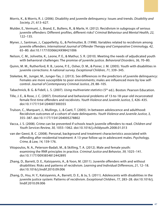- Morris, K., & Morris, R. J. (2006). Disability and juvenile delinquency: Issues and trends. *Disability and Society, 21,* 613–627.
- Mulder, E., Vermunt, J., Brand, E., Bullens, R., & Marle, H. (2012). Recidivism in subgroups of serious juvenile offenders: Different profiles, different risks? *Criminal Behaviour and Mental Health, 22,*  122–135.
- Myner, J., Santman, J., Cappelletty, G., & Perlmutter, B. (1998). Variables related to recidivism among juvenile offenders. *International Journal of Offender Therapy and Comparative Criminology, 42*, 65–80. doi:10.1177/0306624X98421006
- Nelson, C. M., Jolivette, K., Leone, P. E., & Mathur, S. R. (2010). Meeting the needs of adjudicated youth with behavioral challenges: The promise of juvenile justice. *Behavioral Disorders, 36,* 70–80.
- Quinn, M. M., Rutherford, R. B., Leone, P. E., Osher, D. M., & Poirer, J. M. (2005). Youth with disabilities in juvenile corrections: A national survey. *Exceptional Children, 71,* 339–345.
- Steketee, M., Junger, M., Junger-Tas, J. (2013). Sex differences in the predictors of juvenile delinquency: Females are more susceptible to poor environments; males are influenced more by low selfcontrol. *Journal of Contemporary Criminal Justice, 29,* 88–105.
- Tabachnick, B. G. & Fidell, L. S. (2007). *Using multivariate statistics* (5th ed.). Boston: Pearson Education.
- Tille, J. E., & Rose, J. C. (2007). Emotional and behavioral problems of 13-to-18-year-old incarcerated female first-time offenders and recidivists. *Youth Violence and Juvenile Justice, 5,* 426–435. doi:10.1177/1541204007300355
- Trulson, C., Marquart, J., Mullings, J., & Caeti, T. (2005). In between adolescence and adulthood: Recidivism outcomes of a cohort of state delinquents. *Youth Violence and Juvenile Justice, 3,*  355–387. doi:10.1177/1541204005278802
- Vacca, J. S. (2008). Crime can be prevented if schools teach juvenile offenders to read. *Children and Youth Services Review, 30,* 1055–1062. doi:[10.1016/j.childyouth.](10.1016/j.childyouth)2008.01.013
- van der Geest, B. C. (2008). Personal, background and treatment characteristics associated with offending after residential treatment: A 13-year follow up in adolescent males. *Psychology, Crime, & Law, 14,* 159-176.
- Vitopoulos, N. A., Peterson-Badali, M., & Skilling, T. A. (2012). Male and female youth: examining the RNR principles in practice. *Criminal Justice and Behavior, 39,* 1025–141. doi:10.1177/0093854812442895
- Zhang, D., Barrett, D. E., Katsiyannis, A., & Yoon, M. (2011). Juvenile offenders with and without disabilities: Risks and patterns of recidivism. *Learning and Individual Differences, 21,* 12–18. [doi:10.1016/j.lindif.2010.09.006](http://dx.doi.org/10.1016%2Fj.lindif.2010.09.006)
- Zhang, D., Hsu, H. Y., Katsiyannis, A., Barrett, D. E., & Ju, S. (2011). Adolescents with disabilities in the juvenile justice system: Patterns of recidivism. *Exceptional Children, 77,* 283–28. [doi:10.1016/j.](http://dx.doi.org/10.1016%2Fj.lindif.2010.09.006) [lindif.2010.09.006](http://dx.doi.org/10.1016%2Fj.lindif.2010.09.006)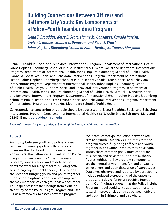# **Building Connections Between Officers and Baltimore City Youth: Key Components of a Police–Youth Teambuilding Program**

*Elena T. Broaddus, Kerry E. Scott, Lianne M. Gonsalves, Canada Parrish, Evelyn L. Rhodes, Samuel E. Donovan, and Peter J. Winch Johns Hopkins Bloomberg School of Public Health, Baltimore, Maryland*

Elena T. Broaddus, Social and Behavioral Interventions Program, Department of International Health, Johns Hopkins Bloomberg School of Public Health; Kerry E. Scott, Social and Behavioral Interventions Program, Department of International Health, Johns Hopkins Bloomberg School of Public Health; Lianne M. Gonsalves, Social and Behavioral Interventions Program, Department of International Health, Johns Hopkins Bloomberg School of Public Health; Canada Parrish, Social and Behavioral Interventions Program, Department of International Health, Johns Hopkins Bloomberg School of Public Health; Evelyn L. Rhodes, Social and Behavioral Interventions Program, Department of International Health, Johns Hopkins Bloomberg School of Public Health; Samuel E. Donovan, Social and Behavioral Interventions Program, Department of International Health, Johns Hopkins Bloomberg School of Public Health; and Peter J. Winch, Social and Behavioral Interventions Program, Department of International Health, Johns Hopkins Bloomberg School of Public Health.

Correspondence concerning this article should be addressed to: Elena Broaddus, Social and Behavioral Interventions Program, Department of International Health, 615 N. Wolfe Street, Baltimore, Maryland 21205; E-mail: [ebroaddu@jhsph.edu](mailto:ebroaddu@jhsph.edu)

*Keywords: inner-city youth, police, urban neighborhoods, model programs, education*

## **Abstract**

48

Animosity between youth and police officers reduces community–police collaboration and increases the likelihood of future negative encounters. The Baltimore Outward Bound Police Insight Program, a unique 1 day police–youth program, brings officers and middle-school students together for a day of team-building activities. Intergroup Contact Theory (ICT) supports the idea that bringing youth and police together under certain optimal conditions can improve the way members of each group view each other. This paper presents the findings from a qualitative study of the Police Insight Program and uses ICT as a framework to assess how the program

facilitates stereotype reduction between officers and youth. Our analysis indicates that the program successfully brings officers and youth together in a situation in which they have equal status, share common goals, must cooperate to succeed, and have the support of authority figures. Additional key program components are the neutral environment, fun and engaging atmosphere, and open discussion of stereotypes. Outcomes observed and reported by participants include reduced stereotyping of the opposite group and a desire for future positive interactions. Our findings suggest that the Police Insight Program model could serve as a steppingstone toward improved relationships between officers and youth in Baltimore and elsewhere.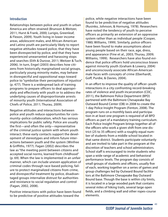## **Introduction**

Relationships between police and youth in urban America are often strained (Brunson & Weitzer, 2011; Hurst & Frank, 2000; Lurigio, Greenleaf, & Flexon, 2009). Youth living in lower income areas, adolescent males, and African-American and Latino youth are particularly likely to report negative attitudes toward police, that they have been disrespected by police, and that they have experienced unwarranted and harassing stops and searches (Eith & Durose, 2011; Weitzer & Tuch, 2006). In turn, Engel (2003) describes how citizens from historically marginalized social groups, particularly young minority males, may behave in disrespectful and oppositional ways toward police to "symbolize their perceptions of injustice" (p. 477). There is a widespread lack of training programs to prepare officers to deal appropriately and effectively with youth or to address the underlying causes of disproportionate arrests of minority youth (International Association of Chiefs of Police, 2011; Thurau, 2009).

Negative attitudes and interactions between police and youth reduce opportunities for community–police collaboration, which has serious implications for public safety. Police are usually the first—and often the only—representative of the criminal justice system with whom youth interact; these early contacts support the development of stereotypes and inform future interactions between youth and the system (Winfree & Griffiths, 1977). Fagan (2002) describes the law as "the meeting point between citizens and accepted social norms, learned from childhood" (p. 69). When the law is implemented in an unfair manner, which can include uneven application of criminal codes through race-based policing, failure to protect marginalized citizens from crime, and disrespectful treatment by police, disadvantaged groups internalize distrust for authorities and resistance to social regulation and control (Fagan, 2002, 2008).

Positive interactions with police have been found to be predictive of positive attitudes toward the

police, while negative interactions have been found to be predictive of negative attitudes (Rusinko, Johnson, & Hornung, 1978). Researchers have noted the tendency of youth to perceive officers as primarily an extension of an oppressive system rather than as individual people (Cooper, 1980; Williams, 1999). Similarly, police officers have been found to make assumptions about young people based on their race, age, dress, and appearance (Fine et al., 2003; Thurau, 2009; Williams, 1999). Researchers have also found evidence that police officers hold unconscious biases against minority youth (Graham & Lowery, 2004) and unconsciously associate African-American male faces with concepts of crime (Eberhardt, Goff, Purdie, & Davies, 2004).

In an effort to improve the quality of officer–youth interactions in a city confronting record-breaking rates of violence and youth incarceration (CDC, 2011), the Baltimore Police Department (BPD) partnered with the Baltimore Chesapeake Bay Outward Bound Center (OB) in 2008 to create the 1-day Police Insight Program (Fenton, 2008). The program runs on a monthly basis and participation in at least one program is required of all BPD officers as part of a mandatory training curriculum. Each Police Insight Program brings together all of the officers who work a given shift from one district (25 to 35 officers) with a roughly equal number of students from a middle school located in that same district. Students participate voluntarily and are invited to take part in the program at the discretion of teachers and school administrators. School staff is encouraged to invite students who span a wide range of academic and behavioral performance levels. The program day consists of small groups of students and officers, usually five of each, working together on a series of games and group challenges led by Outward Bound facilitators at the Baltimore Chesapeake Bay Outward Bound base. Though the base is within city limits, it is located in a large wooded park that contains several miles of hiking trails, several large open fields, and a climbing wall and other ropes-course elements.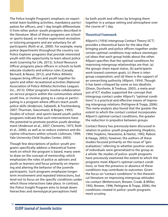The Police Insight Program's emphasis on experiential team-building activities, mandatory participation for officers, and 1-day length differentiate it from other police–youth programs described in the literature. Most of these programs are schoolor sports-based, or involve supervised recreation or tutoring programs and are voluntary for all participants (Roth et al., 2000). For example, many police departments throughout the country run Police Explorer programs that provide interested youth with the opportunity to learn about police work (Learning for Life, 2013), School Resource Officer programs place officers in schools to both educate students and enforce rules (Canady, Bernard, & Nease, 2012), and Police Athletic Leagues bring officers and youth together for sports and other recreational activities (National Association of Police Athletic/Activities Leagues Inc., 2013). Other programs involve collaboration on service projects within the communities where youth live, or involve going to a camp or participating in a program where officers teach youth police skills (Anderson, Sabatelli, & Trachtenberg, 2007; Thurman, Giacomazzi, & Bogen, 1993). Studies of school- and sports-based youth–police programs indicate that such interventions have the potential to promote positive youth development (Anderson et al., 2007; Clements, 1975; Roth et al., 2000), as well as to reduce violence and discipline infractions within schools (Johnson, 1999; Yale University Child Studies Center, 2003).

Though few descriptions of police–youth programs specifically address a theoretical framework on which the program is based, many seem to draw on the concept of mentorship, which emphasizes the roles of police as advisers and youth as learners and focus primarily on improving and altering the behavior of the juvenile participants. Such programs emphasize longerterm involvement and repeated interactions, but tend not to focus on the specific conditions under which those interactions take place. In contrast, the Police Insight Program aims to break down hierarchies and stereotypical perceptions held

by both youth and officers by bringing them together in a unique setting and atmosphere over the course of 1 day.

# **Theoretical Framework**

Allport's (1954) Intergroup Contact Theory (ICT) provides a theoretical basis for the idea that bringing youth and police officers together under certain optimal conditions may reduce stereotypical ideas that each group holds about the other. Allport specifies that the optimal conditions for improving intergroup relationships are that: (a) the groups share equal status, (b) participants work toward common goals, (c) there is intergroup cooperation, and (d) there is the support of an overarching authority (Allport, 1954). Though it has been critiqued by some as too idealistic (Dixon, Durrheim, & Tredoux, 2005), a meta-analysis of ICT studies supported the concept that intergroup contact under Allport's "optimal conditions" is a practical and effective means of improving intergroup relations (Pettigrew & Tropp, 2006). This meta-analysis also found that the greater the extent to which the contact context incorporates Allport's optimal contact conditions, the greater the reduction in prejudice between groups.

Contact theory has previously been discussed in relation to police–youth programming (Hopkins, 1994; Hopkins, Hewstone, & Hantzi, 1992; Rabois & Haaga, 2002); however, the authors of these studies focused primarily on the issue of "generalization," referring to whether positive views of individuals were generalized to the group as a whole. No studies of police–youth programs have previously examined the extent to which the programs meet Allport's optimal contact conditions, or how the presence or absence of these conditions may contribute to outcomes. Given the focus on "contact conditions" in the theoretical literature on improving intergroup attitudes via contact (Bettencourt, Brewer, Croak, & Miller, 1992; Brewer, 1996; Pettigrew & Tropp, 2006), the conditions created in police–youth programs merit scrutiny.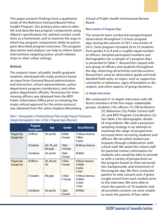This paper presents findings from a qualitative study of the Baltimore Outward Bound Police Insight Program. Our primary aims were to identify and describe key program components using Allport's specifications for optimal contact conditions as a framework, and to examine the ways in which key program components relate to participant-described program outcomes. This program description and analysis can help to inform future interventions targeting police–youth relationships in other urban settings.

# **Methods**

The research team, all public health graduate students, developed the study protocol based on input from Outward Bound administrators and instructors, school representatives, police department program coordinators, and other police department officials. Permission for interviewing officers was obtained from the BPD Public Information Office prior to initiating the study; ethical approval for the entire protocol was obtained from the Johns Hopkins Bloomberg

Table 1. *Demographics of Outward Bound Police Insight Program Participants (Sample Demographics from 2 of the 5 Program Days Observed)*

|                                          | Program<br><b>Participants</b> | Age                        | Gender               | <b>Race/Ethnicity</b>                                  |
|------------------------------------------|--------------------------------|----------------------------|----------------------|--------------------------------------------------------|
| Program Day<br><b>Example One</b>        | 24 Officers                    | 30s and 40s                | 20 Male<br>4 Female  | 13 African-American<br>7 White<br>4 Latino             |
|                                          | 20 Students                    | 6th, 7th, and<br>8th grade | 7 Male<br>13 Female  | All African-American                                   |
|                                          | 5 Facilitators                 | 20s and 30s                | 3 Male<br>2 Female   | All White                                              |
| <b>Program Day</b><br><b>Example Two</b> | 28 Officers                    | 30s, 40s and<br>50s        | 23 Male<br>5 Female  | 9 African-American<br>14 White<br>4 Latino<br>1 Asian  |
|                                          | 33 Students                    | 8th grade                  | 12 Male<br>21 Female | 19 African-American<br>10 White<br>3 Latino<br>1 Asian |
|                                          | <b>4 Facilitators</b>          | 20s and 30s                | 2 Male<br>2 Female   | <b>All White</b>                                       |

School of Public Health Institutional Review Board.

# **Observation of Program Days**

The research team conducted semiparticipant observation throughout 5 6-hour program days during the autumn of 2011 and winter of 2012. Each program included 20 to 35 students from grades 6 to 8 and a roughly equal number of officers. Detailed participant numbers and demographics for a sample of 2 program days is presented in Table 1. Researchers stayed with one group of officers and students throughout the day, observing all activities and discussions. Researchers used an observation guide and took detailed field notes on topics such as supportive comments or behaviors, signs of boredom or disrespect, and other aspects of group dynamics.

#### **In-Depth Interviews**

We conducted 27 in-depth interviews with different members of the five major stakeholder groups: students (10); officers (7); OB facilitators

(5); Baltimore City Public School staff (3); and BPD Program Coordinators (2). See Table 2 for demographic details of respondents. We used a purposive sampling strategy in an attempt to maximize the range of perspectives accessed when recruiting students and officers. We recruited student participants through collaboration with school staff. We asked the school staff for parental contact information for students who would be able to provide us with a variety of perspectives on the program based on their personalities, backgrounds, and enjoyment of the program day. We then contacted parents to seek consent and, if given, sought assent from each student prior to the interview. We were able to reach the parents of 10 students and all provided consent; we were unable to reach the parents of four other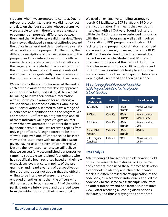students whom we attempted to contact. Due to privacy protection standards, we did not collect any data on the four students whose parents we were unable to reach; therefore, we are unable to comment on potential differences between them and the 10 students we did interview. Those interviewed displayed a range of attitudes toward the police in general and described a wide variety of perceptions of the program. Furthermore, their different descriptions of their experience with the program and their interactions with the officers seemed to accurately reflect our observations of the larger groups of student participants during the program day—in short, these students did not appear to be significantly more positive about the program or better behaved than their peers.

We recruited officers for interviews at the end of each of the 2 winter program days by approaching them individually and asking if they would be willing to leave their contact information with us so we could arrange for an interview. We specifically approached officers who, based on our observations, seemed to have a range of experiences and opinions about the program. We approached 13 officers on program days and all of them indicated willingness to give an interview. When we attempted to contact them later by phone, text, or E-mail we received replies from only eight officers. All eight agreed to be interviewed. However, one officer cancelled his interview at the last minute with no specific reason given, leaving us with seven officer interviews. Despite the low response rate, we still believe that we successfully accomplished our purposive sampling strategy; we retained four officers who had specifically been recruited based on their low enthusiasm levels at certain points of the program day and heard a variety of perspectives on the program. It does not appear that the officers willing to be interviewed were more youthengaged or enthusiastic than the officers who did not respond to our requests. All of the officer participants we interviewed and observed were from the midnight shift in their given district.

We used an exhaustive sampling strategy to recruit OB facilitators, BCPS staff, and BPD program coordinators. This means that we sought interviews with all Outward Bound facilitators within the Baltimore area experienced in working with the Insight Program, as well as all involved BCPS staff and BPD program coordinators. All facilitators and program coordinators responded and were interviewed; however, one of the BCPS staff members declined to be interviewed due to her busy schedule. Student and BCPS staff interviews took place at their school during the day. Interviews with officers, OB facilitators, and BPD program coordinators took place at a location convenient for their participation. Interviews were digitally recorded and then transcribed.

Table 2. *Demographics of the Outward Bound Police Insight Program Stakeholders That Participated in In-Depth Interviews*

| <b>Interview</b><br><b>Participants</b> | Age        | <b>Gender</b>      | <b>Race/Ethnicity</b>                  |
|-----------------------------------------|------------|--------------------|----------------------------------------|
| <b>10 Students</b>                      | 12 to 14   | 3 Male<br>7 Female | 9 African-American<br>1 White          |
| 70fficers                               | 20s to 50s | 6 Male<br>1 Female | 5 African-American<br>1 White 1 Latino |
| 5 Facilitators                          | 20s to 40s | 3 Male<br>2 Female | 2 African-American<br>3 White          |
| 3 School Staff<br><b>Members</b>        | 20s to 50s | 1 Male<br>2 Female | <b>All White</b>                       |
| 2 BPD Program<br>Coordinators           | 40s to 50s | 2 Male             | 1 African-American<br>1 White          |

# **Data Analysis**

After reading all transcripts and observation field notes, the research team discussed key themes and concepts, then used these themes to develop a codebook. To identify and eliminate inconsistencies in different researchers' application of the codebook, all researchers individually applied the codebook to the same two transcripts (one from an officer interview and one from a student interview). After resolving all coding discrepancies that arose, and thus clarifying the appropriate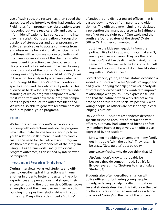use of each code, the researchers then coded the transcripts of the interviews they had conducted. Field notes from program day observations were not coded but were read carefully and used to inform identification of key concepts in the interview transcripts. Our observation of group discussions of stereotypes and other program day activities enabled us to access comments from and observe the behavior of all participants, not just those with whom we conducted individual interviews. Observations of the changes in officer–student interaction over the course of the day provided critical information when drawing conclusions about the program's outcomes. After coding was complete, we applied Allport's (1954) ICT as a tool for analysis by examining whether our findings fit the theory's contact condition specifications and the outcomes it predicts. This allowed us to develop a deeper theoretical understanding of which program components were most important and how those program components helped produce the outcomes identified. We were also able to generate recommendations for future police–youth programs.

# **Results**

We first present respondent's perceptions of officer–youth interactions outside the program, which illuminate the challenges facing police– youth relations in Baltimore, in order to contextualize the need for the Police Insight Program. We then present key components of the program using ICT as a framework. Finally, we discuss program outcomes, as described by interviewed participants.

## **Interactions and Perceptions "On the Street"**

During interviews we asked students and officers to describe typical interactions with one another in order to better understand the prior experiences and perceptions that shaped their encounter during the program day. Officers spoke at length about the many barriers they faced to building more positive relationships with youth in the city. Many officers described a "culture"

of antipathy and distrust toward officers that is passed down to youth from parents and older siblings. The officers overwhelmingly articulated a perception that many adolescents in Baltimore were "not on the right path." One explained that youth are "our predators of the street" (Male Officer 7). Another commented that:

Just like the kids see negativity from the police… like locking up and things that aren't, aren't positive, you know. They see that and they don't feel like dealing with it. And, it's the same for us. We deal with the kids on a difficult basis and, you just like, ah, I don't feel like dealing with it. (Male Officer 1)

Several officers, youth, and facilitators described a subset of officers who were "jaded" or "angry" and had given up trying to "help"; however, nearly all officers interviewed said they wanted to improve relationships with youth. They expressed frustration that the nature of their work did not allow time or opportunities to socialize positively with young people, as officers are present only in challenging situations.

Only 2 of the 10 student respondents described specific firsthand accounts of interaction with officers, but many had witnessed friends or family members interact negatively with officers, as expressed by this student:

Like when my siblings or someone in my family get in trouble [with the police]. They just, it, it be crazy. [Gets quieter] Just be crazy

*Interviewer:* Yeah... why do you think that is?

*Student:* I don't know... It probably be because they do somethin' bad. But, it's family over everything. [Gestures to chest.] (Male Student 3)

Students also often described irritation with police officers for bothering young people unfairly, or failing to help in difficult situations. Several students described this failure on the part of officers to respond when needed as evidence of a lack of "caring" on the part of the officers.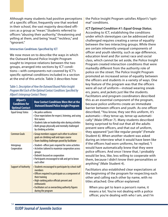Although many students had positive perceptions of a specific officer, frequently one that worked in their school, the vast majority described officers as a group as "mean." Students referred to officers "abusing their authority," threatening and yelling at them, and being "mad," "reckless," and "ignorant."

#### **Interaction Conditions Specified by ICT**

We now move on to describe the ways in which the Outward Bound Police Insight Program sought to improve relations between the two groups, arranged into sections by ICT conditions—with components not covered by ICT's specific optimal conditions included in a section at the end of this article. Table 3 describes how

Table 3. *Description of How the Outward Bound Police Insight Program Met Each of the Optimal Contact Conditions Specified by Allport's Intergroup Contact Theory*

| <b>Allport's</b><br><b>Conditions for</b><br><b>Optimal Contact</b> | <b>How Contact Conditions Were Met at the</b><br><b>Outward Bound Police Insight Program</b>                                                                                                                                                                                          |
|---------------------------------------------------------------------|---------------------------------------------------------------------------------------------------------------------------------------------------------------------------------------------------------------------------------------------------------------------------------------|
| <b>Equal Group Status</b>                                           | • No police uniforms<br>• Clear expectations for respect, listening, and using<br>first names<br>• Students take on leadership roles during activities<br>• Both groups physically and mentally challenged<br>by climbing activities                                                  |
| Common Goals                                                        | • Group members support each other to achieve<br>goals on climbing wall and ropes course<br>• Team-building challenges posed by facilitator                                                                                                                                           |
| Intergroup<br>Cooperation                                           | • Student-officer pairs required for some activities<br>• Activities tailored to maximize cooperation across<br>groups<br>• Debriefs focused on cooperation<br>• Participants encouraged to talk and get to know<br>each other                                                        |
| <b>Support of Authority</b>                                         | • Students encouraged to participate by school staff<br>members<br>• Officers required to participate as a component of<br>their training<br>. High-ranking police officials present and<br>enthusiastic<br>• Facilitators act as overarching authority figures<br>during the program |

the Police Insight Program satisfies Allport's "optimal" conditions.

*ICT Optimal Condition #1: Equal Group [Status.](Status.According)* [According](Status.According) to ICT, establishing the conditions under which stereotypes can be addressed and challenged requires creating a sense of equality between the two interacting groups. While there are certain inherently unequal components of officer and youth identity, such as age difference, education level and (for some) race and social class, which cannot be set aside, the Police Insight Program created interaction conditions that were markedly different from the authority role of police on the street. The Police Insight Program promoted an increased sense of equality between the officers and students in a variety of ways. One key feature of the program was that the officers were all out of uniform—instead wearing sneakers, jeans, and jackets just like the students. Facilitators and program coordinators described this as an essential component of the program, because police uniforms create an immediate barrier between officers and youth. As one officer described, "You know, they see this uniform, it's automatic—they tense up, tense up automatically" (Male Officer 7). Many students described being surprised to find out that all the adults present were officers, and that out of uniform, they appeared "just like regular people" (Female Student 6). When another student was asked during an interview what it would have been like if the officers had worn uniforms, he replied, "I would have automatically knew that they were police officers. And once I knew that, I probably would be less, like, less willing to cooperate with them, because I didn't know their personalities or anything" (Male Student 4).

Facilitators also established clear expectations at the beginning of the program for respecting each other and calling each other by name, with no titles attached. One officer explained:

When you get to learn a person's name, it means a lot. You're not dealing with a police officer, you're dealing with who I am, and I'm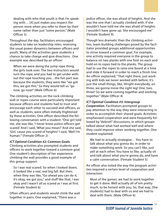dealing with who that youth is that I'm speaking with… [it] just makes you respect the person more when you refer to them by their name rather than just "some person." (Male Officer 5)

Throughout the day, facilitators encouraged students to take on leadership roles, reversing the usual power dynamics between officers and youth. Many of the activities gave students a chance to take charge and give directions. One example was described by an officer:

When we were doing the jump rope thing, the girls took over. The two instructors would turn the rope, and you had to get under without the rope touching you…the fun part was because the students, they were like "we got this, we got this." So they would tell us "go now, go now!" (Male Officer 6)

The climbing activities on the rock-climbing wall or ropes-course were particularly important because officers and students had to trust and encourage each other to succeed and officers, as well as students, were often initially frightened by these activities. One officer described the following conversation with a student: "One girl told me, she was like, 'I never knew police officers get scared.' And I said, 'What you mean?' And she said, 'Girl, cause you scared of heights!' I said, 'Well I'm human.'" (Female Officer 2)

## *ICT Optimal Condition #2: Common Goals.*

Climbing activities also prompted students and officers to work together toward a common goal. One student's description of her experience climbing the wall provides a good example of this group support:

So I was real scared. So when I looked down, it looked like a real, real big fall. But then, when they was like, "Go ahead you can do it, it's okay, we got you," and stuff like that, I was okay and I wasn't all as scared as I was at first. (Female Student 6)

Often officers and students would climb the wall together in pairs. One explained, "There was a

police officer, she was afraid of heights. And she was the one that I actually climbed with. If she wouldn't have told me she was afraid of heights I wouldn't have gone up. She encouraged me" (Female Student 9).

Though less dramatic than the climbing activities, team-building challenges posed by the facilitator provided groups additional opportunities to strive toward a common goal. For example, one activity required everyone in the group to balance on two planks with one foot on each and hold on to ropes tied to the planks. The group had to use the ropes to raise one board at a time and slide it forward in order to reach a finish line. An officer explained, "That right there, just working with kids we never worked with before, it's just the small things, like, 'Alright everybody, on three, we gonna move the right leg! One, two, three!' So we were coming together and working together." (Male Officer 4)

#### *ICT Optimal Condition #3: Intergroup*

*Cooperation.* Facilitators prompted groups to pay attention to the way they were interacting in order to accomplish their shared goals. Activities emphasized cooperation and were frequently followed by "debrief" discussions, in which groups talked about what had worked well and where they could improve when working together. One student explained:

We had to actually strategize… You have to talk about what you gonna do, in order to make something work. So you can't like, just yell at each other. You have to like, actually sit and talk about what you're gonna do, and have a calm conversation. (Female Student 5)

An officer also noted the way the program activities required a certain level of cooperation and interaction:

Most of the games, we had to work together to get it done. Well actually all of 'em pretty much, to be honest with you. So, that way, [the students] had to deal with us and we had to deal with them. (Male Officer 6)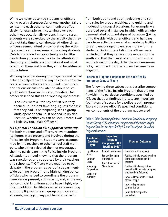While we never observed students or officers being overtly disrespectful of one another, failure to listen to each other or communicate effectively (for example yelling, talking over each other) was occasionally evident. In some cases, students were so excited by the activity that they did not take time to collaborate. At other times, officers seemed intent on completing the activity correctly at the expense of involving students. Debriefs provided an opportunity for facilitators to bring these dynamics to the attention of the group and initiate a discussion about what prompted them and how they could be addressed in the future.

Working together during group games and paired activities helped pave the way to casual conversations between officers and students over lunch, and serious discussions later on about police– youth interactions in their communities. One officer described this as an "opening up" process:

[The kids] were a little shy at first but, they opened up. It didn't take long. I guess the tasks that they had us participating in as a group kinda opened them up. It opened us up also. Because, whether you can believe, I mean, I was a little shy too. (Male Officer 4)

*ICT Optimal Condition #4: Support of Authority.*  For both students and officers, relevant authority figures were present and involved during the Police Insight Program. Students were accompanied by the teachers or other school staff members, who either selected them or encouraged them to participate in the Police Insight Program. All students arrived knowing that the program was sanctioned and supported by their teachers and school staff. Officers were required to participate in the program as part of a departmentwide training program, and high-ranking police officials who helped to coordinate the program were always present, enthusiastic, and, as the only police official in uniform at the base, highly visible. In addition, facilitators acted as overarching authority figures for each group of officers and students, managing any problematic behavior

from both adults and youth, selecting and setting rules for group activities, and guiding and moderating group discussions. For example, we observed several instances in which officers who demonstrated outward signs of boredom (joking off to the side with other officers and hanging back from activities) were taken aside by facilitators and encouraged to engage more with the students. During these talks, the officers were reminded that they serve as role models for the youth and that their level of enthusiasm would set the tone for the day. After these one-on-one talks, we noticed that the officers became more engaged.

## **Important Program Components Not Specified by Intergroup Contact Theory**

The following three subsections describe components of the Police Insight Program that did not fit within the particular conditions specified by ICT, yet that our findings indicate are important facilitators of success for a police–youth program. Table 4 displays Allport's specified conditions, key components of the program not covered

Table 4. *Table Displaying Contact Conditions Specified by Intergroup Contact Theory (ICT), Important Components of the Police Insight Program That Are Not Specified by ICT, and Participant-Described Program Outcomes*

| <b>Conditions</b><br><b>Specified</b><br>by ICT | <b>Important</b><br><b>Program</b><br><b>Components Not</b><br><b>Specified by ICT</b> | <b>Program Outcomes</b>                                              |
|-------------------------------------------------|----------------------------------------------------------------------------------------|----------------------------------------------------------------------|
| <b>Equal Group</b>                              | <b>Neutral Environment</b>                                                             | • Reduction in stereotyping                                          |
| <b>Status</b>                                   | Fun and Engaging                                                                       | • Positive attitude toward members                                   |
| Common<br>Goals                                 | Atmosphere                                                                             | of the opposite group in the                                         |
|                                                 | Open Discussion of                                                                     | program                                                              |
| Intergroup<br>Cooperation                       | <b>Stereotypes</b>                                                                     | • Positive attitude may not be<br>generalized to opposite group as a |
| Support of                                      |                                                                                        | whole without follow-up                                              |
| Authority                                       |                                                                                        | • Increased tendency to see each<br>other as people                  |
|                                                 |                                                                                        | • Increased openness to<br>communication                             |
|                                                 |                                                                                        | • Desire for future positive<br>interaction                          |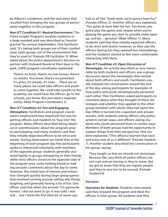by Allport's conditions, and the outcomes that resulted from bringing the two groups of participants together in this program.

*Non-ICT Condition #1: Neutral Environment.* The Police Insight Program's location outdoors in a large wooded park was described as "neutral ground" by several stakeholders. One facilitator said, "It's taking both groups out of their comfort zone, both groups out of the environment that they're used to" (Female OB Facilitator 3). When asked about the police department's decision to partner with Outward Bound at their base in the park, a BPD program coordinator explained:

There's no brick, there's no row homes, there's no streets. You know, there's no pavement. It's grass, it's woods, it's trees… There are so many places we could take officers and youth to come together. We could take [youth] to the academy, we could have the officers go to the schools, you know. But you need a separate entity. (Male Program Coordinator 2)

*Non-ICT Condition #2: Fun and Engaging Atmosphere.* Facilitators and program coordinators emphasized how important fun was for getting officers and students to "buy into" the program. Many officers described being skeptical or unenthusiastic about the program prior to participating, and many students said that they initially expected officers to be strict and severe. During observation we noted that at the beginning of each program day few participants spoke or interacted voluntarily with members of the opposite group: students generally clustered tightly in groups whispering to their friends while most officers stood on the opposite side of the program area, some looking bored or making sarcastic comments about the day to come. However, this initial lack of interest and interaction changed quickly during large-group games that involved running around, yelling silly things, laughing, and generally having a lot of fun. One officer said that when she arrived, "I'm gonna be honest. I did not want to go. It was cold. I was sick… but I think the first little bit of warm-ups

had us all like, 'Oooh yeah, we're gonna have fun'" (Female Officer 2). Another officer also explained, "You gotta at least fake the fun. You know, you gotta play the game, and, maybe when you're playing the game you start to actually really open up, and be… genuine" (Male Officer 1). Many students said that they initially expected officers to be strict and severe; however, as they saw the officers having fun they seemed less intimidating, and the students started to feel more comfortable interacting with them.

*Non-ICT Condition #3: Open Discussion of Stereotypes.* An activity described as very memorable by both students and officers was a group discussion about the stereotypes that existed about both officers and youth. Facilitators usually initiated the conversation toward the end of the day, asking participants for examples of how police and youth stereotypically perceived each other. Then facilitators asked participants to comment about what they thought of these stereotypes and whether they applied to the other group members with whom they had spent the day. Often it turned into a question and answer session, with students asking officers why police acted in certain ways, and officers asking students why youth perceived them in certain ways. Members of both groups had the opportunity to explain things from their perspective. One student explained, "[The officers] learned that each and every one of us is different" (Female Student 7). Another student described the conversation in her group, saying:

They taught us that we should not stereotype. Because like, you think all police officers are not cool and are boring or they're mean. But we got to know that they are regular people and they're very fun to be around. (Female Student 8)

## **Outcomes**

*Outcomes for Students.* Students interviewed said they enjoyed the program and liked the officers in their group. All students said they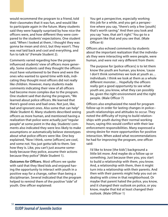would recommend the program to a friend, told their classmates that it was fun, and would like to participate again in the future. Many students said they were happily surprised by how nice the officers were, and how different they were compared to the students' expectations. One student said, "When I looked at them, I thought they was gonna be mean and strict, but they wasn't. They was real laid back and cool and everything, and fun to talk to" (Female Student 2).

Comments varied regarding how the program influenced students' view of officers more generally. Some students said they thought the officers must have volunteered to be there and were the ones who wanted to spend time with kids, indicating they thought most officers did not really like children. However, many students made comments indicating their view of all officers had become more complex due to the program. One student said that during the program, "We learned about police officers. We learned that there's good ones and bad ones. Not just, like, bad and ignorant ones. Also some that can help" (Male Student 4). Many students described seeing officers as more human, and mentioned having a realization that police were actually just "regular people" at some point in the day. Students' comments also indicated they were less likely to make assumptions or automatically believe stereotypes about what police officers were like. One boy explained, "Now I think, some [officers] are cool, and some not. You just gotta talk to them. See how they is. Like, you can't just assume somebody because they police, assume their actions because they police" (Male Student 1).

*Outcomes for Officers.* Most officers we spoke with said that they liked kids and enjoyed having the opportunity to interact with youth in a positive way for a change, rather than being a disciplinarian. Several indicated that the program helped to remind them of the positive "side" of youth. One officer explained:

You get a perspective, especially working this job for a while, and you get a perspective where you say, "there's only a few [youth] that's worth saving." And then you look and you say "naw, that ain't right." You go to a program like that and you see that. (Male Officer 6)

Officers also echoed comments by students about the important realization that the individuals they were interacting with were people, were human, and were not very different from them:

The purpose for [police officers] is to let them know the youth are human, you know, 'cause I don't think sometimes we look at youth as… individuals. I think we look at them as a whole different monster… Hopefully the officers really got a good opportunity to see what youth are, you know, what they can possibly be, given the right environment and the right people. (Male Officer 7)

Officers also emphasized the need for program follow-up in order for lasting changes in police– youth relationships and attitudes to occur. They noted the difficulty of trying to build relationships with youth during their normal working hours, saying this would conflict with their law enforcement responsibilities. Many expressed a strong desire for more opportunities for positive interaction. When asked what recommendations he had for improving the program, one officer said:

I'd like to know [the kids'] background a little bit more. And maybe do a follow up or something. Just because then you, you start to build a relationship with them, you know. And, a relationship with them, then it might turn into a relationship with their parents. And then with their parents might help you out on dealing with crime in that neighborhood. Or maybe that parent hated the police, you know, and it changed their outlook on police, or you know, maybe that kid at least changed their outlook. (Male Officer 1)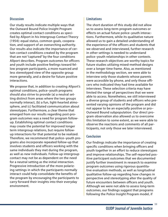# **Discussion**

Our study results indicate multiple ways that the Outward Bound Police Insight Program creates optimal contact conditions as specified by Allport in his Intergroup Contact Theory (1954): equal status, common goals, cooperation, and support of an overarching authority. Our results also indicate the importance of certain contact conditions created by the program that are not "captured" by the four conditions Allport describes. Program outcomes for officers and youth include positive feelings toward fellow program participants, a more nuanced and less stereotyped view of the opposite group more generally, and a desire for future positive interactions.

We propose that, in addition to creating Allport's optimal conditions, police–youth programs should also strive to provide (a) a neutral setting distinct from areas where the two groups normally interact, (b) a fun, light-hearted atmosphere, and (c) facilitated communication about stereotypes. Furthermore, a clear theme that emerged from our results regarding post-program outcomes was a need for program followup. Establishing optimal contact conditions may create the potential for improved longer term intergroup relations, but require followup interactions for that potential to be realized. Therefore, we recommend that police–youth programs also incorporate repeated follow-up that involves students and officers working with the same individuals they met during the program, as well as new individuals. Follow-up intergroup contact may not be as dependent on the need for a neutral setting as the initial interaction. Progressive introduction of the more polarizing settings in which the participants normally interact could help consolidate the benefits of the program by encouraging the participants to carry forward their insights into their everyday environment.

## **Limitations**

The short duration of this study did not allow us to assess long-term program outcomes or effects on actual future police–youth interactions. Furthermore, while its qualitative nature allowed us to gain a detailed understanding of the experience of the officers and students that we observed and interviewed, further research in other settings is needed to understand police–youth relationships in other contexts. These research objectives are worthy topics for future studies utilizing mixed-method designs over a longer time frame. Also, as mentioned in the methodology section, we were able to interview only those students whose parents were accessible by phone, and only those officers who indicated they had time available for interviews. These selection criteria may have limited the range of perspectives that we were able to access. Nonetheless, we still interviewed a diverse group of students and officers who presented varying opinions of the program and did not appear to be an especially positive or pro– Outward Bound subpopulation. Our direct program observation also allowed us to overcome this limitation to some extent, as we were able to observe the reactions and comments of all participants, not only those we later interviewed.

## **Conclusion**

Our findings indicate the importance of creating specific conditions when bringing officers and youth together in an effort to reduce stereotypes and improve relationships. The self-reported positive participant outcomes that we documented justify further investment in research to examine program outcomes using rigorous quantitative evaluation methods, as well as longitudinal qualitative follow-up regarding how changes in perspective and stereotyping alter the quality of future encounters between officers and youth. Although we were not able to assess long-term outcomes, our findings suggest that programs following the Police Insight Program model, if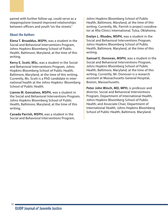paired with further follow-up, could serve as a steppingstone toward improved relationships between officers and youth "on the streets."

# **About the Authors**

**Elena T. Broaddus, MSPH,** was a student in the Social and Behavioral Interventions Program, Johns Hopkins Bloomberg School of Public Health, Baltimore, Maryland, at the time of this writing.

**Kerry E. Scott, MSc,** was a student in the Social and Behavioral Interventions Program, Johns Hopkins Bloomberg School of Public Health, Baltimore, Maryland, at the time of this writing. Currently, Ms. Scott is a PhD candidate in international health at the Johns Hopkins Bloomberg School of Public Health.

**Lianne M. Gonsalves, MSPH,** was a student in the Social and Behavioral Interventions Program, Johns Hopkins Bloomberg School of Public Health, Baltimore, Maryland, at the time of this writing.

**Canada Parrish, MSPH,** was a student in the Social and Behavioral Interventions Program, Johns Hopkins Bloomberg School of Public Health, Baltimore, Maryland, at the time of this writing. Currently, Ms. Parrish is project coordinator at Afia Clinics International, Tulsa, Oklahoma.

**Evelyn L. Rhodes, MSPH,** was a student in the Social and Behavioral Interventions Program, Johns Hopkins Bloomberg School of Public Health, Baltimore, Maryland, at the time of this writing.

**Samuel E. Donovan, MSPH,** was a student in the Social and Behavioral Interventions Program, Johns Hopkins Bloomberg School of Public Health, Baltimore, Maryland, at the time of this writing. Currently, Mr. Donovan is a research assistant at Massachusetts General Hospital, Boston, Massachusetts.

**Peter John Winch, MD, MPH,** is professor and director, Social and Behavioral Interventions Program, Department of International Health, Johns Hopkins Bloomberg School of Public Health; and Associate Chair, Department of International Health, Johns Hopkins Bloomberg School of Public Health, Baltimore, Maryland.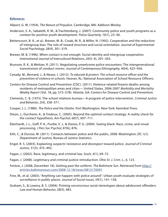### **References**

Allport, G. W. (1954). *The Nature of Prejudice*. Cambridge, MA: Addison-Wesley.

- Anderson, S. A., Sabatelli, R. M., & Trachtenberg, J. (2007). Community police and youth programs as a context for positive youth development. *Police Quarterly, 10*(1), 23–40.
- Bettencourt, B. A., et al., Brewer, M. B., Croak, M. R., & Miller, N. (1992). Cooperation and the reduction of intergroup bias: The role of reward structure and social orientation. *Journal of Experimental Social Psychology, 28*(4), 301–319.
- Brewer, M. B. (1996). When contact is not enough: Social identity and intergroup cooperation. *International Journal of Intercultural Relations, 20*(3–4), 291–303.
- Brunson, R. K., & Weitzer, R. (2011). Negotiating unwelcome police encounters: The intergenerational transmission of conduct norms. *Journal of Contemporary Ethnography, 40*(4), 425–456.
- Canady, M., Bernard, J., & Nease, J. (2012). *To educate & protect: The school resource officer and the prevention of violence in schools.* Hoover, AL: National Association of School Resource Officers.
- Centers for Disease Control and Prevention (CDC). (2011). Violence-related firearm deaths among residents of metropolitan areas and cities— United States, 2006-2007 *Morbidity and Mortality Weekly Report* (Vol. 18, pp. 573–578). Atlanta, GA: Centers for Disease Control and Prevention.
- Clements, C. B. (1975). The school relations bureau—A program of police intervention. *Criminal Justice and Behavior, 2*(4), 358–371.
- Cooper, J. L. (1980). *The Police and the Ghetto*. Port Washington, New York: Kennikat Press.
- Dixon, J., Durrheim, K., & Tredoux, C. (2005). Beyond the optimal contact strategy: A reality check for the contact hypothesis. *Am Psychol, 60*(7), 697–711.
- Eberhardt, J. L., Goff, P. A., Purdie, V. J., & Davies, P. G. (2004). Seeing black: Race, crime, and visual processing. *J Pers Soc Psychol, 87*(6), 876.
- Eith, C., & Durose, M. (2011). Contacts between police and the public, 2008. Washington, DC: U.S. Department of Justice, Bureau of Justice Statistics.
- Engel, R. S. (2003). Explaining suspects' resistance and disrespect toward police. *Journal of Criminal Justice, 31*(5), 475–492.
- Fagan, J. (2002). Race, legitimacy, and criminal law. *Souls, 4*(1), 69–72.
- Fagan, J. (2008). Legitimacy and criminal justice-introduction. *Ohio St. J. Crim. L., 6*, 123.
- Fenton, J. (2008, December 18). Getting past the uniform. *The Baltimore Sun*. Retrieved from [http://](http://articles.baltimoresun.com/2008-12-18/news/0812170091) [articles.baltimoresun.com/2008-12-18/news/0812170091](http://articles.baltimoresun.com/2008-12-18/news/0812170091)
- Fine, M., et al. (2003). "Anything can happen with police around": Urban youth evaluate strategies of surveillance in public places. *Journal of Social Issues, 59*(1), 141–158.
- Graham, S., & Lowery, B. S. (2004). Priming unconscious racial stereotypes about adolescent offenders. *Law and Human Behavior, 28*(5), 483.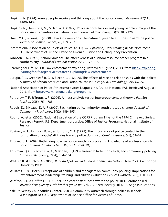- Hopkins, N. (1994). Young people arguing and thinking about the police. *Human Relations, 47*(11), 1409–1432.
- Hopkins, N., Hewstone, M., & Hantzi, A. (1992). Police-schools liaison and young people's image of the police: An intervention evaluation. *British Journal of Psychology, 83*(2), 203–220.
- Hurst, Y. G., & Frank, J. (2000). How kids view cops: The nature of juvenile attitudes toward the police. *Journal of Criminal Justice, 28*, 189–202.
- International Association of Chiefs of Police. (2011). *2011 juvenile justice training needs assessment.* U.S. Department of Justice, Office of Juvenile Justice and Delinquency Prevention.
- Johnson, I. M. (1999). School violence The effectiveness of a school resource officer program in a southern city. *Journal of Criminal Justice, 27*(2), 173–192.
- Learning for Life. (2013). Law enforcement exploring. Retrieved August 1, 2013, from [http://exploring.](http://exploring.learningforlife.org/services/career-exploring/law-enforcement/) [learningforlife.org/services/career-exploring/law-enforcement/](http://exploring.learningforlife.org/services/career-exploring/law-enforcement/)
- Lurigio, A. J., Greenleaf, R. G., & Flexon, J. L. (2009). The effects of race on relationships with the police: A survey of African American and Latino Youths in Chicago. *W. Criminology Rev., 10*, 29.
- National Association of Police Athletic/Activities Leagues Inc. (2013). National PAL. Retrieved August 1, 2013, from<http://www.nationalpal.org/programs>
- Pettigrew, T. F., & Tropp, L. R. (2006). A meta-analytic test of intergroup contact theory. *J Pers Soc Psychol, 90*(5), 751–783.
- Rabois, D., & Haaga, D. A. F. (2002). Facilitating police–minority youth attitude change. *Journal of Community Psychology, 30*(2), 189–195.
- Roth, J. A., et al. (2000). National Evaluation of the COPS Program Title I of the 1994 Crime Act. Series: Research Report. U.S. Department of Justice: Office of Justice Programs, National Institute of Justice.
- Rusinko, W. T., Johnson, K. W., & Hornung, C. A. (1978). The importance of police contact in the formulation of youths' attitudes toward police. *Journal of Criminal Justice, 6*(1), 53–67.
- Thurau, L. H. (2009). Rethinking how we police youth: Incorporating knowledge of adolescence into policing teens. *Children's Legal Rights Journal, 29*(3).
- Thurman, Q. C., Giacomazzi, A., & Bogen, P. (1993). Research Note: Cops, kids, and community policing. *Crime & Delinquency, 39*(4), 554–564.
- Weitzer, R., & Tuch, S. A. (2006). *Race and policing in America: Conflict and reform*. New York: Cambridge University Press.
- Williams, B. N. (1999). Perceptions of children and teenagers on community policing: Implications for law enforcement leadership, training, and citizen evaluations. *Police Quarterly, 2*(2), 150–173.
- Winfree, L. T., & Griffiths, C. T. (1977). Adolescent attitudes toward the police. In T. Ferdinand (Ed.), *Juvenile delinquency: Little brother grows up* (Vol. 2, 79–99). Beverly Hills, CA: Sage Publications.
- Yale University Child Studies Center. (2003). Community outreach through police in schools. Washington DC: U.S. Department of Justice, Office for Victims of Crime.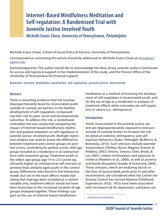# **Internet-Based Mindfulness Meditation and Self-regulation: A Randomized Trial with Juvenile Justice Involved Youth**

*Michelle Evans-Chase, University of Pennsylvania, Philadelphia*

Michelle Evans-Chase, School of Social Policy & Practice, University of Pennsylvania.

Correspondence concerning this article should be addressed to: Michelle Evans-Chase at [meva@sp2.](mailto:meva@sp2.upenn.edu) [upenn.edu](mailto:meva@sp2.upenn.edu)

Acknowledgments: The author would like to acknowledge the New Jersey Juvenile Justice Commission for access and logistical support in the implementation of the study, and the Provost Office of the University of Pennsylvania for financial support.

#### *Keywords: Internet, mindfulness meditation, self-regulation, juvenile justice, intervention*

# **Abstract**

There is mounting evidence that the traumas disproportionately faced by incarcerated youth outside of custody are barriers to the healthy development of self-regulation, compounding their risk for poor social and developmental outcomes. To address this risk, a randomized controlled trial was conducted comparing the impact of Internet-based mindfulness meditation and guided relaxation on self-regulation in juvenile justice–involved youth. Multiple regression analysis was used to assess the differences between treatment and control groups on posttest scores, controlling for pretest scores, with age group included as a moderator in an interaction term with treatment group. Treatment youth in the oldest age group (age 19 to 23) scored significantly higher on interpersonal self-restraint at posttest than similarly aged youth in the control group. Differences were found in the interaction model, but not in the main effects model indicating that, had age been included as a control variable only, treatment effects would not have been found due to the increased variation of age groups analyzed together. These findings support (a) the use of Internet-based mindfulness

meditation as a method of fostering the development of self-regulation in incarcerated youth, and (b) the use of age as a moderator in analyses of treatment effects when outcomes are self-regulatory in nature (i.e., delinquency).

# **Introduction**

Youth incarcerated in the juvenile justice system are disproportionately exposed to stressors outside of custody known to increase the risk for physical violence, delinquency, and selfinjurious behaviors (Duke, Pettingell, McMorris, & Borowsky, 2010). Such stressors include parental incarceration (Phillips, Burns, Wagner, Kramer, & Robbins, 2002; Simons, Simons, Chen, Brody, & Lin, 2007), violent victimization and exposure to violence (Hawkins et al., 2000), as well as poverty and family disruption (Snyder & Sickmund, 2006). These stressors, which are enduring factors in the lives of incarcerated youth prior to and after incarceration, are considered what the Centers for Disease Control has termed Adverse Childhood Experiences (ACE).<sup>1</sup> ACEs have been associated with increased risk for depression, substance use

<www.cdc.gov/nccdphp/ace>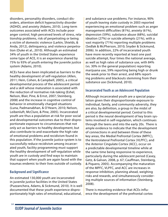disorders, personality disorders, conduct disorders, attention deficit hyperactivity disorder (ADHD), and anxiety (Adams, 2010). Long-term outcomes associated with ACEs include poor anger control, high perceived levels of stress, relationship problems, risk of perpetrating or being a victim of domestic violence (Larkin, Shields, & Anda, 2012), delinquency, and violence perpetration (Duke et al., 2010). Although an estimated 34% of youth in the United States experience some type of ACE, it is an experience shared by 75% to 93% of youth entering the juvenile justice system (Adams, 2010).

ACEs have also been implicated as barriers to the healthy development of self-regulation (Allen, 2011; Hein, Cohen, & Campbell, 2005), a critical developmental process of the adolescent period and a skill whose maturation is associated with the reduction of normative risk-taking (Eshel, Nelson, Blair, Pine, & Ernst, 2007; Steinberg, 2008) and the increase in cognitive control of behavior in emotionally charged situations (Luna, Padmanabhan, & O'Hearn, 2010; Nelson, Leibenluft, McClure, & Pine, 2005). Incarcerated youth are thus a population at risk for poor social and developmental outcomes due to their disproportionate exposure to circumstances that not only act as barriers to healthy development, but also contribute to and exacerbate the high rate of emotional problems and recidivism found in this population. If the juvenile justice system is to successfully reduce recidivism among incarcerated youth, facility programming must support the healthy development of self-regulation while youth are in custody and find ways to maintain that support when youth are again faced with the traumas endemic to their lives outside of custody.

# **Background and Significance**

64

An estimated 130,000 youth are incarcerated in juvenile justice facilities in the United States (Puzzanchera, Adams, & Sickmund, 2010). It is well documented that these youth experience disproportionately high rates of emotional, educational,

and substance use problems. For instance, 90% of youth leaving state custody in 2003 reported experiencing an emotional problem such as anger management difficulties (81%), anxiety (61%), depression (59%), substance abuse (68%), suicidal ideation (27%) or suicide attempts (21%), with a vast majority (71%) reporting multiple problems (Sedlak & McPherson, 2010; Snyder & Sickmund, 2006). In addition, 22% of incarcerated youth have more recently reported at least one past suicide attempt, four times the national average, as well as high rates of substance use, with 84% (vs. 30% in the general population) reporting marijuana use, 59% reporting being high or drunk the week prior to their arrest, and 68% reporting problems and blackouts stemming from their substance use (Sickmund, 2010).

# **Incarcerated Youth as an Adolescent Population**

Although incarcerated youth are a special population given their disproportionate exposure to individual, family, and community adversity, they are also, by definition, a group in the midst of a critical developmental period. Central to this period is the neural development of key brain systems involved in self-regulation, which continues through the teens and into the early 20s. There is ample evidence to indicate that the development of connections in and between three of these key areas, the Medial Prefrontal Cortex (MPFC), the Ventrolateral Prefrontal Cortex (VLPFC), and the Anterior Cingulate Cortex (ACC), occur on a predictable developmental timeline while at the same time being responsive to experience, particularly during the adolescent period (Casey, Getz, & Galvan, 2008, p. 67; Cauffman, Steinberg, & Piquero, 2005). Accompanying the maturation of the MPFC, VLPFC, and ACC are increases in response inhibition, planning ahead, weighing risks and rewards, and simultaneously considering multiple sources of information (Steinberg, 2008).

There is mounting evidence that ACEs influence the development of the prefrontal cortex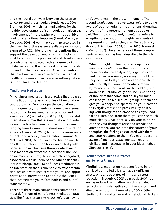and the neural pathways between the prefrontal cortex and the amygdala (Anda, et al., 2006; Bremner, 2003), which has implications for the healthy development of self-regulation, given the involvement of those pathways in the cognitive control of emotional impulses (Fareri, Martin, & Delgado, 2008). Given that youth incarcerated in the juvenile justice system are disproportionately exposed to ACEs, identifying interventions that support the development of self-regulation is vital to reducing the poor social and developmental outcomes associated with exposure to ACEs while decreasing the likelihood of repeat offending and further incarceration. One intervention that has been associated with positive mental health outcomes and increases in self-regulation is mindfulness meditation.

# **Mindfulness Meditation**

Mindfulness meditation is a practice that is based in the Buddhist Vipassana, or insight meditation tradition, which "encourages the cultivation of nonjudgmental, moment-to-moment awareness both during formal meditation practice and in everyday life" (Jain, et al., 2007, p. 11). Successful integration of mindfulness meditation into individual practice has been found with programs ranging from 45-minute sessions once a week for 4 weeks (Jain et al., 2007) to 2-hour sessions once a week for 8 weeks (Ramel, Goldin, Carmona, & McQuaid, 2004). Mindfulness meditation may be an effective intervention for incarcerated youth because the mechanisms through which mindfulness meditation affect the practitioner include an increase in self-regulation, which is negatively associated with delinquent and other risk behaviors (Steinberg, 2008). Mindfulness meditation is an intervention that is amenable to experimentation, feasible with incarcerated youth, and appropriate as an intervention to address the issues that incarcerated youth face both in and out of state custody.

There are three main components common to most definitions of mindfulness meditation practice. The first, *present awareness*, refers to having

one's awareness in the present moment. The second, *nonjudgmental awareness*, refers to being aware of but not judging the emotions, thoughts, or events of the present moment as good or bad. The third component, *acceptance*, refers to accepting the emotions, thoughts, or events of the present moment as they are (Biegel, Brown, Shapiro & Schubert, 2009; Burke, 2010; Ivanovski & Malhi, 2007). The experience of these components in practice has been described in the following way:

When thoughts or feelings come up in your mind, you don't ignore them or suppress them, nor do you analyze or judge their content. Rather, you simply note any thoughts as they occur as best you can and observe them intentionally but nonjudgmentally, moment by moment, as the events in the field of your awareness. Paradoxically, this inclusive noting of thoughts that come and go in your mind can lead you to feel less caught up in them and give you a deeper perspective on your reaction to everyday stress and pressures. By observing your thoughts and emotions as if you had taken a step back from them, you can see much more clearly what is actually on your mind. You can see your thoughts arise and recede one after another. You can note the content of your thoughts, the feelings associated with them, and your reactions to them. You might become aware of agendas, attachments, likes and dislikes, and inaccuracies in your ideas (Kabat-Zinn, 2011, p. 1).

# **Positive Mental Health Outcomes and Behavior Change**

Mindfulness meditation has been found in randomized controlled trials to have significant effects on positive states of mind and stress reduction (Broderick, 2005; Jain et al., 2007), as well as reduced rumination, which mediated reductions in maladaptive cognitive content and affective symptoms (Ramel et al., 2004). Other studies using qualitative and correlational designs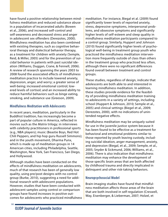have found a positive relationship between mindfulness meditation and reduced substance abuse in a population of incarcerated adults (Bowen et al., 2006), and increased self-control and self-awareness and decreased stress and anger in adolescent sex offenders (Derezotes, 2000). Mindfulness meditation has also been combined with existing therapies, such as cognitive behavioral therapy and dialectical behavior therapy, as a treatment for children with anxiety (Semple, Reid, & Miller, 2005) and for the prevention of suicidal behavior in patients with past suicidal ideation (Williams, Duggan, Crane, & Fennell, 2006). A review of research spanning the years 2003 to 2008 found the associated effects of mindfulness meditation practice to include lowered anxiety, depression, anger, and worry; a greater sense of well-being; increased emotional control; lowered levels of cortisol; and an increased ability to reduce harmful behaviors such as binge eating, smoking, and substance use (Greeson, 2009).

# **Mindfulness Meditation with Adolescents**

In recent years, meditation, particularly in the Buddhist tradition, has increasingly become a part of popular culture in America, reflected in movies such as the *Matrix* trilogy; in interviews with celebrity practitioners in professional sports (e.g., NBA players); music (Beastie Boys, Red Hot Chili Peppers, and hip hop guru Russell Simmons); and in the youth movement, Dharma Punx, which is made up of meditation groups in 14 American cities, including Philadelphia, Seattle, Washington, New York, San Francisco, San Diego, and Hollywood.

Although studies have been conducted on the effects of mindfulness meditation on adolescents, much of that research has been of generally low quality, using pre/post designs with no control group (Burke, 2010), suggesting a need for additional research with adolescent populations. However, studies that have been conducted with adolescent samples using control or comparison groups have found increases in positive outcomes for adolescents who practiced mindfulness meditation. For instance, Biegal et al. (2009) found significantly lower levels of reported anxiety, stress, depressive symptoms, interpersonal problems, and obsessive symptoms and significantly higher levels of self-esteem and sleep quality in mindfulness meditation participants compared to a control group. Similarly, Huppert and Johnson (2010) found significantly higher levels of psychological well-being in treatment group youth who practiced the mindfulness meditation intervention more frequently outside of class than others in the treatment group who practiced less often, although there were no significant differences found overall between treatment and control groups.

These studies, regardless of design, indicate that adolescents are both able to and interested in learning mindfulness meditation. In addition, these studies provide evidence for the feasibility of providing mindfulness meditation training to adolescents in a variety of settings, including school (Huppert & Johnson, 2010; Semple et al., 2005) and clinical settings (Biegel et al., 2009; Derezotes, 2000), with no indications of unintended negative effects.

Mindfulness meditation may be uniquely suited for use in the juvenile justice system because it has been found to be effective as a treatment for behavioral and emotional problems similar to those reported by youth leaving custody, including suicidal ideation, anger management, anxiety, and depression (Biegal, et al., 2009; Semple, et al., 2005; Snyder & Sickmund, 2006; Williams, et al., 2006). There is also indication that mindfulness meditation may enhance the development of those specific brain areas that are both affected by childhood trauma and directly implicated in delinquent and other risk-taking behaviors.

## **Neuropsychosocial Model**

Brain-imaging studies have found that mindfulness meditation affects those areas of the brain that are both involved in self-regulation (Creswell, Way, Eisenberger, & Lieberman, 2007; Holzel, et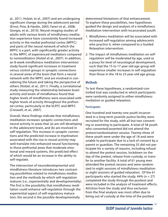al., 2011; Holzel, et al., 2007) and are undergoing significant change during the adolescent period (Ernst, Pine, & Hardin, 2005; Fareri et al., 2008; Giorgio, et al., 2010). Neural-imaging studies of adults with various levels of mindfulness meditation experience have consistently found increased activity in the medial prefrontal cortex (MPFC) and parts of the neural network of which the MPFC is a part, with significantly greater activity in the MPFC of experienced meditators compared to nonmeditators (Holzel et al., 2007). In addition, an 8-week mindfulness meditation intervention study found significant increases in treatment versus control groups in synaptic connections in several areas of the brain that form a neural network with the MPFC and are involved in considering the future and taking the perspective of others (Holzel, et al., 2011). Finally, a correlational study measuring the relationship between brain activity and levels of mindfulness found that higher levels of mindfulness were associated with higher levels of activity throughout the prefrontal cortex, particularly in the VLPFC and MPFC (Creswell, et al., 2007).

Overall, these findings indicate that mindfulness meditation increases synaptic connections and neural activity in areas that (a) are still developing in the adolescent brain, and (b) are involved in self-regulation. This increase in synaptic connections and the predicted increase in myelination associated with the rise in neural activity may well translate into enhanced neural functioning in those prefrontal areas that moderate emotional and reward systems, the predicted effect of which would be an increase in the ability to self-regulate.

The intersection of neurodevelopmental and mindfulness literature introduces two contrasting possibilities related to mindfulness meditation and the methods by which self-regulation matures (i.e., experientially and developmentally). The first is the possibility that mindfulness meditation could enhance self-regulation through the experiential aspect of self-regulatory maturation; the second is the possible developmentally

determined limitations of that enhancement. To explore these possibilities, two hypotheses guided the design and analysis of a mindfulness meditation intervention with incarcerated youth:

- 1. Mindfulness meditation will be associated with increased self-regulation among adolescents who practice it, when compared to a Guided Relaxation intervention.
- 2. The impact of mindfulness meditation on selfregulation will be moderated by age, used as a proxy for level of neurological development, such that the 15 to 17 year-old age group will experience smaller increases in self-regulation than those in the 18 to 23 year-old age group.

# **Methods**

To test these hypotheses, a randomized-controlled trial was conducted in which participants were randomly assigned to either mindfulness mediation or guided relaxation.

### **Participants**

One hundred and twenty-one youth incarcerated in a long-term juvenile justice facility were recruited for the study, with all but two consenting or assenting to participate. A total of 58 youth who consented/assented did not attend the pretest/randomization session. Twenty-three of these youth were under the age of 18 and were unable to participate due to a lack of consent by a parent or guardian. The remaining 35 did not participate for a variety of reasons, including refusal to attend the pretest session, lockdown on the day of the pretest, release from custody, or transfer to another facility. A total of 61 young men attended the pretest session and were randomized to eight sessions of mindfulness meditation or eight sessions of guided relaxation. Of the 61 participants who started the study,  $44\%$  ( $n = 27$ ) completed the study through the posttest and were included in the analysis of treatment effects. Attrition from the study and thus exclusion from the final analysis was most often due to being out of custody at the time of the posttest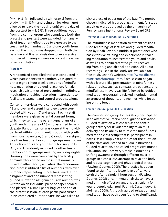(*n* = 19, 31%), followed by withdrawal from the study ( $n = 8$ , 13%), and being on lockdown (not allowed to leave the housing unit) on the day of the posttest  $(n = 3, 5\%)$ . Three additional youth from the control group who completed both the pretest and posttest were excluded from analysis of treatment effects due to exposure to the treatment (contamination) and one youth from each of the groups was dropped from both the baseline and final analysis due to an excessive number of missing answers on pretest measures of self-regulation.

#### **Procedure**

A randomized controlled trial was conducted in which participants were randomly assigned to either eight 1-hour weekly sessions of mindfulness meditation or guided relaxation. A male research assistant used prerecorded mindfulness meditation or guided relaxation instructions to facilitate treatment and control group sessions.

Consent interviews were conducted with youth 18 and over and assent interviews were conducted with youth 17 and under. Facility staff members were given parental consent forms, which they sent to the parents/guardians of all youth under the age of 18 who assented to participate. Randomization was done at the individual level within housing unit groups, with youth from housing units A, B, and C randomly assigned to either treatment or control groups meeting on Thursday nights and youth from housing units D, E, and F randomly assigned to either treatment or control groups meeting on Friday nights. Housing units were combined by the facility administrators based on those that normally mixed in other facility activities. The randomization process utilized a list of numbers, with even numbers representing mindfulness meditation assignment and odd numbers representing guided relaxation assignment. Each number was written on an individual piece of paper, folded, and placed in a small paper bag. At the end of the pretest session, as each participant turned in his completed questionnaire, he was asked to

pick a piece of paper out of the bag. The number chosen indicated his group assignment. All study activities were approved by the University of Pennsylvania Institutional Review Board (IRB).

#### **Treatment Group: Mindfulness Meditation**

The mindfulness meditation treatment sessions used recordings of lectures and guided meditation by Noah Levine, a Buddhist practitioner who has extensive training and experience in teaching meditation to incarcerated youth and adults, as well as to nonincarcerated youth recovering from drug and alcohol addiction. All audio recordings used in the study are available for free at Mr. Levine's website, [http://www.dharma](http://www.dharmapunx.com/htm/mp3.htm)[punx.com/htm/mp3.htm.](http://www.dharmapunx.com/htm/mp3.htm) Each session began with a lecture-like presentation of mindfulnessrelated topics, such as compassion, patience, and mindfulness in everyday life followed by guided meditation encouraging relaxed, nonjudgmental awareness of thoughts and feelings while focusing on the breath.

#### **Comparison Group: Guided Relaxation**

The comparison group for this study participated in an alternative intervention, guided relaxation. Guided relaxation was chosen as the control group activity for its adaptability to an MP3 delivery and its ability to mimic the mindfulness meditation class setup; that is, participants in both classes simply sat at tables for the duration of the class and listened to audio instructions. Guided relaxation, also called progressive muscle relaxation, includes very simple instructions in shifting awareness through different muscle groups in a conscious attempt to relax the body and reduce cognitive and physiological stress (Pawlow & Jones, 2005). The practice has been found to significantly lower levels of salivary cortisol after a single 1-hour session (Pawlow & Jones, 2005) and, in meta-analysis, to have a medium-high effect on anxiety, particularly for young people (Manzoni, Pagnini, Castelnuovo, & Molinari, 2008). Although guided relaxation and meditation have both been found to significantly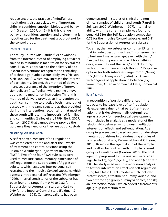reduce anxiety, the practice of mindfulness meditation is also associated with "important shifts in cognition, emotion, biology, and behavior" (Greeson, 2009, p. 15). It is this change in behavior, cognition, emotion, and biology that is hypothesized for the treatment group but not for the control group.

#### **Internet Delivery**

The study utilized MP3 (audio file) downloads from the Internet instead of employing a teacher trained in mindfulness meditation for several reasons. First, this approach to the delivery of adolescent interventions recognizes the centrality of technology in adolescents' daily lives (Nelson & Nelson, 2010), which may increase the interest of participants. Second, this method of delivery increases assurance of the integrity of intervention delivery (i.e., fidelity) while testing a novel approach to meditation instruction. Third, this method of delivery provides an intervention that youth can continue to practice both in and out of custody with the same structure as that provided during the intervention, recognizing that most of these youth will return to impoverished families and communities (Bailey et al., 1999; Bjerk, 2007; Carlson, 2006) that cannot always provide the guidance they need once they are out of custody.

#### **Measuring Self-Regulation**

A self-reported measure of self-regulation was completed prior to and after the 8 weeks of treatment and control sessions using the Restraint-Weinberger Adjustment Inventory (RWAI). Two of the four RWAI subscales were used to measure complimentary dimensions of self-regulation: the Suppression of Aggression subscale, which assesses interpersonal selfrestraint and the Impulse Control subscale, which assesses intrapersonal self-restraint (Weinberger, 1996). Internal consistency of the subscales has been found to range from 0.79 to 0.82 for the Suppression of Aggression scale and 0.66 to 0.69 for the Impulse Control scale (Feldman & Weinberger, 1994). Construct validity has been

demonstrated in studies of clinical and nonclinical samples of children and youth (Farrell & Sullivan, 2000; Weinberger, 1997). Internal reliability with the current sample was found to equal 0.82 for the Self-Regulation composite, 0.73 for the Impulse Control subscale, and 0.81 for the Suppression of Aggression subscale.

Together, the two subscales comprise 15 items that include questions such as: "If someone tries to hurt me, I make sure I get even with them;" "I'm the kind of person who will try anything once, even if it's not that safe;" and "I do things without giving them enough thought." Response options for both subscales range from 1 (Never) to 5 (Almost Always), or 1 (False) to 5 (True), with degrees of application in between (e.g., Sometimes, Often or Somewhat False, Somewhat True).

#### **Data Analysis**

In recognition of possible differences in the capacity to increase levels of self-regulation via experience due to that part of self-regulation that is developmentally determined, age as a proxy for neurological development was included in analysis as a moderator of the relationship between mindfulness meditation intervention effects and self-regulation. Age groupings were used based on common developmental subdivisions in brain-imaging studies of self-regulation (Luna, Padmanabhan, & O'Hearn, 2010). Based on the age makeup of the sample and to allow for contrast with multiple referent groups of similar sizes (Gordon, 2010), the final age groupings used for the analysis were: age1 (age 16 to 17), age2 (age 18), and age3 (age 19 to 23). The study used multiple regression analysis to test for intervention effects on self-regulation using (a) a Main Effects model, which included pretest scores, a treatment dummy variable, and two of three age group dummy variables; and (b) an Interaction model, which added a treatment x age group interaction term.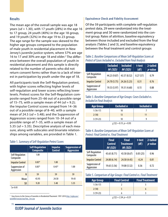#### **Results**

The mean age of the overall sample was age 18 years (*sd* = 1.30), with 17 youth (28%) in the age 16 to 17 group, 24 youth (40%) in the age 18 group, and 19 youth (32%) in the age 19 to 23 group. The age range for the sample was skewed to the higher age groups compared to the population of male youth in residential placement in New Jersey's juvenile justice system, where 57% are age 16 to 17 and 30% are age 18 and older.<sup>2</sup> The difference between the overall population of youth in residential placement and this sample is directly related to the number of parents who did not return consent forms rather than to a lack of interest in participation by youth under the age of 18.

All participants took the Self-Regulation pretest, with higher scores reflecting higher levels of self-regulation and lower scores reflecting lower levels. Pretest scores for the Self-Regulation composite ranged from 25–66 out of a possible range of 15–75, with a sample mean of 44  $sd = 9.2$ ); the Impulse Control scores ranged from 14–36 out of a possible range of 8–40, with a sample mean of 24.5 (*sd* = 5.48); and the Suppression of Aggression scores ranged from 10–34 out of a possible range of 7–35, with a sample mean of 5.35 (*sd* = 5.35). Descriptive analysis of each measure, along with subscales and bivariate relationships among variables, are provided in Table 1.

#### Table 1. *Summary of Self-Regulation Pretest Scores*

|                              | <b>Self-Regulation</b><br><b>Composite</b> | <b>Impulse</b><br><b>Control</b> | <b>Suppression of</b><br><b>Aggression</b> |
|------------------------------|--------------------------------------------|----------------------------------|--------------------------------------------|
| Self-Regulation<br>Composite | 1.00                                       |                                  |                                            |
| <b>Impulse Control</b>       | $0.85*$                                    | 1.00                             |                                            |
| Suppression of<br>Aggression | $0.85*$                                    | $0.45*$                          | 1.00                                       |
| N                            | 59                                         | 59                               | 59                                         |
| Mean                         | 43.93                                      | 24.50                            | 19.43                                      |
| SD                           | 9.20                                       | 5.48                             | 5.35                                       |

\**p*<0.05

70

Easy Access to [the Census of Juveniles in Residential Placement: 1997-2010](http://ojjdp.gov/ojstatbb/ezacjrp/) [http://ojjdp.gov/](http://ojjdp.gov/ojstatbb/ezacjrp/asp/Age_Sex.asp) [ojstatbb/ezacjrp/asp/Age\\_Sex.asp](http://ojjdp.gov/ojstatbb/ezacjrp/asp/Age_Sex.asp)

#### **Equivalence Check and Fidelity Assessment**

Of the 59 participants with complete self-regulation pretest data, 29 were randomized into the treatment group and 30 were randomized into the control group. Rates of attrition, baseline equivalency between those included and excluded from the final analysis (Tables 2 and 3), and baseline equivalency between the final treatment and control groups

| Table 2. Baseline Comparisons of Mean Self-Regulation Scores at |
|-----------------------------------------------------------------|
| Pretest of Cases Included vs. Excluded from Final Analysis      |

|                              | <b>Excluded</b><br>M(SD) | <b>Included</b><br>M(SD) | t-test<br>(df) | 2-tailed<br><i>p</i> -value |
|------------------------------|--------------------------|--------------------------|----------------|-----------------------------|
| Self-Regulation<br>Composite | 44.23 (9.87)             | 43.57 (8.52)             | 0.27(57)       | 0.79                        |
| <b>Impulse Control</b>       | 24.70(5.75)              | 24.26(5.23)              | 0.31           | 0.76                        |
| Suppression of<br>Aggression | 19.53 (5.97)             | 19.31 (4.60)             | 0.15           | 0.88                        |

#### Table 3. *Baseline Comparison of Age Groups: Cases Excluded vs. Included in Final Analysis*

| <b>Age Group</b> | <b>Excluded n</b>               | Included n |
|------------------|---------------------------------|------------|
| $1(16-17)$       | 10                              |            |
| 2(18)            | 13                              | 11         |
| $3(19-23)$       | 10                              |            |
|                  | $\sim$ $\sim$ $\sim$<br>_______ |            |

 $\chi^2(2) = 0.15$   $p = 0.93$ 

| Table 4. Baseline Comparisons of Mean Self-Regulation Scores at |
|-----------------------------------------------------------------|
| Pretest: Final Control vs. Final Treatment                      |

|                              | <b>Final</b><br><b>Control</b><br>M(SD) | <b>Final</b><br><b>Treatment</b><br>M(SD) | t-test<br>(df) | 2-tailed<br><i>p</i> -value |
|------------------------------|-----------------------------------------|-------------------------------------------|----------------|-----------------------------|
| Self-Regulation<br>Composite | 43.65 (8.71)                            | 43.50 (8.67)                              | 0.05(25)       | 0.96                        |
| <b>Impulse Control</b>       | 24.00(6.14)                             | 24.50 (4.45)                              | $-0.24$        | 0.81                        |
| Suppression of<br>Aggression | 19.65 (3.56)                            | 19.00 (5.52)                              | 0.36           | 0.72                        |

#### Table 5. *Comparison of Age Groups: Final Control vs. Final Treatment*

| <b>Age Group</b> | <b>Final Control</b>          | <b>Final Treatment</b> |
|------------------|-------------------------------|------------------------|
| $1(16-17)$       |                               |                        |
| 2(18)            |                               |                        |
| $3(19-23)$       |                               |                        |
|                  | $\chi^2(2) = 2.34 \ p = 0.31$ |                        |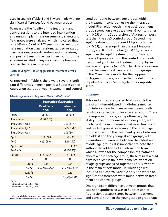used in analysis (Table 4 and 5) were made with no significant differences found between groups.

To measure the fidelity of the treatment and control sessions to the intended intervention and research plans, session summary sheets and field notes were analyzed, which indicated that only 6%—or 6 out of 102 sessions (i.e., mindfulness meditation class sessions, guided relaxation class sessions, pretest/randomization sessions, and posttest sessions across three rounds of the study)—deviated in any way from the treatment plan or the research design.

#### **Posttest Suppression of Aggression: Treatment Versus Control**

As reported in Table 6, there were several significant differences in mean posttest Suppression of Aggression scores between treatment and control

|                                | <b>Suppression of Aggression</b> |                             |  |  |  |
|--------------------------------|----------------------------------|-----------------------------|--|--|--|
|                                | <b>Main Effects</b><br>B(SE)     | <b>Interaction</b><br>B(SE) |  |  |  |
| Pretest                        | $1.08(0.25)$ *                   | $1.06(0.20)$ *              |  |  |  |
| <b>Treat v Control</b>         | $-0.551(1.53)$                   |                             |  |  |  |
| Treat v Control Age 1          |                                  | $-5.38(2.47)$ <sup>*1</sup> |  |  |  |
| <b>Treat v Control Age 2</b>   |                                  | $-2.72(1.78)^2$             |  |  |  |
| Treat v Control Age 3          |                                  | $5.75(2.08)$ *              |  |  |  |
| Age 1                          | $-1.96(2.08)$                    | 3.63(2.48)                  |  |  |  |
| Age 2                          | 0.631(1.90)                      | 3.84 (1.90)                 |  |  |  |
| Age $1 \times$ Treat           |                                  | $-11.13(3.19)$ *            |  |  |  |
| Age $2 \times$ Treat           |                                  | $-8.47(2.71)$ *             |  |  |  |
| Intercept                      | 0.191(5.37)                      | $-1.51(4.30)$               |  |  |  |
| N                              | 27                               | 27                          |  |  |  |
| Adj <sup>2</sup> R             | 0.48                             | 0.67                        |  |  |  |
| F-Value                        | $F(4, 22) = 6.94*$               | $F(6, 20) = 9.79*$          |  |  |  |
| $\triangle$ Adj <sup>2</sup> R |                                  | 0.22                        |  |  |  |
| F-Value                        |                                  | $F(2,20)=7.33*$             |  |  |  |

#### Table 6. *Suppression of Aggression Mean Posttest Scores<sup>3</sup>*

\**p*<0.05

1 Intercept: *B*=2.13, *SE*=5.26, *p*>0.05

2 Intercept: *B*=2.33, *SE*=3.65, *p*>0.05

conditions and between age groups within the treatment condition using the Interaction model. First, older youth in the age3 treatment group scored, on average, almost 6 points higher (*p* < 0.05) on the Suppression of Aggression posttest than the age3 control group. Second, the age3 treatment group scored 11 points higher (*p* < 0.05), on average, than the age1 treatment group, and 8 points higher (*p* < 0.05), on average, than the age2 treatment group. Finally, in the age1 group, youth in the control group outperformed youth in the treatment group by an average of 5 points ( $p < 0.05$ ). No differences were found between treatment and control groups in the Main Effects model for the Suppression of Aggression scale, nor in either model for the Impulse Control or Self-Regulation Composite scores.

#### **Discussion**

This randomized controlled trial supports the use of an Internet-based mindfulness meditation intervention to increase *interactional* selfregulatory capacities of incarcerated youth. These findings also indicate, as hypothesized, that this ability is most pronounced in older youth, with the largest mean differences between treatment and control groups occurring in the oldest age group and, within the treatment group, between the oldest and the youngest age groups, with diminishing differences between the oldest and middle age groups. It is important to note that without the addition of an interaction term, which allowed for the comparison of treatment effects within each age group, these results would have been lost in the developmental variation of age groups analyzed together. This is evident in the main effects model, in which age was included as a control variable only and where no significant differences were found between treatment and control groups.

One significant difference between groups that was not hypothesized was in Suppression of Aggression posttest scores between treatment and control youth in the youngest age group (age

<sup>&</sup>lt;sup>3</sup> Additional calculations were conducted to provide coefficients and significance levels for the dummy variable reference categories in Table 6 for the sake of convenience in discussing the models.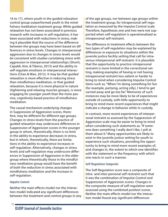16 to 17), where youth in the guided relaxation control group outperformed youth in the mindfulness meditation treatment group. While guided relaxation has not been associated in previous research with increases in self-regulation, it has been associated with reductions in stress, making it plausible that the source of the difference between the groups may have been based on differences in stress levels. Changes in interpersonal aggression due to changes in stress levels would be consistent with studies correlating stress with aggression in interpersonal relationships (Shortt, Capaldi, Kim, & Tiberio, 2013) and the ability to self-regulate emotions in interpersonal interactions (Chan & Wan, 2012). It may be that guided relaxation is more effective in reducing stress than mindfulness meditation, or that guided relaxation, because it is more physical in nature (tightening and relaxing muscles groups), is more engaging for younger youth than the more passive, cognitively based practice of mindfulness meditation.

The causal mechanism underlying changes in Suppression of Aggression scores, therefore, may be different for different age groups. Changes in stress levels from the practice of guided relaxation may underscore differences in Suppression of Aggression scores in the younger group in whom, theoretically, there is no limit in the ability to experience decreases in stress, but in whom, theoretically, there are limitations in the ability to experience increases in self-regulation. Alternatively, changes in stress levels and self-regulation may underscore differences in Suppression of Aggression in the older group where theoretically those in the mindfulness meditation group would have the benefit of both the reduction in stress associated with mindfulness meditation and the increase in self-regulation.

#### **Impulse Control**

72

Neither the main effects model nor the interaction model indicated any significant differences between the treatment and control groups in any

of the age groups, nor between age groups within the treatment group, for intrapersonal self-regulation as measured by the Impulse Control scale. Therefore, hypotheses one and two were not supported when self-regulation is operationalized as *intra*personal self-restraint.

The difference in treatment effects between the two types of self-regulation may be explained by differences in exposure to situations within the juvenile justice facility setting that call for intraversus interpersonal self-restraint. It is plausible that the opportunity to practice *intra*personal restraint is more limited in the correctional setting, making examples of having or not having intrapersonal restraint less salient or harder to bring to mind when considering Impulse Control items such as, "When I'm doing something for fun (for example, partying, acting silly), I tend to get carried away and go too far." Memories of such instances may be more likely to be of experiences outside of custody, with little opportunity to bring to mind more recent experiences that might indicate a change in behavior while in custody.

In contrast, more recent experiences of interpersonal restraint as assessed by the Suppression of Aggression scale may be easier to bring to mind when considering such statements as, "If someone does something I really don't like, I yell at them about it." Many opportunities are likely to exist in the juvenile justice setting for youth to experience such situations, providing the opportunity to bring to mind more recent examples of, and changes in, the extent to which one identifies with the statement or the frequency with which one reacts in such a manner.

#### **Self-Regulation Composite**

The Self-Regulation score was a composite of intra- and inter-personal self-restraint such that it was the combination of Impulse Control and Suppression of Aggression scores. Changes in the composite measure of self-regulation were assessed using the combined posttest scores. Neither the main effects model nor the interaction model found any significant differences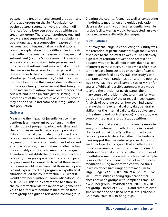between the treatment and control groups in any of the age groups on the Self-Regulation composite posttest scores, nor were significant differences found between age groups within the treatment group. Therefore, hypotheses one and two were not supported when self-regulation is operationalized as a composite measure of intrapersonal and interpersonal self-restraint. One plausible explanation for the differences in treatment effects between a measure of interpersonal self-restraint (i.e., the Suppression of Aggression scores) and a composite of interpersonal and intrapersonal self-restraint may be that although the two scales have been found in general population studies to be complementary (Feldman & Weinberger, 1994; Weinberger, 1996), they may not have been so in this sample due to differences in the opportunity to exercise and thus bring to mind instances of intrapersonal and interpersonal self-restraint in the juvenile justice setting. Thus, a composite of the two scales as currently scored may not be a valid indicator of self-regulation in this population.

#### **Challenges**

Measuring the impact of juvenile justice interventions is an important part of ensuring the efficient use of program participants' time and the resources expended in program provision. Establishing a valid estimate of the impact of a program or intervention involves more than simply measuring the program outcomes before and after participation, given that many other factors may arguably contribute to measured changes. Therefore, to establish the true causal impact of a program, changes experienced by program participants must be compared to what those same outcomes would have been had those same people not experienced the program, a hypothetical situation called the counterfactual (i.e., what it would have been without; Bloom, Michalopoulos & Hill, 2006). This study attempted to establish the counterfactual via the random assignment of youth to either a mindfulness meditation treatment group or a guided relaxation control group.

Creating the counterfactual, as well as conducting mindfulness meditation and guided relaxation class sessions with youth in a residential juvenile justice facility was, as would be expected, an awesome experience rife with challenges.

### **Posttest Attrition**

A primary challenge in conducting this study was the retention of participants through the 8 weeks of classes to the posttest at week 9. The relatively high rate of attrition between the pretest and posttest was not, by all indications, due to a lack of interest in the classes, but was most often due to the release from custody or transfer of participants to other facilities. Overall, the study's attrition rate between randomization and the posttest was 55%, leaving a small sample size of *n* = 27 for analysis. While all possible attempts were made to avoid the attrition of participants, the primary source of attrition (release or transfer) was outside the control of the principal investigator. Analysis of baseline scores, however, indicated that neither the external validity (i.e., generalizability) nor the internal validity (i.e., equivalency of treatment and control groups) of the study was compromised as a result of study attrition.

The primary challenge of using a small sample in analysis of intervention effects is the increased likelihood of making a Type II error due to the reduced power to detect an effect. The findings here suggest that the reduced power did not lead to a Type II error, given that an effect was found in several comparisons of mean scores. In addition, the ability to find an effect in studies of mindfulness meditation with such a small sample is supported by previous studies of mindfulness meditation using randomized controlled trials, in which effect sizes ranged from medium to large (Biegel, et al., 2009; Jain, et al., 2007; Burke, 2010), with studies finding significant differences between groups with samples as small as *n* = 25 per group (Davidson et al., 2003), *n* = 18 per group (Holzel, et al., 2011), and samples even smaller than the one used here (Ditto, Eclache, & Goldman, 2006, *n* = 10 per group).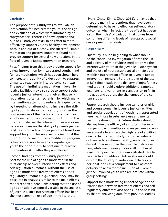#### **Conclusion**

The purpose of this study was to evaluate an intervention for incarcerated youth, the design and evaluation of which were informed by neuropsychosocial theories of development and out-of-custody contexts, in an effort to more effectively support youths' healthy development both in and out of custody. The successful implementation and positive outcomes found here provide support for several new directions in the field of juvenile justice intervention research.

First, findings from this study provide support for a new intervention for incarcerated youth, mindfulness meditation, which has been shown here to increase the ability of older youth to suppress unwanted reactions in interpersonal contexts. The use of mindfulness meditation in juvenile justice facilities may also serve to support other juvenile justice interventions, given that selfregulation is often a mechanism by which many interventions attempt to reduce delinquency (i.e., by targeting or attempting to increase the ability of youth to delay gratification, consider the consequences of their actions, or control their emotional responses to situations). Utilizing the Internet to deliver the intervention as was done here also increases the ability of juvenile justice facilities to provide a longer period of transitional support for youth leaving custody such that the Internet-based mindfulness meditation program is freely accessible from any computer, giving youth the opportunity to continue to practice intervention skills after they are released.

Second, findings from this study provide support for the use of age as a moderator in the relationship between intervention effects and self-regulation outcomes. Without the use of age as a moderator, treatment effects on selfregulatory outcomes (e.g., delinquency) may be obscured in analyses, similar to the main effects model reported here. Considering that the use of age as an additive control variable in the analysis of juvenile justice intervention effects has been the most common use of age in the literature

(Evans-Chase, Kim, & Zhou, 2013), it may be that there are many interventions that have been determined to have no effect on self-regulatory outcomes when, in fact, the true effect has been lost in the "noise" of variation that comes from combining differing levels of neuropsychosocial development in analysis.

#### **Future Studies**

This study is but a beginning to what should be the continued investigation of both the use and delivery of mindfulness meditation via the Internet with youth in the juvenile justice system and the use of neuropsychosocial principles to establish intervention effects in juvenile justice intervention research. Future studies of the use of MP3 downloads in the delivery of mindfulness meditation should explore additional samples, locations, and variations in class design to fill in the gaps and address the challenges of the current study.

Future research should include samples of girls and young women in juvenile justice facilities and special populations of youth not represented here (i.e., those in substance use and mental health treatment units). Future studies should also explore the efficacy of a shorter intervention period, with multiple classes per week across fewer weeks to address the high rate of attrition due to changes in custody status (i.e., release or transfer to a different facility) endemic to an 8-week intervention in the juvenile justice system, while maintaining the overall number of structured practice times demonstrated here to be effective. In addition, future studies should explore the efficacy of individual delivery via personal ipods as a complement to classroom delivery, to allow for the inclusion of juvenile justice–involved youth who are not safe within group settings.

Support for a moderating impact of age on the relationship between treatment effects and selfregulatory outcomes also opens up the possibility that re-analyzing data from previous studies,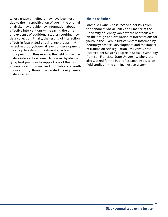whose treatment effects may have been lost due to the misspecification of age in the original analysis, may provide new information about effective interventions while saving the time and expense of additional studies requiring new data collection. Finally, the testing of interaction effects in future studies using age groups that reflect neuropsychosocial levels of development may help to establish treatment effects with more precision, thus moving the field of juvenile justice intervention research forward by identifying best practices to support one of the most vulnerable and traumatized populations of youth in our country: those incarcerated in our juvenile justice system.

# **About the Author**

**Michelle Evans-Chase** received her PhD from the School of Social Policy and Practice at the University of Pennsylvania where her focus was on the design and evaluation of interventions for youth in the juvenile justice system informed by neuropsychosocial development and the impact of trauma on self-regulation. Dr. Evans-Chase received her Master's degree in Social Psychology from San Francisco State University, where she also worked for the Public Research Institute on field studies in the criminal justice system.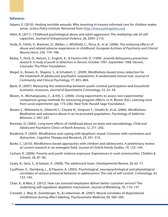#### **References**

- Adams, E. (2010). Healing invisible wounds: Why investing in trauma-informed care for children makes sense. *Justice Policy Institute.* Retrieved from <http://www.justicepolicy.org>
- Allen, B. (2011). Childhood psychological abuse and adult aggression: The mediating role of selfcapacities. *Journal of Interpersonal Violence, 26,* 2093–2110.
- Anda, R., Felitti, V., Bremner, D., Walker, J., Whitfield, C., Perry, B., et al. (2006). The enduring effects of abuse and related adverse experiences in childhood. *European Archives of Psychiatry and Clinical Neuroscience, 256,* 174–186.
- Bailey, T., Peck, D., Nelson, S., English, K., & Pasinin-Hill, D. (1999). *Juvenile delinquency prevention research: A study of youth in detention in Denver, October 1997–September 1998.* Denver, Colorado: The Piton Foundation.
- Biegel, G., Brown, K., Shapiro, S., & Schubert, C. (2009). Mindfulness-based stress reduction for the treatment of adolescent psychiatric outpatients: A randomized clinical trial. *Journal of Community and Clinical Psychology, 77,* 855–866.
- Bjerk, D. (2007). Measuring the relationship between youth criminal participation and household economic resources. *Journal of Quantitative Criminology, 23,* 23–39.
- Bloom, H., Michalopoulos, C., & Hill, C. (2006). Using experiments to assess non-experimental comparison-group methods for measuring program effects. In H. Bloom (Ed.), *Learning more from social experiments* (pp. 173-236). New York: Russell Sage Foundation.
- Bowen S., Witkiewitz K., Dilworth T., Chawla N., Simpson T., Ostafin B., et al. (2006). Mindfulness Meditation and substance abuse in an incarcerated population. *Psychology of Addictive Behavior, 2,* 343–347.
- Bremner, D. (2003). Long-term effects of childhood abuse on brain and neurobiology. *Child and Adolescent Psychiatric Clinics of North America, 12,* 271–292.
- Broderick, P. (2005). Mindfulness and coping with dysphoric mood: Contrasts with rumination and distraction. *Cognitive Therapy and Research, 29,* 501–510.
- Burke, C. (2010). Mindfulness-based approaches with children and adolescents: A preliminary review of current research in an emergent field. *Journal of Child & Family Studies, 19,* 133–144.
- Carlson, K. (2006). Poverty and youth violence exposure: Experiences in rural communities. *Children & Schools, 28,* 87–96.
- Casey, B., Getz, S., & Galvan, A. (2008). The adolescent brain. *Developmental Review, 28,* 62–77.
- Cauffman, E., Steinberg, L., & Piquero, A. (2005). Psychological, neuropsychological and physiological correlates of serious antisocial behavior in adolescence: The role of self-control. *Criminology, 43,* 133–165.
- Chan, K., & Wan, E. (2012). How can stressed employees deliver better customer service? The underlying self-regulation depletion mechanism. *Journal of Marketing, 76,* 119–137.
- Creswell, J., Way, B., Eisenberger, N., & Lieberman, M. (2007). Neural correlates of dispositional mindfulness during affect labeling. *Psychosomatic Medicine, 69,* 560–565.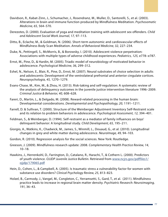- Davidson, R., Kabat-Zinn, J., Schumacher, J., Rosendranz, M., Muller, D., Santorelli, S., et al. (2003). Alterations in brain and immune function produced by Mindfulness Meditation. *Psychosomatic Medicine, 65,* 564–570.
- Derezotes, D. (2000). Evaluation of yoga and meditation training with adolescent sex offenders. *Child and Adolescent Social Work Journal, 17,* 97–113.
- Ditto, B., Eclache, M., & Goldman, N. (2006). Short-term autonomic and cardiovascular effects of Mindfulness Body Scan Meditation. *Annals of Behavioral Medicine, 32,* 227–234.
- Duke, N., Pettingell, S., McMorris, B., & Borowsky, I. (2010). Adolescent violence perpetration: Associations with multiple types of adverse childhood experiences. *Pediatrics, 125,* e778–e787.
- Ernst, M., Pine, D., & Hardin, M. (2005). Triadic model of neurobiology of motivated behavior in adolescence. *Psychological Medicine, 36,* 299–312.
- Eshel, N., Nelson, E., Blair, R., Pine, D., Ernst, M. (2007). Neural substrates of choice selection in adults and adolescents: Development of the ventrolateral prefrontal and anterior cingulate cortices. *Neuropsychologia, 45,* 1270–1279.
- Evans-Chase, M., Kim, M., & Zhou, H. (2013). Risk-taking and self-regulation: A systematic review of the analysis of delinquency outcomes in the juvenile justice intervention literature 1996–2009. *Criminal Justice & Behavior, 40,* 608–628.
- Fareri, D., Martin, L., & Delgado, M. (2008). Reward-related processing in the human brain: Developmental considerations. *Developmental and Psychopathology, 20,* 1191–1211.
- Farrell, D. & Sullivan, T. (2000). Structure of the Weinberger Adjustment Inventory Self-Restraint scale and its relation to problem behaviors in adolescence. *Psychological Assessment, 12,* 394–401.
- Feldman, S., & Weinberger, D. (1994). Self-restraint as a mediator of family influences on boys' delinquent behavior: A longitudinal study. *Child Development, 65,* 195–211.
- Giorgio, A., Watkins, K., Chadwick, M., James, S., Winmill, L., Douaud, G., et al. (2010). Longitudinal changes in grey and white matter during adolescence. *NeuroImage, 49,* 94–103.
- Gordon, R. (2010). Regression analysis for the social sciences. New York: Routledge.
- Greeson, J. (2009). Mindfulness research update: 2008. *Complementary Health Practice Review, 14,* 10–18.
- Hawkins, J., Herrenkohl, D., Farrington, D., Catalano, R., Harachi, T., & Cothern L. (2000). Predictors of youth violence. *OJJDP Juvenile Justice Bulletin.* Retrieved from [www.ncjrs.gov/pdffiles1/](www.ncjrs.gov/pdffiles1/ojjdp/179065.pdf) [ojjdp/179065.pdf](www.ncjrs.gov/pdffiles1/ojjdp/179065.pdf)
- Hein, D., Cohen, L., & Campbell, A. (2005). Is traumatic stress a vulnerability factor for women with substance use disorders? *Clinical Psychology Review, 25,* 813–823.
- Holzel, B., Carmody, J., Vangel, M., Congleton, C., Yerramsetti, S., Gard, T., et al. (2011). Mindfulness practice leads to increase in regional brain matter density. *Psychiatric Research: Neuroimaging, 191,* 36–43.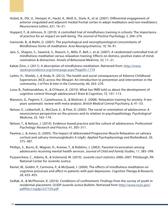- Holzel, B., Ott, U., Hempel, H., Hackl, A., Wolf, K., Stark, R., et al. (2007). Differential engagement of anterior cingulated and adjacent medial frontal cortex in adept meditators and non-meditators. *Neuroscience Letters, 421,* 16–21.
- Huppert, F., & Johnson, D. (2010). A controlled trial of mindfulness training in schools: The importance of practice for an impact on well-being. *The Journal of Positive Psychology, 5,* 264–274.
- Ivanovski, B., & Malhi, G. (2007). The psychological and neurophysiological concomitants of Mindfulness forms of meditation. *Acta Neuropsychiatrica, 19,* 76–91.
- Jain, S., Shapiro, S., Swanick, S., Roesch, S., Mills, P., Bell, I., et al. (2007). A randomized controlled trial of mindfulness meditation versus relaxation training: Effects on distress, positive states of mind, rumination & distraction. *Annals of Behavioral Medicine, 33,* 11–21.
- Kabat-Zinn, J. (2011). A description of mindfulness meditation. Retrieved from: [http://www.](http://www.stjohnprovidence.org/innerpage.aspx?PageID=1779) [stjohnprovidence.org/innerpage.aspx?PageID=1779](http://www.stjohnprovidence.org/innerpage.aspx?PageID=1779)
- Larkin, H., Shields, J., & Anda, R. (2012). The health and social consequences of Adverse Childhood Experiences (ACE) across the lifespan: An introduction to prevention and intervention in the community. *J of Prev & Inter in the Community, 40,* 263–270.
- Luna, B., Padmanabhan, A., & O'Hearn, K. (2010). What has fMRI told us about the development of cognitive control through adolescence? *Brain & Cognition, 72,* 101–113.
- Manzoni, G., Pagnini, F., Castelnuovo, G., & Molinari, E. (2008). Relaxation training for anxiety: A tenyears systematic review with meta-analysis. *British Medical Central Psychiatry, 8,* 41–53.
- Nelson, E., Leibenluft, E., McClure, E., & Pine, D. (2005). The social re-orientation of adolescence: A neuroscience perspective on the process and its relation to psychopathology. *Psychological Medicine, 35,* 163–174.
- Nelson, T., & Nelson, J. (2010). Evidence-based practice and the culture of adolescence. *Professional Psychology: Research and Practice, 41,* 305–311.
- Pawlow, L. & Jones, G. (2005). The impact of abbreviated Progressive Muscle Relaxation on salivary cortisol and salivary Immunoglobulin A (sIgA). *Applied Psychophysiology and Biofeedback, 30,*  375–387.
- Phillips, S., Burns, B., Wagner, H., Kramer, T., & Robbins, J. (2002). Parental incarceration among adolescents receiving mental health services. *Journal of Child and Family Studies, 11,* 385–399.
- Puzzanchera, C., Adams, B., & Sickmund, M. (2010). *Juvenile court statistics 2006–2007.* Pittsburgh, PA: National Center for Juvenile Justice.
- Ramel, W., Goldin, P., Carmona, P., & McQuaid, J. (2004). The effects of mindfulness meditation on cognitive processes and affect in patients with past depression. *Cognitive Therapy & Research, 28,* 433–455.
- Sedlak, A., & McPherson, K. (2010). Conditions of confinement: Findings from the survey of youth in residential placement. *OJJDP Juvenile Justice Bulletin.* Retrieved from [http://www.ncjrs.gov/](http://www.ncjrs.gov/pdffiles1/ojjdp/227729.pdf) [pdffiles1/ojjdp/227729.pdf](http://www.ncjrs.gov/pdffiles1/ojjdp/227729.pdf)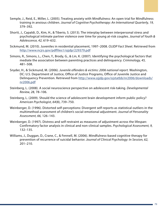- Semple, J., Reid, E., Miller, L. (2005). Treating anxiety with Mindfulness: An open trial for Mindfulness training in anxious children. *Journal of Cognitive Psychotherapy: An International Quarterly, 19,*  379–392.
- Shortt, J., Capaldi, D., Kim, H., & Tiberio, S. (2013). The interplay between interpersonal stress and psychological intimate partner violence over time for young at-risk couples. *Journal of Youth & Adolescence, 42,* 619–632.
- Sickmund, M. (2010). Juveniles in residential placement, 1997–2008. *OJJDP Fact Sheet.* Retrieved from <http://www.ncjrs.gov/pdffiles1/ojjdp/229379.pdf>
- Simons, R., Simons, L., Chen, Y., Brody, G., & Lin, K. (2007). Identifying the psychological factors that mediate the association between parenting practices and delinquency. *Criminology, 45,*  481–508.
- Snyder, H., & Sickmund, M. (2006). *Juvenile offenders & victims: 2006 national report.* Washington, DC: U.S. Department of Justice, Office of Justice Programs, Office of Juvenile Justice and Delinquency Prevention. Retrieved from [http://www.ojjdp.gov/ojstatbb/nr2006/downloads/](http://www.ojjdp.gov/ojstatbb/nr2006/downloads/nr2006.pdf) [nr2006.pdf](http://www.ojjdp.gov/ojstatbb/nr2006/downloads/nr2006.pdf)
- Steinberg, L. (2008). A social neuroscience perspective on adolescent risk-taking. *Developmental Review, 28,* 78–106.
- Steinberg, L. (2009). Should the science of adolescent brain development inform public policy? *American Psychologist, 64*(8), 739–750.
- Weinberger, D. (1996). Distorted self-perceptions: Divergent self-reports as statistical outliers in the multimethod assessment of children's social-emotional adjustment. *Journal of Personality Assessment, 66,* 126–143.
- Weinberger, D. (1997). Distress and self-restraint as measures of adjustment across the lifespan: Confirmatory factor analysis in clinical and non-clinical samples. *Psychological Assessment, 9,*  132–135.
- Williams, J., Duggan, D., Crane, C., & Fennell, M. (2006). Mindfulness-based cognitive therapy for prevention of recurrence of suicidal behavior. *Journal of Clinical Psychology: In Session, 62,*  201–210.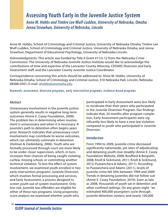# **Assessing Youth Early in the Juvenile Justice System**

*Anne M. Hobbs and Timbre Lee Wulf-Ludden, University of Nebraska, Omaha Jenna Strawhun, University of Nebraska, Lincoln*

Anne M. Hobbs, School of Criminology and Criminal Justice, University of Nebraska Omaha; Timbre Lee Wulf-Ludden, School of Criminology and Criminal Justice, University of Nebraska Omaha; and Jenna Strawhun, Department of Educational Psychology, University of Nebraska Lincoln.

Acknowledgments: This article was funded by Title II Grant #11JJ-12 from the Nebraska Crime Commission. The University of Nebraska Juvenile Justice Institute would like to acknowledge the contributions of time and expertise of the Lancaster County Attorney, CEDARS Diversion and Early Assessment staff, and the Lancaster County Juvenile Justice Coordinator.

Correspondence concerning this article should be addressed to: Anne M. Hobbs, University of Nebraska Omaha, School of Criminology and Criminal Justice, 310 Nebraska Hall, Lincoln, Nebraska 68588-0561; E-mail: ahobbs@unomaha.edu

*Keywords: assessment, diversion programs, early intervention programs, evidence-based programs*

# **Abstract**

80

Unnecessary involvement in the juvenile justice system generally results in negative long-term outcomes (Annie E. Casey Foundation, 2008). The problem lies in determining when involvement is unnecessary and when it is necessary. A juvenile's path to detention often begins years prior. Research indicates that unnecessary court involvement may contribute to worse outcomes, which can ultimately culminate in detention (Holman & Ziedenberg, 2006). Youth who are formally processed through court are more likely to be under closer supervision, which, in turn, increases their chances of being caught violating curfew, missing school, or committing another technical violation. To test the effect of system involvement, we examined youth enrolled in two early intervention programs: Juvenile Diversion, which involves formal processing and services, and Early Assessment, a process designed to screen youth out of system involvement. Only low-risk, juvenile law offenders are eligible for either of these two programs. Using propensity score analysis we examined whether youth who

participated in Early Assessment were less likely to recidivate than their peers who participated in the Juvenile Diversion Program. Our findings indicate that, 24 months after program completion, Early Assessment participants were significantly less likely to have a new law violation compared to youth who participated in Juvenile Diversion.

# **Introduction**

From 1994 to 2009, juvenile crime decreased significantly nationwide, yet rates of adjudicating and detaining youth rose steadily (Annie E. Casey Foundation Website, 2008; Bouffard & Bergseth, 2008; Knoll & Sickmund, 2011; Knoll & Sickmund, 2012; Puzzanchera & Adams, 2011). According to Puzzanchera and Adams (2011), levels of juvenile crime fell 50% between 1994 and 2009. Trends in detaining juveniles did not follow suit (Annie E. Casey Foundation, 2010). Even as late as 2008, thousands of youth sat in detention and other confined settings. On any given night "an estimated 400,000 youngsters cycle through juvenile detention centers; and nearly 100,000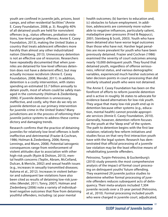youth are confined in juvenile jails, prisons, boot camps, and other residential facilities" (Annie E. Casey Foundation, 2008, p. 3). Roughly 40% of all detained youth are held for nonviolent offenses (e.g., status offenses, probation violations, low-level property offenses; Annie E. Casey Foundation, 2013), making the United States a country that treats adolescent offenders more harshly than almost any other industrialized nation (Steinberg, 2013). Unnecessary detention is not an effective use of resources. Researchers have repeatedly documented that when juveniles are detained for low-level offenses detention does not have a deterrent effect, but may actually increase recidivism (Annie E. Casey Foundation, 2008; Mendel, 2011). In addition, detention is a costly intervention, with states spending an estimated \$5.7 billion annually to detain youth, most of whom could be safely managed in the community (Holman & Ziedenberg, 2006). If juvenile detention is unnecessary, ineffective, and costly, why then do we rely on juvenile detention as our primary intervention for juvenile crime in the United States? Many jurisdictions are in the process of reforming their juvenile justice systems to address these contradictory and damaging trends.

Research confirms that the practice of detaining juveniles for relatively low-level offenses is both ineffective and detrimental (Frazier & Cochran, 1986; Holman & Ziedenberg, 2006; Kenny, Lennings, and Munn, 2008). Potential iatrogenic consequences range from reinforcement of violent attitudes due to association with other high-risk youth (Ryzin & Dishion, 2013), mental health concerns (Teplin, Abram, McCelland, Dulcan, & Mericle, 2002) and sexual health issues (e.g., increases in sexually transmitted diseases; Aalsma et al., 2012). Increases in violent behavior and subsequent law violations have also been cited as results of detaining low-risk juveniles (Mendel, 2011; Tonry, 2007). Holman and Ziedenberg (2006) note a variety of individuallevel negative outcomes that flow from detaining youthful offenders, including: (a) poor mental

health outcomes; (b) barriers to education and, (c) obstacles to future employment. In addition, adolescents are commonly more vulnerable to negative influences, particularly salient, maladaptive peer pressures (Fried & Reppucci, 2001; Steinberg & Scott, 2003). Youth who have been detained also have worse legal outcomes than those who have not. Harsher legal penalties are more prevalent for youth who have been previously detained. Frazier and Cochran (1986) examined the severity of court outcomes among nearly 10,000 delinquent youth. They found that detained youth, regardless of offense seriousness, referral status, and various demographic variables, experienced much harsher outcomes at later decision-points in court-processing than did similarly situated youth who were not detained.

The Annie E. Casey Foundation has been on the forefront of efforts to reform juvenile detention and is active in roughly 36 states to advocate for evidence-based alternatives for low-risk youth. They argue that many low-risk youth end up in detention because other systems (e.g., education, mental health) cannot provide appropriate services (Annie E. Casey Foundation, 2010). Generally, however, detention reform focuses on the youth at the "deep end" of the system. The path to detention begins with the first law violation; relatively few reform initiatives and studies focus on that very first interaction youth have with the legal system. Research has demonstrated that official processing of a juvenile law violation may be the least effective means of rehabilitating juvenile offenders.

Petrosino, Turpin-Petrosino, & Guckenburg's (2010) study presents the most comprehensive analysis of the impact of formal court processing on delinquent youths' future offending. They examined 29 juvenile justice studies to determine whether formal processing of juvenile offenders reduces subsequent acts of delinquency. Their meta-analysis included 7,304 juvenile records over a 35-year period (Petrosino, et al., 2010). Formal processing included youth who were charged in juvenile court, adjudicated,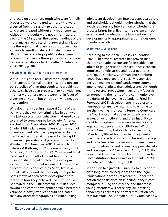or placed on probation. Youth who were formally processed were compared to those who were diverted from the system to other services or who were released without any requirements. Although the results were not uniform across each of the 29 studies, the general findings of the meta-analysis were startling: processing a juvenile through formal juvenile court proceedings appears to result in later acts of delinquency. "Rather than providing a public safety benefit, processing a juvenile through the system appears to have a negative or backfire effect" (Petrosino et al., 2010, p. 38).

#### **Net Widening: Not All Youth Need Intervention**

While Petrosino's (2010) research supported alternatives to formal processing, it did not support a policy of diverting youth who would not otherwise have been processed, or net widening. In other words, researchers were not in favor of diverting all youth, but only youth who needed intervention.

Why does net widening happen? Some of the behaviors that we now criminalize in our juvenile justice system are behaviors that used to be tolerated to some degree by society (American Psychological Association, 2008; Dupper, 2010; Snyder 1998). Many researchers cite the myth of juvenile violent offenders, perpetuated by the media, as the underlying reason for the rapid increase in juvenile court processing (Dembo, Wareham, & Schmeidler, 2005; Haegerich, Salerno, & Bottoms, 2012; Greene & Evelo, 2013; Muschert, 2007; Snyder, 1998). More recent legal cases and reform efforts point to a systemic misunderstanding of adolescent development as the source of this net widening. For example, a recent study conducted by Allen, Trzcinski, & Kubiak (2012) found that not only were participants' views of adolescent development predictive of how they believed juveniles should be treated in the justice system, but attitudes toward adolescent development explained more variance in how juveniles should be treated than any other demographic construct. Taking

adolescent development into account, evaluators and stakeholders should inquire whether: (a) the youth requires any intervention or whether the process brings juveniles into the system unnecessarily, and (b) whether the intervention is a developmentally appropriate response designed to reduce recidivism.

#### **Adolescent Development**

According to the Annie E. Casey Foundation (2008), "behavioral research has proven that children and adolescents are far less able than adults to gauge risks and consequences, control impulses, handle stress, and resist peer pressure" (p. 2). Similarly, Cauffman and Steinberg (2000) have reported that socially responsive decision making is significantly more common among young adults than adolescents. Although the 1980s and 1990s were increasingly focused on protecting the rights of the community over the rights of the juvenile defendant (Fried & Reppucci, 2001), developments in adolescent neuroscience are now returning to emphasizing the juvenile. In a recent Supreme Court case, the Court noted that adolescent deficiencies in executive functioning and their inability to consider long-term consequences made certain legal consequences unconstitutional. Writing for a 5-4 majority, Justice Elena Kagan wrote, "Mandatory life without parole for a juvenile precludes consideration of his chronological age and its hallmark features—among them, immaturity, impetuosity, and failure to appreciate risks and consequences" (*Jackson v. Hobbs,* 2012). The Court ruled that mandatory life without parole is unconstitutional for juvenile defendants (*Jackson v. Hobbs,* 2012; Steinberg, 2013).

In addition to a juvenile's inability to fully appreciate long-term consequences and the legal ramifications, decades of research support the notion that participation in delinquency is commonplace during adolescence and that most young offenders will cease any law-breaking tendency as part of the normal maturation process (Matsuda, 2009; Snyder, 1998; Gottfredson &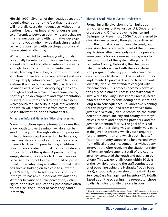Hirschi, 1990). Given all of the negative aspects of juvenile detention, and the fact that most youth will naturally cease delinquent acts without intervention, it becomes imperative for our systems to differentiate between youth who are behaving in a manner consistent with normative development, and youth who may be displaying atypical behaviors consistent with psychopathology and future criminal offending.

While it is harmful to overtreat youth, it is also potentially harmful if youth who need services are not identified and offered intervention early enough. Too often youth with mental health needs, learning disabilities, or poor support and structure in their homes go unidentified and may end up deeply entangled in our juvenile justice systems (Cocozza & Skowyra, 2000). A delicate balance exists between identifying youth early enough without overreacting and criminalizing normal youth development and experimentation. In short, our systems need to be able to assess which youth require serious legal interventions and which will benefit most from communitybased intervention, or no treatment at all.

#### **Formal and Informal Methods of Diverting Juveniles**

Many jurisdictions operate formal programs that allow youth to divert a minor law violation by sending the youth through a diversion program in lieu of formal court processing. In Nebraska, like many states, a county attorney may refer a juvenile to diversion prior to filing a petition in court. There are also informal methods of diverting youth out of the system. A prosecutor may simply dismiss the case for lack of evidence or because they do not believe it should be prosecuted. Prosecutors may use other informal methods such as holding on to a case to allow the youth's family time to set up services or to see if the youth has any subsequent law violations. Whether because of public perception, victim rights, or political implications, prosecutors often do not track the number of cases they handle informally.

#### **Diverting Youth Prior to System Involvement**

Formal juvenile diversion is often built upon principles of restorative justice (U.S. Department of Justice and Office of Juvenile Justice and Delinquency Prevention, 2009). Youth referred to diversion are generally thought to be diverted from the formal process of juvenile court, but diversion clearly falls within part of the processing decision, albeit very early on in the process. Some jurisdictions are now exploring ways to keep youth out of the system altogether. In Lancaster County, Nebraska, the chief juvenile prosecutor worked with the local diversion program to identify youth who could be diverted prior to diversion. The county attorney implemented a process designed to screen out low-risk juvenile law offenders charged with misdemeanors. This process became known as the Early Assessment Process. The stakeholders involved in the Early Assessment Process used a bifocal approach by considering both short- and long-term consequences. Collaborative planning for this project included representatives from juvenile diversion, juvenile probation, the public defender's office, the city and county attorneys' offices, private and nonprofit providers, and the juvenile detention facility. The goal of this collaborative undertaking was to identify, very early in the juvenile process, which youth required further intervention and which youth had sufficient community supports to be diverted away from official processing, sometimes without any intervention. After receiving the citation or referral from law enforcement, a staff of the county attorney contacted the youth and guardian by phone. This was generally done within 10 days of the law violation, and the staff conducted a brief screening using the Nebraska Youth Screen (NYS), an abbreviated version of the Youth Level Services/Case Management Inventory (YLS/CMI).1 Based upon the screening, the prosecutor chose to dismiss, divert, or file the case in court.

<sup>1</sup> The YLS is derived from the Level of Service Inventory Revised (LSI-R), a standardized risk assessment for adult offenders created by Andrews and Bonta (1995). There are a number of studies that demonstrate the predictive validity of the YLS/CMI, linking the relationship between recidivism and YLS/CMI scores.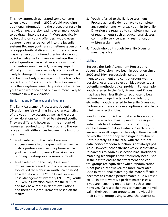This new approach generated some concern when it was initiated in 2009. Would providing additional information to the prosecutor result in net widening, thereby leading even more youth to be drawn into the system? More specifically, by focusing on young offenders, would even younger juveniles be pulled into the juvenile system? Because youth are sometimes given only one opportunity at diversion, another concern was whether youth offered prediversion would later be ineligible for diversion. Perhaps the most salient question was whether such a minimal intervention would, in fact, have any impact. Would youth who received only a phone call be likely to disregard the system as inconsequential, and be more likely to engage in future law violations? For purposes of this article, we examined only the long-term research question of whether youth who were screened out were more likely to commit a new law violation.

#### **Similarities and Differences of the Programs**

The Early Assessment Process and Juvenile Diversion are fairly similar in the characteristics of the youth they accept, as well as the types of law violations committed by referred youth. They are different, however, in the amount of resources required to run the program. The key programmatic differences between the two programs are:

- 1. Youth referred to the Early Assessment Process generally only speak with a juvenile justice professional over the phone, while youth enrolled in Juvenile Diversion have ongoing meetings over a series of months.
- 2. Youth referred to the Early Assessment Process are screened using a brief assessment tool called the Nebraska Youth Screen (NYS), an adaptation of the Youth Level Services/ Case Management Inventory (YLS/CMI). Youth in Juvenile Diversion complete the YLS/CMI and may have more in-depth evaluations and therapeutic requirements based on the results.
- 3. Youth referred to the Early Assessment Process generally do not have to complete any requirements, whereas youth in Juvenile Diversion are required to complete a number of requirements such as educational classes, community service, paying restitution, or written assignments.
- 4. Youth who go through Juvenile Diversion must pay a fee.

# Method

Because the Early Assessment Process and Juvenile Diversion have been in operation since 2009 and 1994, respectively, random assignment to treatment and control groups was not possible. As a result, selection bias presented a potential methodological problem. For example, youth referred to the Early Assessment Process may have been less likely to recidivate to begin with—due to age, the type of law violation, etc.—than youth referred to Juvenile Diversion. Fortunately, there are several options available to minimize selection bias.

Random selection is the most effective way to minimize selection bias. By randomly assigning individuals to a treatment or control group, it can be assumed that individuals in each group are similar in all respects. The only difference will be whether or not they are assigned treatment. Unfortunately, as is the case with the present data, perfect random selection is not always possible. However, other alternatives exist that allow researchers to address selection bias. Traditional matching techniques have frequently been used in the past to ensure that treatment and control groups are equivalent when randomization is not possible; however, the more covariates used in traditional matching, the more difficult it becomes to create a perfect match (Guo & Fraser, 2010). In other words, a perfect match is easy if you are matching on one item, such as age. However, if a researcher tries to match an individual in their treatment group to an individual in their control group using several characteristics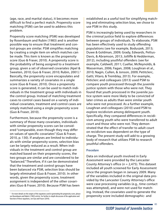(age, race, and marital status), it becomes more difficult to find a perfect match. Propensity score matching (PSM) can be used to address this problem.

Propensity score matching (PSM) was developed by Rosenbaum and Rubin (1983) and is another possible way to ensure that treatment and control groups are similar. PSM simplifies matching by creating a single item on which matches can be made. This item is known as the propensity score (Guo & Fraser, 2010). A propensity score is the probability of being assigned to a treatment group, given a set of observed covariates (Apel & Sweeten, 2010; Guo & Fraser, 2010; Rubin, 2001).2 Basically, the propensity score encapsulates and summarizes a variety of covariates in a single score (Guo & Fraser, 2010). Once a propensity score is generated, it can be used to match individuals in the treatment group with individuals in the control group. Instead of matching treatment cases to control cases based on a variety of individual covariates, treatment and control cases are simply matched using a single propensity score (Guo & Fraser, 2010).

Furthermore, because the propensity score is a summary of those many covariates, individuals with similar propensity scores can be considered "comparable, even though they may differ on values of specific covariates" (Guo & Fraser, 2010, p. 130). If analyses are limited to individuals with similar propensity scores, selection bias can be largely reduced as a result. When individuals in the treatment and control group are matched based on their propensity scores, the two groups are similar and are considered to be "balanced." Therefore, if it can be demonstrated that the treatment and control groups have been balanced via PSM, selection bias should be largely eliminated (Guo & Fraser, 2010). In other words, given the propensity score, treatment assignment is independent of the other covariates (Guo & Fraser, 2010). Because PSM has been

established as a useful tool for simplifying matching and eliminating selection bias, we chose to use PSM in this study.

PSM is increasingly being used by researchers in the criminal justice field to explore differences between groups of individuals. To elaborate, PSM has been effectively used to study offending populations (see for example, Boduszek, 2013; Duwe & Goldman, 2009; Grady, Edwards, Pettus-Davis, & Abramson, 2013; Jolliffe & Hedderman, 2012), including youthful offenders (see for example, Caldwell, 2011; Cuellar, McReynolds, & Wasserman, 2006; Fagan, 2008; Loughran et al., 2010; Nagin, Cullen, & Jonson, 2009; Petitclerc, Gatti, Vitaro, & Tremblay, 2013). For example, Peticlerc and colleagues (2013) used PSM to compare youth processed through the juvenile justice system with those who were not. They found that youth processed in the juvenile justice system were more likely to be convicted of later crimes as adults than were similar youth who were not processed. As a further example, Loughran and colleagues (2010) used PSM to explore recidivism among delinquent youth. Specifically, they compared differences in recidivism among youth who were transferred to adult court and those who were not. They demonstrated that the effect of transfer to adult court on recidivism was dependent on the type of charge. The present study will add to a growing body of research that utilizes PSM to research youthful offenders.

#### **Procedure**

Data on individual youth involved in Early Assessment were provided by the Lancaster County Attorney's office (*n* = 2,475). This dataset included all youth screened for Early Assessment since the program began in January 2009. Many of the variables included in the original data provided by the Lancaster County Attorney's office were case processing variables (e.g., time contact was attempted), and were not used for matching. Instead, the covariates used to generate the propensity score included demographic- and

<sup>&</sup>lt;sup>2</sup> For more details on the origins of the equations used in generating the propensity score, please see Rosenbaum and Rubin's (1983) article. For further in-depth discussion of the application and function of these equations, see Guo and Fraser (2010).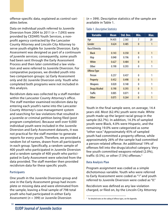offense-specific data, explained as control variables below.

Data on individual youth referred to Juvenile Diversion from 2004 to 2011 (*n* = 7,093) were provided by CEDARS Youth Services, a nonprofit agency contracted by the Lancaster County Attorney and Lincoln City Attorney to serve youth eligible for Juvenile Diversion. Early Assessment was designed as part of a continuum of juvenile services; consequently, some youth had been sent through the Early Assessment Process and then later committed a law violation and were referred to Juvenile Diversion. For comparative purposes, we divided youth into two comparison groups: (a) Early Assessment only and (b) Juvenile Diversion only. Youth who completed both programs were not included in this analysis.

Recidivism data was collected by a staff member within the Lancaster County Attorney's office. The staff member examined recidivism data by entering each youth's name into the Lancaster County Attorney's case management system and searching for law violations that resulted in a juvenile or criminal petition being filed (post program completion). Because well over 9,000 individual youth were included in the Juvenile Diversion and Early Assessment datasets, it was not practical for the staff member to generate reports for every youth. Therefore, we provided a random list of names, drawn from all participants in each group. Specifically, a random sample of 400 youth who participated in Juvenile Diversion and a random sample of 400 youth who participated in Early Assessment were selected from the data provided. The staff member then provided recidivism data for these specific youth.

#### **Participants**

86

One youth in the Juvenile Diversion group and one in the Early Assessment group had incomplete or missing data and were eliminated from the sample, leaving a final sample of 798 total youth who had participated in either Early Assessment (*n* = 399) or Juvenile Diversion

(*n* = 399). Descriptive statistics of the sample are available in Table 1.

#### Table 1. *Descriptive Statistics*

| <b>Variable</b>     | <b>Mean</b> | Std. Dev. | Min.         | Max. |
|---------------------|-------------|-----------|--------------|------|
| Age                 | 14.435      | 2.365     | 7            | 20   |
| Gender              | 0.624       | 0.485     | $\bf{0}$     | 1    |
| Race/Ethnicity      |             |           |              |      |
| <b>Black</b>        | 0.143       | 0.350     | $\mathbf{0}$ | 1    |
| Hisp                | 0.040       | 0.196     | $\mathbf{0}$ | 1    |
| White               | 0.627       | 0.484     | $\mathbf{0}$ | 1    |
| <b>Other</b>        | 0.190       | 0.393     | 0            | 1    |
| <b>Offense Type</b> |             |           |              |      |
| Person              | 0.257       | 0.437     | $\mathbf{0}$ | 1    |
| Property            | 0.452       | 0.498     | $\mathbf{0}$ | 1    |
| Weapons             | 0.020       | 0.140     | $\mathbf{0}$ | 1    |
| Drugs/Alcohol       | 0.190       | 0.393     | $\mathbf{0}$ | 1    |
| <b>Traffic</b>      | 0.005       | 0.071     | $\mathbf{0}$ | 1    |
| <b>Other</b>        | 0.075       | 0.264     | $\mathbf{0}$ | 1    |

Youth in the final sample were, on average, 14.4 years old. Most (62.4%) youth were male. White youth made up the largest racial group in the sample (62.7%). In addition, 14.3% of sampled youth were Black, 4.0% were Hispanic, and the remaining 19.0% were categorized as some "other race." Approximately 45% of sampled youth had committed a property offense, while approximately 26% of the sample had committed a person-related offense. An additional 19% of offenses fell into the drugs/alcohol category. Very few youth committed weapons-related (2.0%), traffic (0.5%), or other (7.5%) offenses.3

#### **Data Analysis Plan**

Program assignment was coded as a simple dichotomous variable. Youth who were referred to Early Assessment were coded as "1" and youth referred to Juvenile Diversion were coded as "0."

Recidivism was defined as any law violation charged, or filed on, by the Lincoln City Attorney

<sup>&</sup>lt;sup>3</sup> For detailed notes on the coding of offense types, see the Appendix.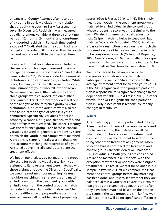or Lancaster County Attorney after resolution of a youth's initial law violation (the violation that brought the youth to Early Assessment or Juvenile Diversion). Recidivism was measured as a dichotomous variable at three distinct time periods: 12 months, 24 months, and long-term/ any recorded recidivism. For each time period, a code of "1" indicated that the youth had reoffended and a code of "0" indicated that the youth had not reoffended within the specified time period.

Several additional covariates were included in the analyses, such as age (measured in years) and gender (females were coded as "0" and males were coded as "1"). Race was coded as a series of dichotomous indicator variables, including White, Black, Hispanic, and Other. Because of the very small number of youth who fell into the Asian, Native American, and Other categories, these three groups were collapsed into one "Other" race variable. This "Other" category was left out of the analysis as the reference group. Several dichotomous indicator variables were also created to indicate the type of offense a youth committed. Specifically, variables for person, property, weapons, drug and alcohol, traffic, and other offenses were created. The "other" category was the reference group. Each of these control variables are used to generate a propensity score on which the youth in our sample were matched. A propensity score is literally a score that takes into account matching characteristics of a youth. As stated above, this allowed us to isolate the treatment effects.

We began our analyses by estimating the propensity score for each individual case. Next, youth assigned to Early Assessment were matched with those assigned to Juvenile Diversion. Specifically, we used nearest neighbor matching. Nearest neighbor matching is a strategy used to match an individual from the treatment group with an individual from the control group. A match is created between two individuals when "the absolute difference of propensity scores is the smallest among all possible pairs of propensity

scores" (Guo & Fraser, 2010, p. 146). This simply means that youth in the treatment group were matched to an individual in the control group whose propensity score was most similar to their own. We also implemented a caliper restriction. Caliper matching helps to weed out "bad matches" (Caliendo & Kopeinig, 2008). A caliper is basically a restriction placed on how much the propensity score of two cases can differ in order to be considered a match (Caliendo & Kopeinig, 2008; Guo & Fraser, 2010). The smaller the caliper, the more similar two cases must be in order to be paired together. We chose to use a caliper of .05.

We then checked for balance across the covariates both before and after matching. Subsequently, we used Stata to calculate the average treatment effect for treated youth (ATT). If the ATT is significant, then program participation is responsible for a significant change in the dependent variable (Guo & Fraser, 2010). In other words, if the ATT is significant, then participation in Early Assessment is responsible for any changes in recidivism.

#### **Results**

After matching youth who participated in Early Assessment and Juvenile Diversion, we assessed the balance among the matches. Recall that when selection bias is present, treatment and control groups will be different based on something other than treatment assignment. When selection bias is controlled for, treatment and control groups are considered well balanced (i.e., individuals in both groups are considered similar and matched in all respects, with the exception of whether or not they were assigned treatment). As a result, we test for balance in our sample in two ways. First we compare the treatment and control groups before any matching has been done, and test to see whether they are balanced across a variety of covariates. Next, the two groups are examined again, this time after they have been matched based on the propensity score. If the two groups are similar (i.e., well balanced) there will be no significant differences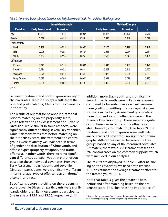|                 | <b>Unmatched sample</b> |                  | <b>Matched Sample</b> |                         |                  |                  |
|-----------------|-------------------------|------------------|-----------------------|-------------------------|------------------|------------------|
| <b>Variable</b> | <b>Early Assessment</b> | <b>Diversion</b> | $\boldsymbol{p}$      | <b>Early Assessment</b> | <b>Diversion</b> | $\boldsymbol{p}$ |
| Age             | 13.063                  | 15.812           | $0.000*$              | 13.484                  | 13.470           | 0.910            |
| Gender          | 0.629                   | 0.618            | 0.749                 | 0.610                   | 0.549            | 0.099            |
| Race/Ethnicity  |                         |                  |                       |                         |                  |                  |
| <b>Black</b>    | 0.188                   | 0.098            | $0.000*$              | 0.165                   | 0.198            | 0.249            |
| Hisp            | 0.025                   | 0.055            | $0.030*$              | 0.025                   | 0.014            | 0.281            |
| White           | 0.657                   | 0.595            | 0.075                 | 0.670                   | 0.643            | 0.436            |
| Offense Type    |                         |                  |                       |                         |                  |                  |
| Person          | 0.341                   | 0.173            | $0.000*$              | 0.346                   | 0.401            | 0.126            |
| Property        | 0.484                   | 0.422            | 0.081                 | 0.467                   | 0.440            | 0.457            |
| <b>Weapons</b>  | 0.028                   | 0.013            | 0.131                 | 0.025                   | 0.008            | 0.081            |
| Drugs/Alcohol   | 0.083                   | 0.296            | $0.000*$              | 0.091                   | 0.088            | 0.897            |
| <b>Traffic</b>  | 0.008                   | 0.003            | 0.318                 | 0.008                   | 0.000            | 0.083            |

#### Table 2. *Achieving Balance Among Diversion and Early Assessment Youth: Pre- and Post-Matching* t*-tests*

\**p* < .05

88

between treatment and control groups on any of the covariates. Table 2 displays results from the pre- and post-matching *t*-tests for the covariates in the study.

The results of our test for balance indicate that prior to matching on the propensity score, youth referred to Early Assessment and Juvenile Diversion, while similar in some respects, were significantly different along several key variables. Table 2 demonstrates that before matching on the propensity score, the treatment and control groups were relatively well balanced in terms of gender, the distribution of White youth, and offense types (property, weapons, and traffic offenses). In other words, there were no significant differences between youth in either group based on these individual covariates. However, Early Assessment participants and Juvenile Diversion participants were significantly different in terms of age, type of offense (person, drugs/ alcohol), and race.

Specifically, before matching on the propensity score, Juvenile Diversion participants were significantly older than Early Assessment participants (mean age of 15.81 and 13.06, respectively). In

addition, more Black youth and significantly fewer Hispanic youth were in Early Assessment compared to Juvenile Diversion. Furthermore, more youth committing offenses against a person were in the Early Assessment group while more drug and alcohol offenders were in the Juvenile Diversion group. There were no significant differences in terms of the other covariates. However, after matching (see Table 2), the treatment and control groups were well balanced across all covariates; no significant demographic differences existed between the two groups based on any of the measured covariates. Ultimately, there were 364 treatment cases and 297 control cases on the common support<sup>4</sup> which were included in our analyses.

The results are displayed in Table 3. After balancing on the covariates, we used Stata (version 11.0) to estimate the average treatment effect for the treated youth (ATT).

Note that Table 3 gives the *t*-statistic both before and after matching based on the propensity score. This illustrates the importance of

<sup>4</sup> Cases on the "common support" are those cases that were able to be matched with one or more cases in the comparison group based on their propensity scores (Guo & Fraser, 2010).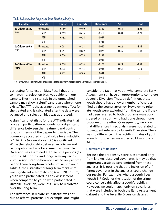| <b>Variable</b>          | <b>Sample</b>    | <b>Treated</b> | <b>Controls</b> | <b>Difference</b> | S.E.      | <b>T-stat</b> |
|--------------------------|------------------|----------------|-----------------|-------------------|-----------|---------------|
| <b>Re-Offense at any</b> | <b>Unmatched</b> | 0.150          | 0.490           | $-0.340$          | 0.031     | $-11.02$      |
| time                     | ATT*             | 0.159          | 0.475           | $-0.316$          | 0.083     | $-3.79$       |
|                          | <b>ATU</b>       | 0.492          | 0.424           | $-0.067$          | $\bullet$ | $\bullet$     |
|                          | ATE              |                |                 | $-0.204$          | $\bullet$ | $\bullet$     |
| <b>Re-Offense at One</b> | <b>Unmatched</b> | 0.088          | 0.128           | $-0.040$          | 0.022     | $-1.84$       |
| Year                     | $ATT*$           | 0.091          | 0.069           | 0.022             | 0.046     | 0.48          |
|                          | <b>ATU</b>       | 0.114          | 0.279           | 0.165             | $\bullet$ | $\bullet$     |
|                          | ATE              |                |                 | 0.086             | $\bullet$ | $\bullet$     |
| <b>Re-Offense at Two</b> | <b>Unmatched</b> | 0.128          | 0.254           | $-0.126$          | 0.028     | $-4.58$       |
| <b>Years</b>             | ATT*             | 0.135          | 0.143           | $-0.008$          | 0.061     | $-0.13$       |
|                          | <b>ATU</b>       | 0.222          | 0.306           | 0.084             | $\bullet$ | $\bullet$     |
|                          | <b>ATE</b>       |                |                 | 0.033             | $\bullet$ | $\bullet$     |

#### Table 3. *Results from Propensity Score Matching Analyses*

\* ATT is the Average Treatment Effect for the Treated. In this case, the treated participants are those who received Diversion.

correcting for selection bias. Recall that prior to matching, selection bias was evident in our sample. Thus the *t*-statistic in the unmatched sample may show a significant result where none exists. The ATT is the average treatment effect for the treated and is calculated after the data were balanced and selection bias was addressed.

A significant *t*-statistic for the ATT indicates that program participation accounts for a significant difference between the treatment and control groups in terms of the dependent variable. The commonly accepted critical value for a *t*-statistic is 1.96. Any *t*-value above 1.96 is significant. While the relationship between recidivism and participation in Early Assessment vs. Juvenile Diversion was examined at three time periods (12 months, 24 months, and long-term/any recidivism), a significant difference existed only at time period three: long-term recidivism. As shown in Table 3, the *t*-statistic for long-term recidivism was significant after matching (*t* = 3.79). In sum, youth who participated in Early Assessment, when compared to youth who participated in Juvenile Diversion, were less likely to recidivate over the long term.

The difference in recidivism patterns was not due to referral patterns. For example, one might consider the fact that youth who complete Early Assessment still have an opportunity to complete Juvenile Diversion. Thus, by definition, these youth should have a lower number of charges filed by the county attorney. However, to reiterate, youth were excluded from the sample if they had been referred to both programs—we considered only youth who had gone through one program or the other. Consequently, we know that differences in recidivism were not related to subsequent referrals to Juvenile Diversion. There was no difference in the recidivism rates of youth in each group when measured at 12 months or 24 months.

#### **Limitations of this Study**

Because the propensity score is estimated only from known, observed covariates, it may be that important variables were omitted from these analyses. It is possible that the inclusion of different covariates in the analyses could change our results. For example, where a youth lives (youth ZIP Code) or the location of the crime could conceivably affect a youth's recidivism. However, we could match only on covariates that were included in both the Early Assessment dataset and the Juvenile Diversion dataset.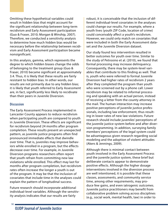Omitting these hypothetical variables could result in hidden bias that might account for the significant relationship between long-term recidivism and Early Assessment participation (Guo & Fraser, 2010; Morgan & Winship, 2007). Therefore, we conducted a sensitivity analysis to determine how much hidden bias would be necessary before the relationship between recidivism and Early Assessment participation became nonsignificant.

In this analysis, gamma, which represents the degree to which hidden biases change the odds of belonging to the treatment group (Guo & Fraser, 2010) became significant at approximately 3.4. Thus, it is likely that these results are fairly resistant to hidden bias. In other words, our results are not primarily due to any hidden bias; it is likely that youth referred to Early Assessment are, in fact, significantly less likely to recidivate than their peers in Juvenile Diversion.

# **Discussion**

90

The Early Assessment Process implemented in Lancaster County appears to reduce recidivism when participating youth are compared to youth in Juvenile Diversion. These effects are significant for recidivism beyond 24 months after program completion. These results present an unexpected pattern, as juvenile justice programs often find pronounced immediate effects that dwindle over time. That is, juveniles may improve behaviors while enrolled in a program, but the effects decrease over time. For example, in Juvenile Diversion programs researchers often report that youth refrain from committing new law violations while enrolled. This effect may last for months after program completion, but recidivism rates often increase the longer a youth is out of the program. It may be that the inclusion of covariates that include time in the analyses could explain the pattern of longitudinal success.

Future research should incorporate additional individual-level variables. Although the sensitivity analysis indicates that our results are fairly

robust, it is conceivable that the inclusion of different individual-level covariates in the analyses could change our results. For example, where a youth lives (youth ZIP Code, location of crime) could conceivably affect a youth's recidivism. However, we could only match on covariates that were included in both the Early Assessment dataset and the Juvenile Diversion dataset.

Our study found less intervention resulted in better outcomes for youth over time. Similar to the study of Petrosino et al. (2010), we found that formal processing may increase delinquency. Consequently, there may be system-level variables that contribute to this finding as well. That is, youth who were referred to formal Juvenile Diversion had higher rates of recidivism 2 years after they completed the program than youth who were screened out by a phone call. Lower recidivism may be related to informal processing and speaking with an actual person, instead of receiving a letter from the county attorney in the mail. The human interaction may increase positive perceptions of juvenile justice professionals, including law enforcement, thus resulting in lower rates of new law violations. Future research should include juveniles' perceptions of the juvenile justice system before and after diversion programming. In addition, surveying family members' perceptions of the legal system could be advantageous given research regarding social modeling and the adoption of violent attitudes (Akers & Jennings, 2009).

Although there is minimal contact between youth involved in the Early Assessment Process and the juvenile justice system, these brief but deliberate contacts appear to demonstrate positive effects. Although the higher dosage interventions involved in the diversion process are well intentioned, it is possible that these classes, assessments, and community service time, among other requirements, may produce few gains, and even iatrogenic outcomes. Juvenile justice practitioners may benefit from collaborative problem solving across disciplines (e.g., social work, mental health, law) in order to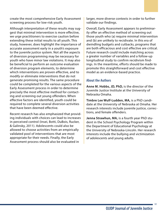create the most comprehensive Early Assessment screening process for low-risk youth.

Although interpretation of these results may suggest that minimal intervention is more effective, we urge practitioners to exercise caution before extending these initial results to all youth. This study, however, does highlight the importance of accurate assessment early in a youth's exposure to the juvenile justice system. Not all the aspects of diversion programming may be necessary for youth who have minor law violations. It may also be beneficial to perform an outcome evaluation of diversion program elements, to determine which interventions are proven effective, and to modify or eliminate interventions that do not generate promising results. The same procedure could be completed for the various aspects of the Early Assessment process in order to determine precisely the most effective method for contacting and screening out young offenders. When effective factors are identified, youth could be required to complete several diversion activities that have been deemed effective.

Recent research has also emphasized that providing individuals with choices can lead to increases in perceived control (Insei, Botti, DuBois, Rucker, & Galinsky, 2011). Adolescents could also be allowed to choose activities from an empirically validated pool of interventions that are most appropriate for their needs. Finally, the Early Assessment process should also be evaluated in

larger, more diverse contexts in order to further validate our findings.

Overall, Early Assessment appears to preliminarily offer an effective method of screening out those youth who (a) require minimal intervention and (b) are unlikely to recidivate. In this era of dwindling budgets and cutbacks, programs that are both efficacious and cost effective are critical. Future research could include matching across a greater number of variables and a follow-up longitudinal study to confirm recidivism findings. In the meantime, efforts should be made to promote this straightforward and cost effective model as an evidence-based practice.

# **About the Authors**

**Anne M. Hobbs, JD, PhD,** is the director of the Juvenile Justice Institute at the University of Nebraska Omaha.

**Timbre Lee Wulf-Ludden, MA,** is a PhD candidate at the University of Nebraska at Omaha. Her research interests include juvenile justice, corrections, and female offenders.

**Jenna Strawhun, MA,** is a fourth year PhD student in the School Psychology Program within the Department of Educational Psychology at the University of Nebraska-Lincoln. Her research interests include the bullying and victimization of adolescents and young adults.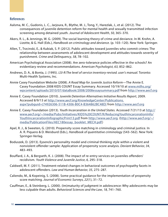#### **References**

- Aalsma, M. C., Gudonis, L. C., Jarjoura, R., Blythe, M. J., Tong, Y., Harezlak, J., et al. (2012). The consequences of juvenile detention reform for mental health and sexually transmitted infection screening among detained youth. *Journal of Adolescent Health, 50,* 365–370.
- Akers, R. L., & Jennings, W. G. (2009). The social learning theory of crime and deviance. In M. Krohn, A. Lizotte, & G. Hall (Eds.), *Handbook on criminology and deviance*. (p. 103–120). New York: Springer.
- Allen, T., Trzcinski, E., & Kubiak, S. P. (2012). Public attitudes toward juveniles who commit crimes: The relationship between assessments of adolescent development and attitudes towards severity of punishment. *Crime and Delinquency*, *58,* 78–102.
- American Psychological Association (2008). Are zero-tolerance policies effective in the schools? An evidentiary review and recommendations. *American Psychologist, 63,* 852–862.
- Andrews, D. A., & Bonta, J. (1995). *LSI-R:The level of service inventory-revised. user's manual.* Toronto: Multi-Health Systems, Inc.
- Annie Casey Foundation Website (2008). *A Road Map for Juvenile Justice Reform—*The Annie E. Casey Foundation 2008 KIDS COUNT Essay Summary. Accessed 10/19/10 at [www.milhs.org/](http://www.milhs.org/wpcontent/uploads/2010/07/dataBook/2008/2008essaysummary.pdf) [wpcontent/uploads/2010/07/dataBook/2008/2008essaysummary.pdf](http://www.milhs.org/wpcontent/uploads/2010/07/dataBook/2008/2008essaysummary.pdf) from <http://www.aecf.org>
- Annie E. Casey Foundation (2010). *Juvenile Detention Alternatives Initiative Results Report*, 2009. Accessed 8/9/13 at [http://www.aecf.org/KnowledgeCenter/Publications.](http://www.aecf.org/KnowledgeCenter/Publications.aspx?pubguid=%7b74926306-511B-4306-B0C4-B364862BC48D%7d) [aspx?pubguid={74926306-511B-4306-B0C4-B364862BC48D}](http://www.aecf.org/KnowledgeCenter/Publications.aspx?pubguid=%7b74926306-511B-4306-B0C4-B364862BC48D%7d) from<http://www.aecf.org>
- Annie E. Casey Foundation (2013). *Youth Incarceration in the United States.* Accessed 7/21/13 at [http://](http://www.aecf.org/~/media/Pubs/Initiatives/KIDS COUNT/R/ReducingYouthIncarcerationInfo/YouthIncarcerationInfographicPrint13.pdf) [www.aecf.org/~/media/Pubs/Initiatives/KIDS%20COUNT/R/ReducingYouthIncarcerationInfo/](http://www.aecf.org/~/media/Pubs/Initiatives/KIDS COUNT/R/ReducingYouthIncarcerationInfo/YouthIncarcerationInfographicPrint13.pdf) [YouthIncarcerationInfographicPrint13.pdf](http://www.aecf.org/~/media/Pubs/Initiatives/KIDS COUNT/R/ReducingYouthIncarcerationInfo/YouthIncarcerationInfographicPrint13.pdf) from <http://www.aecf.org>. [\(http://www.aecf.org/~/](http://www.aecf.org/~/media/PublicationFiles/AEC180essay_booklet_MECH.pdf) [media/PublicationFiles/AEC180essay\\_booklet\\_MECH.pdf\)](http://www.aecf.org/~/media/PublicationFiles/AEC180essay_booklet_MECH.pdf)
- Apel, R. J., & Sweeten, G. (2010). Propensity score matching in criminology and criminal justice. In A. R. Piquero & D. Weisburd (Eds.), *Handbook of quantitative criminology* (543–562). New York: Springer-Verlag.
- Boduszek, D. (2013). Eysenck's personality model and criminal thinking style within a violent and nonviolent offender sample: Application of propensity score analysis. *Deviant Behavior, 34*, 483–493.
- Bouffard, J. A., & Bergseth, K. J. (2008). The impact of re-entry services on juveniles offenders' recidivism. *Youth Violence and Juvenile Justice*, *6,* 295–318.
- Caldwell, M. F. (2011). Treatment-related changes in behavioral outcomes of psychopathy facets in adolescent offenders. *Law and Human Behavior, 35*, 275–287.
- Caliendo, M., & Kopeinig, S. (2008). Some practical guidance for the implementation of propensity score matching. *Journal of Economic Surveys, 22*(1), 31–72.
- Cauffman, E., & Steinberg, L. (2000). (Im)maturity of judgment in adolescence: Why adolescents may be less culpable than adults. *Behavioral Sciences and the Law*, *18,* 741–760.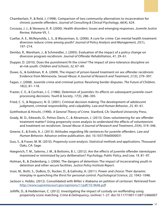- Chamberlain, P., & Reid, J. (1998). Comparison of two community alternatives to incarceration for chronic juvenile offenders. *Journal of Consulting & Clinical Psychology*, *66*(4), 624.
- Cocozza, J. J., & Skowyra, K. R. (2000). Health disorders: Issues and emerging responses. *Juvenile Justice Review,* Volume VII, 1.
- Cuellar, A. E., McReynolds, L. S., & Wasserman, G. (2006). A cure for crime: Can mental health treatment diversion reduce crime among youth? *Journal of Policy Analysis and Management, 25*(1), 197–214.
- Dembo, R., Wareham, J., & Schmeidler, J. (2005). Evaluation of the impact of a policy change on diversion program recidivism. *Journal of Offender Rehabilitation*, *41,* 29–61.
- Dupper, D. (2010). Does the punishment fit the crime? The impact of zero-tolerance discipline on at-risk youth. *Children and Schools*, *32,* 67–69.
- Duwe, G., & Goldman, R. A. (2009). The impact of prison-based treatment on sex offender recidivism: Evidence from Minnesota. *Sexual Abuse: A Journal of Research and Treatment, 21*(3), 279–307.
- Fagan, J. (2008). Juvenile crime and criminal justice: Resolving border disputes. *The Future of Children, 18*(2), 81–118.
- Frazier, C. E., & Cochran, J. C. (1986). Detention of juveniles: Its effects on subsequent juvenile court processing decisions. *Youth & Society*, *17*(3), 286–305.
- Fried, C. S., & Reppucci, N. D. (2001). Criminal decision making: The development of adolescent judgment, criminal responsibility, and culpability. *Law and Human Behavior*, *25,* 45–61.
- Gottfredson & Hirschi, (1990). *A General Theory of Crime*. Stanford, CA: Stanford University Press.
- Grady, M. D., Edwards, D., Pettus-Davis, C., & Abramson, J. (2013). Does volunteering for sex offender treatment matter? Using propensity score analysis to understand the effects of volunteerism and treatment on recidivism. *Sexual Abuse: A Journal of Research and Treatment, 25*(4), 319–346.
- Greene, E., & Evelo, A. J. (2013). Attitudes regarding life sentences for juvenile offenders. *Law and Human Behavior.* Advance online publication. doi: 10.1037/lhb0000031
- Guo, S., & Fraser, M. W. (2010). *Propensity score analysis: Statistical methods and applications*. Thousand Oaks, CA: Sage.
- Haegerich, T. M., Salerno, J. M., & Bottoms, B. L. (2012). Are the effects of juvenile offender stereotypes maximized or minimized by jury deliberation? *Psychology, Public Policy, and Law, 19,* 81–97.
- Holman, B., & Ziedenberg, J. (2006). The dangers of detention: The impact of incarcerating youth in detention and other secure facilities. *Justice Policy Institute Report.*
- Insei, M., Botti, S., DuBois, D., Rucker, D., & Galinsky, A. (2011). Power and choice: Their dynamic interplay in quenching the thirst for personal control. *Psychological Science*, *22*, 1042–1048.
- Jackson v. Hobbs. (2012). Consolidated with Miller v Alabama on petition of certiorari. Retrieved from <http://www.supremecourt.gov/opinions/11pdf/10-9646.pdf>
- Jolliffe, D., & Hedderman, C. (2012). Investigating the impact of custody on reoffending using propensity score matching. *Crime & Delinquency*, (online) 1–27. doi:10.1177/0011128712466007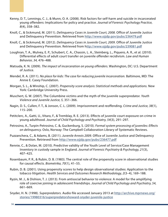- Kenny, D. T., Lennings, C. J., & Munn, O. A. (2008). Risk factors for self-harm and suicide in incarcerated young offenders: Implications for policy and practice. *Journal of Forensic Psychology Practice, 8*(4), 358–382.
- Knoll, C., & Sickmund, M. (2011). *Delinquency Cases in Juvenile Court, 2008.* Office of Juvenile Justice and Delinquency Prevention. Retrieved from <http://www.ojjdp.gov/pubs/236479.pdf>
- Knoll, C., & Sickmund, M. (2012). *Delinquency Cases in Juvenile Court, 2009.* Office of Juvenile Justice and Delinquency Prevention. Retrieved from <http://www.ojjdp.gov/pubs/239081.pdf>
- Loughran, T. A., Mulvey, E. P., Schubert, C. A., Chassin, L. A., Steinberg, L., Piquero, A. R., et al. (2010). Differential effects of adult court transfer on juvenile offender recidivism. *Law and Human Behavior, 34,* 476–488.
- Matsuda, K. N. (2009). *The impact of incarceration on young offenders.* Washington, DC: U.S. Department of Justice.
- Mendel, R. A. (2011). *No place for kids: The case for reducing juvenile incarceration.* Baltimore, MD: The Annie E. Casey Foundation.
- Morgan, S. L., & Winship, C. (2007). *Propensity score analysis: Statistical methods and applications.* New York: Cambridge University Press.
- Muschert, G. W. (2007). The Columbine victims and the myth of the juvenile superpredator. *Youth Violence and Juvenile Justice, 5,* 351–366.
- Nagin, D. S., Cullen, F. T., & Jonson, C. L. (2009). Imprisonment and reoffending. *Crime and Justice, 38*(1), 115–200.
- Petitclerc, A., Gatti, U., Vitaro, F., & Tremblay, R. E. (2013). Effects of juvenile court exposure on crime in young adulthood. *Journal of Child Psychology and Psychiatry, 54*(3), 291–297.
- Petrosino, A., Turpin-Petrosino, C. &, Guckenburg, S. (2010). *Formal system processing of juveniles: Effects on delinquency.* Oslo, Norway: The Campbell Collaboration Library of Systematic Reviews.
- Puzzanchera, C., & Adams, B. (2011). *Juvenile Arrests 2009.* Office of Juvenile Justice and Delinquency Prevention. Retrieved from <http://www.ojjdp.gov/pubs/236477.pdf>
- Rennie, C., & Dolan, M. (2010). Predictive validity of the Youth Level of Service/Case Management Inventory in custody sample in England. *Journal of Forensic Psychiatry & Psychology, 21*(3), 407–425.
- Rosenbaum, P. R., & Rubin, D. B. (1983). The central role of the propensity score in observational studies for causal effects. *Biometrika, 70*(1), 41–55.
- Rubin, D. B. (2001). Using propensity scores to help design observational studies: Application to the tobacco litigation. *Health Services and Outcomes Research Methodology, 2*(3–4), 169–188.
- Ryzin, M. J., & Dishion, T. J. (2013). From antisocial behavior to violence: A model for the amplifying role of coercive joining in adolescent friendships. *Journal of Child Psychology and Psychiatry, 54,* 661–669.
- Snyder, H. N. (1998). *Superpredators.* Audio file accessed January 2013 at [http://archive.mprnews.org/](http://archive.mprnews.org/stories/19980316/superpredatorshoward-snyder-juvenile-justice) [stories/19980316/superpredatorshoward-snyder-juvenile-justice](http://archive.mprnews.org/stories/19980316/superpredatorshoward-snyder-juvenile-justice)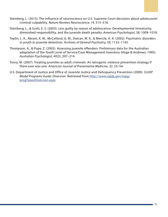

- Steinberg, L. (2013). The influence of neuroscience on U.S. Supreme Court decisions about adolescents' criminal culpability. *Nature Reviews Neuroscience, 14,* 513–518.
- Steinberg, L., & Scott, E. S. (2003). Less guilty by reason of adolescence: Developmental immaturity, diminished responsibility, and the juvenile death penalty. *American Psychologist, 58,* 1009–1018.
- Teplin, L. A., Abram, K. M., McCelland, G. M., Dulcan, M. K., & Mericle, A. A. (2002). Psychiatric disorders in youth in juvenile detention. *Archives of General Psychiatry, 59,* 1133–1143.
- Thompson, A., & Pope, Z. (2005). Assessing juvenile offenders: Preliminary data for the Australian adaptation of the Youth Level of Service/Case Management Inventory (Hoge & Andrews, 1995). *Australian Psychologist, 40*(3), 207–214.
- Tonry, M. (2007). Treating juveniles as adult criminals: An iatrogenic violence prevention strategy if there ever was one. *American Journal of Preventative Medicine, 32,* S3–S4.
- U.S. Department of Justice and Office of Juvenile Justice and Delinquency Prevention (2009). *OJJDP Model Programs Guide: Diversion.* Retrieved from [http://www.ojjdp.gov/mpg/](http://www.ojjdp.gov/mpg/progTypesDiversion.aspx) [progTypesDiversion.aspx](http://www.ojjdp.gov/mpg/progTypesDiversion.aspx)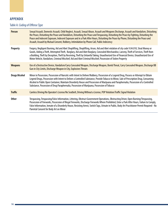# **APPENDIX**

# Table A: *Coding of Offense Type*

| <b>Person</b>        | Sexual Assault, Domestic Assault, Child Neglect, Assault, Sexual Abuse, Assault and Weapons Discharge, Assault and Vandalism, Disturbing<br>the Peace, Disturbing the Peace and Vandalism, Disturbing the Peace and Trespassing, Disturbing the Peace by Fighting, Disturbing the<br>Peace and Indecent Exposure, Indecent Exposure and in a Park After Hours, Disturbing the Peace by Phone, Disturbing the Peace and<br>Assault, Assault by Mutual Consent, Robbery, Intimidation by Phone Call, Public Indecency                       |
|----------------------|-------------------------------------------------------------------------------------------------------------------------------------------------------------------------------------------------------------------------------------------------------------------------------------------------------------------------------------------------------------------------------------------------------------------------------------------------------------------------------------------------------------------------------------------|
| <b>Property</b>      | Forgery, Negligent Burning, Aid and Abet Shoplifting, Shoplifting, Arson, Aid and Abet violation of city code 9.04.010, Steal Money or<br>Goods, Aiding a Theft, Attempted Theft, Burglary, Aid and Abet Burglary, Concealed Merchandise, Larceny, Theft of Services, Theft from<br>a Building, Theft by Deception, Theft by Receiving, Theft by Unlawful Taking, Unauthorized Use of Financial Device, Unauthorized Use of<br>Motor Vehicle, Vandalism, Criminal Mischief, Aid and Abet Criminal Mischief, Possession of Stolen Property |
| <b>Weapons</b>       | Use of a Destructive Device, Vandalism/Carry Concealed Weapon, Discharge Weapon, Bomb Threat, Carry Concealed Weapon, Discharge BB<br>Gun in City Limits, Discharge Weapon in City, Explosives Threats                                                                                                                                                                                                                                                                                                                                    |
| <b>Drugs/Alcohol</b> | Minor in Possession, Possession of Narcotic with Intent to Deliver/Robbery, Possession of a Legend Drug, Possess or Attempt to Obtain<br>Legend Drugs, Possession with Intent to Deliver a Controlled Substance, Provide Tobacco to Minor, Sale of Prescription Drug, Consuming<br>Alcohol in Public Open Container, Maintain Disorderly House and Possession of Marijuana and Paraphernalia, Possession of a Controlled<br>Substance, Possession of Drug Paraphernalia, Possession of Marijuana, Possession of Tobacco                   |
| <b>Traffic</b>       | Careless Driving/No Operator's License/No Seatbelt, Driving Without a License, POP Violation/Traffic Signal Violation                                                                                                                                                                                                                                                                                                                                                                                                                     |
| <b>Other</b>         | Trespassing, Trespassing/False Information, Littering, Obstruct Government Operations, Obstructing Driver, Open Burning/Trespassing,<br>Possession of Fireworks, Possession of Illegal Fireworks, Discharge Fireworks Where Prohibited, Enter a Park After Hours, Failure to Comply,<br>False Information, Inmate of a Disorderly House, Resisting Arrest, Switch Tags, Urinate in Public, Body Art Practitioner Permit Required - No<br>Parental Consent for Body Art on Minor                                                           |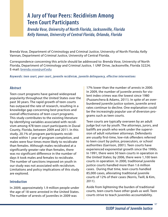# **A Jury of Your Peers: Recidivism Among Teen Court Participants**

*Brenda Vose, University of North Florida, Jacksonville, Florida Kelly Vannan, University of Central Florida, Orlando, Florida*

Brenda Vose, Department of Criminology and Criminal Justice, University of North Florida; Kelly Vannan, Department of Criminal Justice, University of Central Florida.

Correspondence concerning this article should be addressed to: Brenda Vose, University of North Florida, Department of Criminology and Criminal Justice, 1 UNF Drive, Jacksonville, Florida 32224; E-mail: [brenda.vose@unf.edu](mailto:brenda.vose@unf.edu)

*Keywords: teen court, peer court, juvenile recidivism, juvenile delinquency, effective interventions*

# **Abstract**

Teen court programs have gained widespread popularity throughout the United States over the past 30 years. The rapid growth of teen courts has outpaced the rate of research, resulting in a knowledge gap concerning best practices and overall effectiveness of teen court programs. This study contributes to the existing literature by identifying variables associated with recidivism among 478 teen court participants in Duval County, Florida, between 2009 and 2011. In this study, 20.1% of program participants recidivated within 1 year of program completion, and males were four times more likely to recidivate than females. Although males recidivated at a significantly greater rate than females, there was no significant difference in the number of days it took males and females to recidivate. The number of sanctions imposed on youth in our study was not associated with recidivism. Limitations and policy implications of this study are explored.

# **Introduction**

In 2009, approximately 1.9 million people under the age of 18 were arrested in the United States. The number of arrests of juveniles in 2009 was

17% lower than the number of arrests in 2000. In 2009, the number of juvenile arrests for violent index crimes was the lowest since 1980 (Puzzanchera & Adams, 2011). In spite of an overburdened juvenile justice system, juvenile arrest rates continue to decline. One explanation could be the increasingly popular use of diversion programs such as teen courts.

Teen courts are typically overseen by an adult judge but run by youth. The attorneys, jurors, and bailiffs are youth who work under the supervision of adult volunteer attorneys. Defendants are usually first-time, low-risk offenders referred to teen court by police, prosecutors, or school authorities (Garrison, 2001). Teen courts have experienced exponential growth since the 1990s. In 1991, there were 50 teen courts in operation in the United States; by 2006, there were 1,100 teen courts in operation. In 2000, traditional juvenile justice courts handled more than 1.6 million cases. During that time, teen courts handled 85,000 cases, alleviating traditional juvenile courts of 12% of their cases (Norris, Twill, & Kim, 2011).

Aside from lightening the burden of traditional courts, teen courts have other goals as well. Teen courts strive to teach juveniles accountability.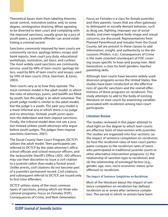Theoretical bases stem from labeling theories, social control, restorative justice, and, to some degree, reintegrative shaming. When agreeing to be diverted to teen court and complying with the imposed sanctions, usually given by a jury of youth peers, a juvenile offender can avoid establishing a criminal record.

Sanctions commonly imposed by teen courts are community service, apology letters, essays and book reports, teen court jury duty, educational workshops, restitution, jail tours, and curfews. The most widely used sanctions are community service, used by 99% of teen courts; apology letters, used by 86% of teen courts; and essays, used by 59% of teen courts (Dick, Geertsen, & Jones, 2003).

Teen courts vary as to how they operate. The most common model is the adult model, in which the roles of attorneys, jurors, and bailiffs are filled by youth, but the judge is an adult volunteer. The youth judge model is similar to the adult model, but the judge is a youth. The peer jury model is a more informal one in which there is no judge and no attorneys. Instead, youth jurors question the defendant and then impose sanctions. Finally, the tribunal model does not use a jury, but instead utilizes youth attorneys who argue before youth judges. The judges then impose sanctions (Garrison, 2001).

The Duval County Teen Court Program (DCTCP) utilizes the adult model. Teen participants are referred to DCTCP by the state attorney's office, school officials and school resource officers, and the Jacksonville Sheriff's Office (JSO). JSO officers may use their discretion to issue a civil citation to a juvenile rather than make a formal arrest. Unlike arrests, civil citations do not become part of a juvenile's permanent record. Civil citations, and subsequent referral to DCTCP, are issued only to first-time offenders.

DCTCP utilizes many of the most common types of sanctions, among which are three educational programs: Focus on Females (FOF), Consequences of Crime, and Next Generation.

Focus on Females is a class for female juveniles and their parents. Issues that are often gateways to delinquent or socially deviant behavior, such as drug use, fighting, improper use of social media, and even negative body image and sexual concerns, are discussed. Representatives from Planned Parenthood and inmates from the Duval County Jail are present in these classes to add information, insight, and authenticity to the discussions (Plotkin, n.d.). Consequences of Crime is the male-oriented counterpart of FOF, covering issues specific to boys and young men. Next Generation, a class for both genders, teaches parenting skills.

Although teen courts have become widely used diversion programs across the United States, few studies have been conducted on the effectiveness of specific sanctions and the overall effectiveness of these programs on recidivism. This study attempts to add to the body of existing literature on teen courts by examining variables associated with recidivism among teen court participants.

#### **Literature Review**

The studies reviewed in this paper attempt to shed light on the degree to which teen courts are effective tools of intervention with juveniles. The studies are organized into four sections: (a) the impact of sentence completion on recidivism; (b) how the recidivism rates of teen court participants compare to the recidivism rates of teens who participated in traditional juvenile courts or other alternative intervention programs; (c) the relationship of sanction type to recidivism; and (d) the relationship of extralegal factors (e.g., gender, age, race, socio-economic status, prior offenses) to recidivism.

#### **The Impact of Sentence Completion on Recidivism**

Most of the literature about the impact of sentence completion on recidivism has defined recidivism as re-arrest after sentence completion. The period in which re-arrests have been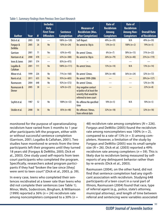| <b>Author</b>                | <b>Year</b> | N   | <b>Includes</b><br><b>Only</b><br><b>First-Time</b><br><b>Offenders</b> | <b>Sentence</b><br><b>Completion</b> | <b>Measure of</b><br><b>Recidivism (Mos.</b><br>after Completion)                                    | <b>Rate of</b><br><b>Recidivism</b><br><b>Among</b><br><b>Completers</b> | <b>Rate of</b><br><b>Recidivism</b><br><b>Among Non-</b><br><b>Completers</b> | <b>Overall Rate</b><br>of Recidivism |
|------------------------------|-------------|-----|-------------------------------------------------------------------------|--------------------------------------|------------------------------------------------------------------------------------------------------|--------------------------------------------------------------------------|-------------------------------------------------------------------------------|--------------------------------------|
| Dick et al.                  | 2003        | 120 |                                                                         | $100\%$ (n=120)                      | Self-Report                                                                                          | $49\%$ (n=59)                                                            | N/A                                                                           | 49% ( $n=59$ )                       |
| Forgays &<br><b>DeMilio</b>  | 2005        | 26  | <b>No</b>                                                               | $92\%$ (n=24)                        | Re-arrest to 18y/o                                                                                   | $13\% (n=3)$                                                             | $100\% (n=2)$                                                                 | $19\% (n=5)$                         |
| Garrison                     | 2001        | 71  | Yes                                                                     | $63\%$ (n=45)                        | Re-arrest 12mos.                                                                                     | $6\%$ (n=7)                                                              | $58\%$ (n=15)                                                                 | $31\% (n=22)$                        |
| Harrison et al.              | 2000        | 478 | $\hspace{0.05cm}$                                                       | $63\% (n=300)$                       | Re-arrest to 18y/o                                                                                   | $26\% (n=79)$                                                            | $32\% (n=40)$                                                                 | $25\%$ (n=119)                       |
| Irons & Jones                | 2001        | 574 |                                                                         | $83\%$ (n=475)                       |                                                                                                      |                                                                          |                                                                               |                                      |
| Logalbo &<br>Callahan        | 2001        | 111 | <b>No</b>                                                               | $100\%$ (n=111)                      | Re-arrest 5mos.                                                                                      | $13\% (n=14)$                                                            | N/A                                                                           | $13\% (n=14)$                        |
| Minor et al.                 | 1999        | 226 | N <sub>o</sub>                                                          | $71\% (n=160)$                       | Re-arrest 12mos.                                                                                     | $30\% (n=48)$                                                            | $36\% (n=24)$                                                                 | $32\% (n=72)$                        |
| Norris et al.                | 2011        | 635 | Yes                                                                     | $95\% (n=603)$                       | Re-arrest 1999-2006                                                                                  |                                                                          |                                                                               | $20\% (n=127)$                       |
| Rasmussen                    | 2004        | 648 | N <sub>o</sub>                                                          | $92\%$ (n=572)                       | Re-arrest 12mos.                                                                                     |                                                                          |                                                                               | $12\% (n=78)$                        |
| Rasmussen &<br><b>Diener</b> | 2005        | 38  |                                                                         | $62\%$ (n=23)                        | Any negative contact<br>w/police of at least the<br>severity that would be<br>referred to teen court |                                                                          |                                                                               | $22\%$ (n=8)                         |
| Seyfrit et al.               | 1987        | 52  | N <sub>o</sub>                                                          | $100\%$ (n=52)                       | Re-offense No specified<br>time                                                                      | $10\% (n=5)$                                                             | N/A                                                                           | $10\% (n=5)$                         |
| Stickle et al.               | 2008        | 56  | <b>No</b>                                                               | $85\%$ (n=48)                        | Re-offenses 18mos.<br>from referral date                                                             | $32\% (n=18)$                                                            |                                                                               | $32\% (n=18)$                        |

#### Table 1. *Summary Findings from Previous Teen Court Research*

monitored for the purpose of operationalizing recidivism have varied from 5 months to 1 year after participants left the program, either with or without successful sentence completion (Garrison, 2001; Logalbo & Callahan, 2001). Two studies have monitored re-arrests from the time participants left their programs until they turned 18 years old (Forgays & DeMilio, 2005; Dick et al., 2003). One study used self-reports from teen court participants who completed the program. Specifically, researchers asked program participants if they had "broken the law since [they] were sent to teen court" (Dick et al., 2003, p. 39).

In every case, teens who completed their sentences recidivated at a lower rate than teens who did not complete their sentences (see Table 1). Minor, Wells, Soderstrom, Bingham, & Williamson (1999) reported a 36% (*n* = 24) recidivism rate among noncompleters compared to a 30% (*n* =

48) recidivism rate among completers (*N* = 226). Forgays and DeMilio (2005) found the recidivism rate among noncompleters was 100% (*n* = 2), compared to a rate of 13% (*n* = 3) among completers. However, a limitation of the study by Forgays and DeMilio (2005) was its small sample size (*N* = 26). Dick et al. (2003) reported a 49% recidivism rate among completers (*n* = 59). This is likely due to recidivism being measured by selfreports of any delinquent behavior rather than by re-arrests (Dick et al., 2003).

Rasmussen (2004), on the other hand, did not find that sentence completion had any significant association with recidivism. Studying 648 participants of a teen court in a rural part of Illinois, Rasmussen (2004) found that race, type of referral agent (e.g., police, state's attorney, municipal attorney), and length of time between referral and sentencing were variables associated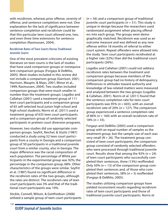with recidivism, whereas prior offense, severity of offense, and sentence completion were not. One explanation for the lack of significance between sentence completion and recidivism could be that this particular teen court allowed one, two, and even three time extensions for sentence completion (Rasmussen, 2004).

#### **Recidivism Rates of Teen Courts Versus Traditional Juvenile Courts**

One of the most prevalent criticisms of existing literature on teen courts is the lack of studies that have used comparison groups or nonequivalent comparison groups (Forgays & DeMilio, 2005). Most studies included in this review did not include a comparison group (Garrison, 2001; Harrison, Maupin, & Mays, 2001; Minor et al., 1999; Rasmussen, 2004). Two studies included comparison groups that were much smaller in number than the treatment groups: Logalbo and Callahan (2001) used a treatment group of 111 teen court participants and a comparison group of 65 self-selected local junior high school and high school students; Norris et al. (2011) used a treatment group of 635 teen court participants and a comparison group of randomly selected participants in preteen court diversion programs.

However, two studies did use appropriate comparison groups. Seyfrit, Reichel, & Stutts (1987) conducted a study using 52 teen court participants from a county in Georgia and a comparison group of 50 participants in a traditional juvenile court from a similar county, also in Georgia. The major difference was the racial composition of each population. The percentage of White participants in the experimental group was 92%; the percentage in the comparison group, 68%. Other characteristics of the groups were similar. Seyfrit et al. (1987) found no significant difference in the recidivism rates of the two groups, although the rates are distinct. The recidivism rate of teen court participants was 3% and that of the traditional court participants was 10%.

Stickle, Connell, Wilson, & Gottfredson (2008) utilized a sample group of teen court participants (*n* = 56) and a comparison group of traditional juvenile court participants (*n* = 51). This study is unique in design because the researchers used randomized assignment when placing offenders into each group. The groups were demographically matched. Recidivism was used as an outcome measure and was defined as any new offense within 18 months of referral to either court system. Repeat offenders were allowed into the study. Teen court participants recidivated at a higher rate (32%) than did the traditional court participants (26%).

Logalbo and Callahan (2001) could not address recidivism rates between the treatment and comparison groups because members of the comparison group had no history of delinquency. Differences in attitudes toward authority and knowledge of law-related matters were measured and analyzed between the two groups (Logalbo & Callahan, 2001). Norris et al. (2011) found that the sentence completion rate for teen court participants was 95% ( $n = 603$ ), with an overall recidivism rate of 20% (*n* = 127). The comparison group experienced a sentence completion rate of 86% (*n* = 160) with an overall recidivism rate of  $18\%$  ( $n = 33$ ).

Forgays and DeMilio (2005) used a comparison group with an equal number of samples as the treatment group, but the sample size of each was very small  $(N = 26)$ . The treatment group consisted of teen court participants; the comparison group consisted of randomly selected offenders who were processed through traditional juvenile court. Results show that among the 92% (*n* = 24) of teen court participants who successfully completed their sentences, three (13%) reoffended. Only 50% (*n* = 13) of the comparison group completed their sentences and, of those who completed their sentences, 38% (*n* = 5) reoffended (Forgays & DeMilio, 2005).

The studies utilizing comparison groups have yielded inconsistent results regarding recidivism rates of teen court participants and those of traditional juvenile court participants. Norris et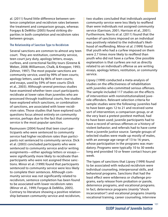al. (2011) found little difference between sentence completion and recidivism rates between the treatment and comparison groups, whereas Forgays & DeMilio (2005) found striking disparities in both completion and recidivism rates between groups.

#### **The Relationship of Sanction Type to Recidivism**

Several sanctions are common to almost any teen court. They are restitution, community service, teen court jury duty, apology letters, essays, curfews, and correctional facility tours (Greene & Weber, 2008; Williamson, Chalk, & Knepper, 1993; Zehner, 1997). The most popular sanctions are community service, used by 99% of teen courts; apology letters, used by 86% of teen courts; and essays, used by 59% of teen courts (Dick et al., 2003). Although several previous studies have examined whether teen court participants recidivate at lower rates than juveniles who are processed through traditional courts, few studies have explored which sanctions, or combination of sanctions, are associated with lower recidivism rates. Those studies that have explored such questions focus almost entirely on community service, perhaps due to the fact that community service is the most popular sanction.

Rasmussen (2004) found that teen court participants who were sentenced to community service had higher recidivism rates than participants not sentenced to community service. Dick et al. (2003) concluded participants who were sentenced to community service and/or writing assignments—either apology letters or essays were significantly more likely to recidivate than participants who were not assigned these sanctions. Minor et al. (1999) found that participants sentenced to community service were less likely to complete their sentences. Although community service was not significantly related to recidivism, sentence completion has been found to be associated with lower recidivism rates (Minor et al., 1999; Forgays & DeMilio, 2005). Contrary to literature showing a positive relationship between community service and recidivism,

two studies concluded that individuals assigned community service were less likely to reoffend than were individuals not assigned community service (Garrison, 2001; Harrison et al., 2001). Furthermore, Norris et al. (2011) found that the number of sanctions imposed on an individual was positively related to the individual's likelihood of reoffending. Minor et al. (1999) found that youth who had a curfew imposed on them were 2.7 times more likely to reoffend than youth who did not have a curfew. One possible explanation is that curfews are not as directly related to an individual's offense as are writing essays, apology letters, restitution, or community service.

Lipsey (1999) conducted a meta-analysis of studies on the effectiveness of rehabilitation with juveniles who committed serious offenses. The sample included 117 studies on the effects of intervention with noninstitutionalized juvenile offenders. Relevant selection criteria for sample studies were the following: juveniles had to have been ages 12 to 21 and received some sort of intervention; a comparison group, or at the very least a pretest-posttest method, had to have been used; juvenile participants had to have a record of serious offenses or a history of violent behavior; and referrals had to have come from a juvenile justice source. Sample groups of selected studies were made up mostly of males, with an average age range of 13 to 16 years, whose participation in the programs was mandatory. Programs were typically 10 to 30 weeks long and provided 10 or fewer contact hours per week.

The types of sanctions that Lipsey (1999) found to be associated with reduced recidivism were individual counseling, interpersonal skills, and behavioral programs. Sanctions that had the least effect were wilderness or challenge programs, early release from probation or parole, deterrence programs, and vocational programs. In fact, deterrence programs (mainly "shock incarceration") and vocational programs (mainly vocational training, career counseling, interview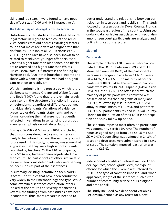skills, and job search) were found to have negative effect sizes (-0.06 and -0.18 respectively).

### **The Relationship of Extralegal Factors to Recidivism**

Unfortunately, few studies have addressed extralegal factors in regard to teen court and recidivism. Studies that did address extralegal factors found that males recidivate at a higher rate than do females (Harrison et al., 2001; Norris et al., 2011). Age and race have also been shown to be related to recidivism; younger offenders recidivate at a higher rate than older ones, and Blacks are re-arrested at a higher rate than Whites (Rasmussen, 2004). Of interest is the finding by Harrison et al. (2001) that household income and those with whom a juvenile lived had no significant relation to recidivism.

Worth mentioning is the process by which jurors deliberate sentences. Greene and Weber (2008) and Beck (1997) found that jurors remain largely consistent in the structure of sanctions imposed on defendants regardless of differences between individual defendants. Variations of evidence presented or defendants' statements and performance during the trial were not frequently reflected in variations in sentencing. Jurors put even less emphasis on extralegal factors.

Forgays, DeMilio, & Schuster (2004) concluded that jurors considered factors and sentences likely to be tailored by case. The sample group of jurors used in this study, however, was somewhat atypical in that they were high school students recruited by teachers. Of the 110 participants, only 6% ( $n = 7$ ) had ever been adjudicated in a teen court. The participants of other, similar studies were teen court defendants who were serving on peer juries as part of their sentences.

In summary, existing literature on teen courts is scant. The studies that have been conducted vary widely in their methodology and type. While some examined sentence completion, others looked at the nature and severity of sanctions. Overall, the findings from past studies have been inconsistent; thus, more research is needed to

better understand the relationship between participation in teen court and recidivism. This study focused on a teen court in Duval County, Florida, in the southeast region of the country. Using secondary data, variables associated with recidivism among teen court participants are analyzed and policy implications explored.

# **Method**

# **Participants**

The sample includes 478 juveniles who participated in the DCTCP between 2009 and 2011. More than one-half (69%) of the participants were males ranging in age from 11 to 18 years (*M* = 14.97, *SD* = 1.63). The majority of participants were Black (54%); the remaining participants were White (38.9%), Hispanic (4.4%), Asian (1%), or Other (1.7%). The offense for which the majority of participants were convicted was possession of less than 20 grams of marijuana (24.9%), followed by assault/battery (16.5%), affray/criminal mischief (13.6%), and petit theft (13.8%). All participants resided in Duval County, Florida for the duration of their DCTCP participation and study follow-up period.

The sanction imposed most often on participants was community service (97.9%). The number of hours assigned ranged from 0 to 55 (*M* = 16.38, *SD* = 9.97). Counseling was assigned in 24.3% of cases and drug tests were administered in 15.9% of cases. The sanction imposed least often was tutoring (2.5%).

#### **Measures**

Independent variables of interest included gender, age, race, school grade level, the type of offense for which the juvenile was referred to DCTCP, the type of sanction imposed (and, when applicable, length of the sentence, such as the number of community service hours assigned), and time at risk.

The study included two dependent variables. Recidivism, defined as any arrest for a new

 $102<sub>1</sub>$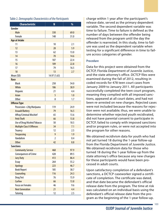#### Table 2. *Demographic Characteristics of the Participants*

| <b>Characteristic</b>             | N              | $\frac{0}{0}$ |
|-----------------------------------|----------------|---------------|
| Gender                            |                |               |
| Male                              | 330            | 69.0          |
| Female                            | 148            | 31.0          |
| <b>Age at Intake</b>              |                |               |
| 11                                | 10             | 2.1           |
| 12                                | 28             | 5.9           |
| 13                                | 62             | 13.0          |
| 14                                | 70             | 14.6          |
| 15                                | 107            | 22.4          |
| 16                                | 109            | 22.8          |
| 17                                | 79             | 16.5          |
| 18                                | 13             | 2.7           |
| Mean (SD)                         | 14.97 (1.63)   |               |
| Race                              |                |               |
| <b>Black</b>                      | 258            | 54.0          |
| White                             | 186            | 38.9          |
| Hispanic                          | 21             | 4.4           |
| Asian                             | 5              | 1.0           |
| <b>Other</b>                      | 8              | 1.7           |
| <b>Offense Type</b>               |                |               |
| Possession <20g Marijuana         | 119            | 24.9          |
| Assault/Battery                   | 79             | 16.5          |
| Affray/Criminal Mischief          | 65             | 13.6          |
| <b>Petit Theft</b>                | 66             | 13.8          |
| Use of Drug/Alcohol/Tobacco       | 50             | 10.5          |
| <b>Multiple Class II Offenses</b> | 34             | 7.1           |
| Truancy                           | 12             | 2.5           |
| <b>Trespassing</b>                | 9              | 1.9           |
| Vandalism                         | $\overline{2}$ | 0.4           |
| <b>Other</b>                      | 42             | 8.8           |
| <b>Sanctions</b>                  |                |               |
| <b>Community Service</b>          | 468            | 97.9          |
| <b>Consequences of Crime</b>      | 428            | 89.5          |
| <b>Jury Duty</b>                  | 413            | 86.4          |
| Essay                             | 264            | 55.2          |
| Apology                           | 223            | 46.7          |
| <b>Book Report</b>                | 185            | 38.7          |
| Counseling                        | 116            | 24.3          |
| <b>Drug Test</b>                  | 76             | 15.9          |
| Curfew                            | 66             | 13.8          |
| <b>Focus on Females</b>           | 46             | 9.6           |
| <b>Next Generation</b>            | 21             | 4.4           |
| <b>Tutoring</b>                   | 12             | 2.5           |

charge within 1 year after the participant's release date, served as the primary dependent variable. The second dependent variable was time to failure. Time to failure is defined as the number of days between the offender being released from the program until the day the offender is rearrested. In this study, time to failure was used as the dependent variable when testing for a significant difference in time to failure across categories of gender.

#### **Procedure**

Data for this project were obtained from the DCTCP, Florida Department of Juvenile Justice, and the state attorney's office. DCTCP files were examined during the fall of 2012, resulting in coded records for 478 teen court cases from January 2009 to January 2011. All participants successfully completed the teen court program, meaning they complied with all imposed sanctions, appeared at all court dates, and had not been re-arrested on new charges. Rejected cases were not included because the reasons for rejection were not available; thus, we were unable to determine whether rejected youth recidivated, did not have parental consent to participate in DCTCP, failed to comply with imposed sanctions and/or program rules, or were not accepted into the program for other reasons.

We obtained recidivism data for youth who had not yet turned 18 during the 1-year follow-up from the Florida Department of Juvenile Justice. We obtained recidivism data for those who turned 18 during the 1-year follow-up from the state attorney's office because any new charges for these participants would have been processed in adult courts.

Upon satisfactory completion of a defendant's sanctions, a DCTCP caseworker signed a certificate of completion. The certificate was dated, and that date became the defendant's official release date from the program. The time at risk was calculated on an individual basis using the defendant's official release date from the program as the beginning of the 1-year follow-up.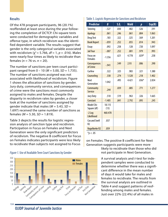## **Results**

Of the 478 program participants, 96 (20.1%) reoffended at least once during the year following the completion of DCTCP. Chi-square tests were conducted for demographic variables and offense type, in which recidivism was the identified dependent variable. The results suggest that gender is the only categorical variable associated with recidivism ( $χ² = 5.766$ , *df* = 1, *p* = .016). Males were nearly four times as likely to recidivate than females (*n* = 76 vs. *n* = 20).

The number of sanctions per teen court participant ranged from 0 – 10 (*M* = 5.00, *SD* = 1.735). The number of sanctions assigned was not associated with likelihood of recidivism. Figure 1 shows the allocation of sanctions by gender. Jury duty, community service, and consequences of crime were the sanctions most commonly assigned to males and females. Despite the disparity in recidivism rates by gender, a closer look at the number of sanctions assigned by gender indicate that males (*M* = 5.43, *SD* = 1.697) received the same number of sanctions as females (*M* = 5.30, *SD* = 1.819).

Table 3 depicts the results for logistic regression analysis of sanction type and recidivism. Participation in Focus on Females and Next Generation were the only significant predictors of recidivism. The negative B coefficient for Focus on Females indicates participants were less likely to recidivate than subjects not assigned to Focus



| <b>Predictor</b>                | $\overline{B}$ | S.E. | <b>Wald</b> | $\boldsymbol{p}$ | Exp(B) |  |
|---------------------------------|----------------|------|-------------|------------------|--------|--|
| Tutoring                        | $-527$         | .830 | .402        | .526             | .591   |  |
| Apology                         | .061           | .246 | .061        | .804             | 1.063  |  |
| <b>Drug Test</b>                | .183           | .322 | .325        | .569             | 1.201  |  |
| <b>Book Report</b>              | $-0.059$       | .252 | .055        | .814             | .943   |  |
| Essay                           | .092           | .258 | .128        | .720             | 1.097  |  |
| <b>Jail Tour</b>                | $-.007$        | .252 | .001        | .979             | .993   |  |
| Focus on<br><b>Females</b>      | $-1.356$       | .621 | 4.778       | $.029*$          | .258   |  |
| Consequences<br>of Crime        | $-0.941$       | .549 | 2.93        | .086             | .390   |  |
| Curfew                          | .322           | .325 | .983        | .321             | 1.380  |  |
| Counseling                      | .338           | .274 | 1.520       | .218             | 1.402  |  |
| <b>Next</b><br>Generation       | 1.042          | .495 | 4.421       | $.036*$          | 2.834  |  |
| Community<br>Service            | .244           | .839 | .085        | .771             | 1.277  |  |
| <b>Jury Duty</b>                | .510           | .519 | .963        | .326             | 1.665  |  |
| Constant                        | $-1.405$       | .841 | 2.792       | .095             | .245   |  |
| Model Chi-<br>Square (df)       | 18.115<br>(13) |      |             |                  |        |  |
| $-2$ Log<br>Likelihood          | 460.478        |      |             |                  |        |  |
| Cox and Snell<br>R <sub>2</sub> | .037           |      |             |                  |        |  |
| <b>Nagelkerke R2</b>            | .059           |      |             |                  |        |  |

 $*<sub>p</sub> < .05$ 

on Females. The positive B coefficient for Next Generation suggests participants were more

likely to recidivate than those who did not participate in Next Generation.

A survival analysis and *t*-test for independent samples were conducted to determine whether there was a significant difference in the mean number of days it would take for males and females to recidivate. The results from the survival analysis are outlined in Table 4 and suggest patterns of reoffending among males and females. Just over 22% (22.4%) of all males in



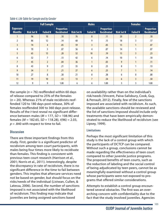|                                  | <b>Full Sample</b> |                 |                                         | <b>Males</b>      |                 |                                  | <b>Females</b>    |                 |                                         |
|----------------------------------|--------------------|-----------------|-----------------------------------------|-------------------|-----------------|----------------------------------|-------------------|-----------------|-----------------------------------------|
| <b>Exposure</b><br><b>Months</b> | <b>Risk Set N</b>  | <b>Failed N</b> | <b>Proportion</b><br><b>Recidivated</b> | <b>Risk Set N</b> | <b>Failed N</b> | Proportion<br><b>Recidivated</b> | <b>Risk Set N</b> | <b>Failed N</b> | <b>Proportion</b><br><b>Recidivated</b> |
|                                  | 96                 | 10              | .10                                     | 76                | 8               | .11                              | 20                | $\overline{2}$  | .10                                     |
| $\overline{2}$                   | 86                 | 12              | .14                                     | 68                | 9               | .13                              | 18                | 3               | .17                                     |
| $\overline{3}$                   | 74                 | $\overline{4}$  | .05                                     | 59                | $\overline{3}$  | .05                              | 15                | $\mathbf{1}$    | .07                                     |
| 4                                | 70                 | 5               | .07                                     | 56                | 4               | .07                              | 14                |                 | .07                                     |
| 5                                | 65                 | 13              | .20                                     | 52                | 10              | .19                              | 13                | $\overline{3}$  | .23                                     |
| 6                                | 52                 | $\overline{7}$  | .13                                     | 42                | 6               | .14                              | 10                | 1               | .10                                     |
| $\overline{7}$                   | 45                 | $\overline{2}$  | .04                                     | 36                | $\mathbf{1}$    | .03                              | 9                 | $\mathbf{1}$    | .11                                     |
| 8                                | 43                 | 9               | .21                                     | 35                | 8               | .23                              | 8                 | 1               | .13                                     |
| 9                                | 34                 | $\overline{7}$  | .21                                     | 27                | 6               | .23                              | $\overline{7}$    | $\mathbf{1}$    | .14                                     |
| 10                               | 27                 | 8               | .30                                     | 21                | 8               | .38                              | 6                 | $\mathbf{0}$    | .00.                                    |
| 11                               | 19                 | 10              | .53                                     | 13                | $\overline{7}$  | .54                              | 6                 | $\overline{3}$  | .50 <sub>0</sub>                        |
| 12                               | 9                  | 9               | 1.00                                    | 6                 | 6               | 1.00                             | 3                 | 3               | 1.00                                    |

## *Table 4. Life Table for Sample and by Gender*

the sample  $(n = 76)$  reoffended within 60 days of release compared to 25% of the females (*n* = 20). Whereas 21% of male recidivists reoffended 120 to 180 days post-release, 30% of females reoffended 300 to 360 days post-release. Results of the *t*-test reveal no significant difference between males (*M* = 177, *SD* = 108.96) and females (*M* = 182.65, *SD* = 118.28), *t*(96) = 2.03, *p* = .840 with respect to time to fail.

## **Discussion**

There are three important findings from this study. First, gender is a significant predictor of recidivism among teen court participants, with males being four times more likely to recidivate than females. This finding is consistent with previous teen court research (Harrison et al., 2001; Norris et al., 2011). Interestingly, despite the discrepancy in rate of recidivism, there is no significant difference in the time to fail between genders. This implies that aftercare services need not be based on gender, but should focus on the risks/needs of the individual (Listwan, Cullen, & Latessa, 2006). Second, the number of sanctions imposed is not associated with the likelihood of recidivism. This finding may indicate that juveniles are being assigned sanctions based

on availability rather than on the individual's risk/needs (Vincent, Paiva-Salisbury, Cook, Guy, & Perrault, 2012). Finally, few of the sanctions imposed are associated with recidivism. As such, the available sanctions should be reviewed and the list of sanctions imposed should include only treatments that have been empirically demonstrated to reduce the likelihood of recidivism (see Lipsey, 1999).

## **Limitations**

Perhaps the most significant limitation of this study is the lack of a control group with which the participants of DCTCP can be compared. Without such a group, conclusions cannot be made regarding the effectiveness of teen court compared to other juvenile justice programs. The proposed benefits of teen courts, such as the reduction of labeling and the social control of being adjudicated by teen peers, cannot be as meaningfully examined without a control group whose participants were not exposed to programs that offered similar considerations.

Attempts to establish a control group encountered several obstacles. The first was an overarching concern with confidentiality due to the fact that the study involved juveniles. Agencies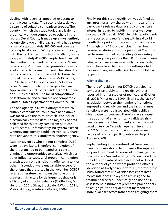dealing with juveniles appeared reluctant to grant access to data. The second obstacle was a scarcity of suitable comparison groups. The county in which the study took place is demographically unique compared to others in the region. Duval County is made up almost entirely by one city, Jacksonville. Jacksonville has a population of approximately 880,000 and covers a geographical area of 762 square miles. The city with the next largest population is Miami, home to approximately 414,000 people, less than half the number of residents in Jacksonville. Miami covers only 36 square miles, presenting a more ecologically dense environment. The cities differ by racial composition as well. Jacksonville, in brief, has a population that is 55.1% White, 30.7% Black, 7.7% Hispanic, and 6.5% other races. Miami's population is largely Hispanic. Approximately 70% of its residents are Hispanic and 19.2% are Black. The racial compositions of Jacksonville and Miami are not comparable (United States Department of Commerce, 2013).

The one agency in Duval County from which suitable comparisons could have been drawn was faced with the third obstacle: the lack of electronically stored data. The majority of data collected for this study came from hard copies of records. Unfortunately, no system existed whereby one agency could electronically share data relevant to this study with another agency.

Data on juveniles who did not complete DCTCP were not available. Therefore, completion of the program had to be treated as a constant, eliminating opportunities to analyze which variables influence successful program completion. Likewise, data on participants' offense history or other misconduct were unavailable, except for the offense that resulted in the juvenile's DCTCP referral. Literature has shown that one of the greatest risk factors for delinquent behavior is a history of antisocial behavior (Cottle, Lee, & Heilbrun, 2001; Olver, Stockdale, & Wong, 2011; Vieira, Skilling, & Peterson-Badali, 2009).

Finally, for this study recidivism was defined as any arrest for a new charge within 1 year of the participant's release date. A study of particular interest in regard to recidivism rates was conducted by Dick et al. (2003), in which participants self-reported any reoffending within a 6 to 12 month time period post–teen court completion. Although only 12% of participants had been re-arrested during this time period, 49% admitted to some form of reoffending. Considering this finding, it is possible that DCTCP's recidivism rates, which were measured only by re-arrests, would have been higher with a self-reported measure of any new offenses during the followup period.

## **Policy Implications**

The rate of recidivism for DCTCP participants compares favorably to the recidivism rates reported in other studies of teen courts (Dick et al., 2003; Minor et al., 1999). Even so, the lack of association between the number of sanctions imposed and recidivism, and the fact that most sanctions were not associated with recidivism, gives cause for concern. Therefore, we suggest the adoption of an empirically validated risk/ needs assessment instrument such as the Youth Level of Service Case Management Inventory (YLS/CMI) to aid in identifying the risk/need factors of program participants (see Hoge & Andrews, 2003).

Implementing a standardized risk/need instrument has been shown to influence the supervisory and treatment decisions of criminal justice practitioners. Vincent et al. (2012) concluded that use of a standardized risk assessment reduced the number of youth whom probation officers identified as likely to recidivate. Furthermore, the study found that use of risk-assessment instruments influences how youth are assigned to treatment services. Specifically, the use of riskassessment instruments prompted practitioners to assign youth to services that matched their individual risk factors rather than assigning them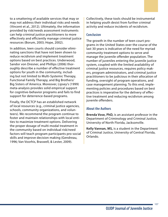to a smattering of available services that may or may not address their individual risks and needs (Vincent et al., 2012). Ultimately, the information provided by risk/needs assessment instruments can help criminal justice practitioners to more effectively and efficiently manage criminal justice resources (Borum, 2003; Hope, 2002).

In addition, teen courts should consider eliminating sanctions that have not been shown to reduce recidivism and implement treatment options based on best practices. Underwood, Sandor von Dresner, and Phillips (2006) thoroughly describe a number of effective treatment options for youth in the community, including but not limited to Multi-Systemic Therapy, Functional Family Therapy, and Big Brothers/ Big Sisters of America. Moreover, Lipsey's (1999) meta-analysis provides solid empirical support for cognitive-behavior programs and fails to find support for deterrence-based programs.

Finally, the DCTCP has an established network of local resources (e.g., criminal justice agencies, schools, community organizations, and volunteers). We recommend the program continue to foster and maintain relationships with local entities to maximize treatment options. Delivering the proper dosage of multi-modal treatment in the community based on individual risk/need factors will teach program participants pro-social skills and improve decision making (Gendreau, 1996; Van Voorhis, Braswell, & Lester, 2009).

Collectively, these tools should be instrumental in helping youth desist from further criminal activity and reduce incidents of recidivism.

## **Conclusion**

The growth in the number of teen court programs in the United States over the course of the last 30 years is indicative of the need for myriad community treatment options to serve and manage the juvenile offender population. The number of juveniles entering the juvenile justice system, coupled with the limited availability of criminal justice resources, requires policy makers, program administrators, and criminal justice practitioners to be judicious in their allocation of funding, oversight of program operations, and case management planning. To this end, implementing policies and procedures based on best practices is imperative for the delivery of effective treatment and reducing recidivism among juvenile offenders.

## **About the Authors**

**Brenda Vose, PhD,** is an assistant professor in the Department of Criminology and Criminal Justice, University of North Florida, Jacksonville.

**Kelly Vannan, MS,** is a student in the Department of Criminal Justice, University of Central Florida, Orlando.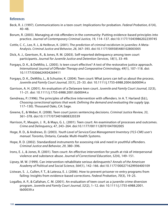## **References**

- Beck, R. J. (1997). Communications in a teen court: Implications for probation. *Federal Probation, 61*(4), 40–48.
- Borum, R. (2003). Managing at-risk offenders in the community: Putting evidence-based principles into practice. *Journal of Contemporary Criminal Justice, 19*, 114–137. doi:10.1177/1043986202239745
- Cottle, C. C., Lee, R. J., & Heilbrun, K. (2001). The prediction of criminal recidivism in juveniles: A Meta-Analysis. *Criminal Justice and Behavior, 28*, 367–393. doi:10.1177/0093854801028003005
- Dick, A. J., Geertsen, R., & Jones, R. M. (2003). Self-reported delinquency among teen court participants. *Journal for Juvenile Justice and Detention Services, 18*(1), 33–49.
- Forgays, D. K., & DeMilio, L. (2005). Is teen court effective? A test of the restorative justice approach. *International Journal of Offender Therapy and Comparative Criminology, 49*(1), 107–118. doi: 10.1177/0306624X04269411
- Forgays, D. K., DeMilio, L., & Schuster, K. (2004). Teen court: What jurors can tell us about the process. *Juvenile and Family Court Journal, 55*(1), 25–33. doi: 10.1111/j.1755-6988.2004.tb00094.x
- Garrison, A. H. (2001). An evaluation of a Delaware teen court. *Juvenile and Family Court Journal, 52*(3), 11–21. doi: 10.1111/j.1755-6988.2001.tb00044.x
- Gendreau, P. (1996). The principles of effective intervention with offenders. In A. T. Harland (Ed.), *Choosing correctional options that work: Defining the demand and evaluating the supply* (pp. 117–130). Thousand Oaks, CA: Sage.
- Greene, E., & Weber, K. (2008). Teen court jurors sentencing decisions. *Criminal Justice Review, 33*, 361–378. doi:10.1177/0734016808320339
- Harrison, P., Maupin, J. R., & Mays, G. L. (2001). Teen court: An examination of processes and outcomes. *Crime and Delinquency, 47*, 243–264. doi:10.1177/0011128701047002005
- Hoge, R. D., & Andrews, D. (2003). *Youth Level of Service/Case Management Inventory (YLS-CMI) user's manual*. Toronto, Ontario, Canada: Multi-Health Systems.
- Hope, R. D. (2002). Standardized instruments for assessing risk and need in youthful offenders. *Criminal Justice and Behavior, 29*, 380–396.
- Irons, E. J., & Jones, R. (2001). Teen court: An effective intervention for youth at risk of interpersonal violence and substance abuse. *Journal of Correctional Education, 52*(4), 149–151.
- Lipsey, M. W. (1999). Can intervention rehabilitate serious delinquents? *Annals of the American Academy of Political and Social Science, 564*(1), 142–166. doi:10.1177/000271629956400109
- Listwan, S. J., Cullen, F. T., & Latessa, E. J. (2006). How to prevent prisoner re-entry programs from failing: Insights from evidence-based corrections. *Federal Probation, 70*(3), 19–25.
- Logalbo, A. P., & Callahan, C. M. (2001). An evaluation of teen court as a juvenile crime diversion program. *Juvenile and Family Court Journal, 52*(2), 1–12. doi: 10.1111/j.1755-6988.2001. tb00039.x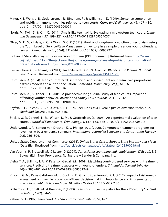- Minor, K. I., Wells, J. B., Soderstrom, I. R., Bingham, R., & Williamson, D. (1999). Sentence completion and recidivism among juveniles referred to teen courts. *Crime and Delinquency, 45*, 467–480. doi:10.1177/0011128799045004004
- Norris, M., Twill, S., & Kim, C. (2011). Smells like teen spirit: Evaluating a midwestern teen court. *Crime and Delinquency, 57*, 199–221. doi:10.1177/0011128709354037
- Olver, M. E., Stockdale, K. C., & Wong, S. C. P. (2011). Short and long-term prediction of recidivism using the Youth Level of Service/Case Management Inventory in a sample of serious young offenders. *Law and Human Behavior, 36*(4), 331–344. doi:10.1037/h0093927
- Plotkin, J. State attorney's office diversion programs [PDF document]. Retrieved from [http://www.](http://www.coj.net/mayor/docs/the-jacksonville-journey/journey--take-a-step---historical-information/presentationlaw--adminjusticewg021908.aspx) [coj.net/mayor/docs/the-jacksonville-journey/journey--take-a-step---historical-information/](http://www.coj.net/mayor/docs/the-jacksonville-journey/journey--take-a-step---historical-information/presentationlaw--adminjusticewg021908.aspx) [presentationlaw--adminjusticewg021908.aspx](http://www.coj.net/mayor/docs/the-jacksonville-journey/journey--take-a-step---historical-information/presentationlaw--adminjusticewg021908.aspx)
- Puzzanchera, C., & Adams, B. (2011). Juvenile arrests 2009. *Juvenile Offenders and Victims: National Report Series*. Retrieved from <http://www.ojjdp.gov/pubs/236477.pdf>
- Rasmussen, A. (2004). Teen court referral, sentencing, and subsequent recidivism: Two proportional hazards models and a little speculation. *Crime and Delinquency, 50*(4), 615–635. doi:10.1177/0011128703261616
- Rasmussen, A., & Diener, C. I. (2005). A prospective longitudinal study of teen court's impact on offending youths' behavior. *Juvenile and Family Court Journal, 56*(1), 17–32. doi:10.1111/j.1755-6988.2005.tb00100.x
- Seyfrit, C. F., Reichel, P. L., & Stutts, B. L. (1987). Peer juries as a juvenile justice diversion technique. *Youth and Society, 18*(3), 302–316.
- Stickle, W. P., Connell, N. M., Wilson, D. M., & Gottfredson, D. (2008). An experimental evaluation of teen courts. *Journal of Experimental Criminology, 4*, 137–163. doi:10.1007/s11292-008-9050-8
- Underwood, L. A., Sandor von Dresner, K., & Phillips, A. L. (2006). Community treatment programs for juveniles: A best-evidence summary. *International Journal of Behavior and Consultation Therapy, 2*(2), 286–304.
- United States Department of Commerce. (2013). *United States Census Bureau: State & county quick facts* [Data file]. Retrieved from <http://quickfacts.census.gov/qfd/states/12/1235000.html>
- Van Voorhis, P., Braswell, M., & Lester, D. (2009). *Correctional counseling and rehabilitation* (7th ed.). E. S. Boyne, (Ed.). New Providence, NJ: Matthew Bender & Company, Inc.
- Vieira, T. A., Skilling, T. A., & Peterson-Badali, M. (2009). Matching court-ordered services with treatment services: Predicting treatment success with young offenders. *Criminal Justice and Behavior, 36*(4), 385–401. doi:10.1177/0093854808331249
- Vincent, G. M., Paiva-Salisbury, M. L., Cook, N. E., Guy, L. S., & Perrault, R. T. (2012). Impact of risk/needs assessment on juvenile probation officers' decision making: Importance and implementation. *Psychology, Public Policy, and Law, 18*, 549–576. doi:10.1037/a0027186
- Williamson, D., Chalk, M., & Knepper, P. (1993). Teen court: Juvenile justice for the 21st century? *Federal Probation, 57*(2), 54–63.
- Zehner, S. J. (1997). Teen court. *FBI Law Enforcement Bulletin, 66*, 1–7.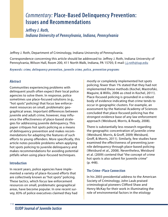# *Commentary:* **Place-Based Delinquency Prevention: Issues and Recommendations**

*Jeffrey J. Roth, Indiana University of Pennsylvania, Indiana, Pennsylvania*

Jeffrey J. Roth, Department of Criminology, Indiana University of Pennsylvania.

Correspondence concerning this article should be addressed to: Jeffrey J. Roth, Indiana University of Pennsylvania, Wilson Hall, Room 200, 411 North Walk, Indiana, PA 15705; E-mail: [j.j.roth@iup.edu](mailto:j.j.roth@iup.edu)

*Keywords: crime, delinquency prevention, juvenile crime, police, prevention programs*

## **Abstract**

Communities experiencing problems with delinquent youth often expect their local police agencies to solve them. In response, police sometimes use place-focused solutions (e.g., "hot spots" policing) that focus law enforcement resources on small, problematic geographical areas. Important differences between juvenile and adult crime, however, may influence the effectiveness of place-based strategies for addressing juvenile delinquency. This paper critiques hot spots policing as a means of delinquency prevention and makes recommendations for adapting the features of such efforts to young offenders. More specifically, this article notes possible problems when applying hot spots policing to juvenile delinquency and makes recommendations for avoiding potential pitfalls when using place-focused techniques.

## **Introduction**

In recent years, police agencies have implemented a variety of place-focused efforts that are collectively known as "hot spots" policing. These tactics, which focus law enforcement resources on small, problematic geographical areas, have become popular. In one recent survey, 83% of police executives claimed they had mostly or completely implemented hot spots policing; fewer than 1% stated that they had not implemented these methods (Kochel, Mastrofski, Maguire, & Willis, 2006 as cited in Kochel, 2011). Place-focused policing is grounded in a robust body of evidence indicating that crime tends to occur in geographic clusters. For example, an assessment by the National Academy of Sciences concluded that place-focused policing has the strongest evidence base of any law enforcement approach (Weisburd, Morris, & Ready, 2008).

There is substantially less research regarding the geographic concentration of juvenile crime (Weisburd, Morris, & Groff, 2009; Weisburd, Groff, & Morris, 2011). Similarly, few studies have examined the effectiveness of preventing juvenile delinquency through place-based policing (Weisburd et al., 2008). Nevertheless, Weisburd et al. (2009) contend that "the concept of crime hot spots is also salient for juvenile crime" (p. 448).

## **The Crime–Place Connection**

In his 2003 presidential address to the American Society of Criminology, John Laub praised criminological pioneers Clifford Shaw and Henry McKay for their work in illuminating the role of environmental factors in the etiology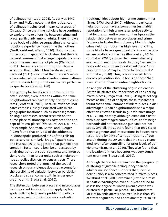of delinquency (Laub, 2004). As early as 1942, Shaw and McKay noted that the residences of delinquents clustered in particular areas of Chicago. Since that time, scholars have continued to explore the relationship between crime and place, particularly among adults. There is now a large body of evidence suggesting that certain locations experience more crime than others (Groff, Weisburd, & Yang, 2010). Not only does crime occur in geographic clusters, but there is general consensus that a large majority of crimes occur in a small number of places (Weisburd, 2011). The evidence supporting this claim is so strong that Bichler, Christie-Merrall, and Sechrest (2011) concluded that there is "irrefutable evidence" that understanding crime patterns requires considering situational factors particular to specific locations (p. 490).

The geographic location of a crime cluster is often specific; even locations within the same neighborhood can have widely divergent crime rates (Groff et al., 2010). Because evidence indicates crime is closely associated with microgeographic locations such as street segments or single addresses, recent research on the crime-place relationship has advanced the concept of "micro-places" (Weisburd, 2011, p. 154). For example, Sherman, Gartin, and Buerger (1989) found that only 3% of the addresses in Minneapolis produced 50% of the calls for police service. Similarly, Braga, Papachristos, and Hureau (2010) suggested that gun violence trends in Boston could best be understood by analyzing trends at street segments and intersections rather than larger units such as neighborhoods, police districts, or census tracts. These researchers noted that much of the spatial research on gun violence does not account for the possibility of variation between particular blocks and street corners within larger geographic units (Braga et al., 2010).

The distinction between places and micro-places has important implications for applying hot spots policing to juvenile problems, particularly because this distinction may contradict

traditional ideas about high-crime communities (Braga & Weisburd, 2010). Although particular neighborhoods have a (sometimes justifiable) reputation for high crime rates, police activity that focuses on entire communities ignores the relationship between micro-places and crime. Evidence indicates that not every block in highcrime neighborhoods has high levels of crime; some blocks have a great deal of crime while others are relatively crime free (Braga et al., 2010). Groff et al. (2010) concur that crime rates vary even within neighborhoods. In brief, "bad neighborhoods" can contain "good streets," and "good neighborhoods" may be home to "bad streets" (Groff et al., 2010). Thus, place-focused delinquency prevention should focus on these "bad streets" rather than on entire neighborhoods.

An analysis of the clustering of gun violence in Boston illustrates the importance of considering micro-places (Braga et al., 2010). Using street segments as the unit of analysis, these researchers found that a small number of micro-places in disadvantaged urban neighborhoods had a major effect on citywide trends in gun violence (Braga et al., 2010). Notably, although crime did cluster within disadvantaged communities, entire neighborhoods did not constitute gun violence hot spots. Overall, the authors found that only 5% of street segments and intersections in Boston were responsible for 74% of serious incidents of gun assault during the 29 years that the study examined, even after controlling for prior levels of gun violence (Braga et al., 2010). They also found that the location of these hot spots was very consistent over time (Braga et al., 2010).

Although there is less research on the geographic clustering of juvenile delinquency than on adult crime, evidence supports that juvenile delinquency is also concentrated in micro-places. Weisburd et al. (2009) examined juvenile arrests in Seattle, Washington over a 14-year period to assess the degree to which juvenile crime was clustered in particular places. They found that 50% of juvenile arrests occurred in less than 1% of street segments, and approximately 3% to 5%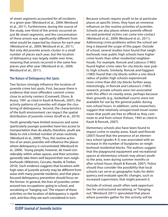of street segments accounted for all incidents in a given year (Weisburd et al., 2009; Weisburd et al., 2011). Furthermore, during the course of the study, one-third of the arrests occurred on just 86 street segments, and the concentration of these arrests was significantly different from what would be expected by chance for each year (Weisburd et al., 2009; Weisburd et al., 2011). Not only did juvenile arrests cluster in a small number of places each year, but the location of delinquency was largely stable over time, meaning that arrests recurred in the same few places year after year (Weisburd et al., 2009; Weisburd et al., 2011).

## **The Nature of Delinquency Hot Spots**

Two factors strongly influence the location of juvenile crime hot spots. First, because there is evidence that most offenders commit crimes close to activity centers (Cromwell, Olson, & Avary, 1991 as cited in Kautt & Roncek, 2007), the activity patterns of juveniles will shape the clustering of delinquency. Second, the characteristics of the built environment can impact the spatial distribution of juvenile crimes (Groff et al., 2010).

Youth generally have limited resources and some (particularly younger juveniles) have less access to transportation than do adults; therefore, youth are likely to visit a limited number of areas routinely (Weisburd et al., 2009). Thus, the routine activities of an area's juveniles will influence the places where delinquency is concentrated (Weisburd et al., 2009). Young people, however, do travel considerably within urban spaces, and their activities generally take them well beyond their own neighborhoods (Wikstrom, Ceccato, Hardie, & Treiber, 2010). Such evidence suggests that locations with high rates of juvenile activity may be different from areas with many juvenile residents, and that placefocused delinquency prevention should focus on the former. In general, the lives of juveniles center around two occupations: going to school, and socializing or "hanging out." The impact of these activities on the location of delinquency is significant, and thus they are each considered in turn.

Because schools require youth to be at particular places at specific times, they have an immense influence on the routine activities of juveniles. Schools are also places where juvenile offenders and potential victims can come into contact (Weisburd et al., 2009; Weisburd et al., 2011). Addressing crime problems within the school setting is beyond the scope of this paper. Outside of school, several studies have found that neighborhoods near public high schools have higher crime levels than other residential neighborhoods. For example, Roncek and Lobosco (1983) found higher crime rates for city blocks near public high schools. Similarly, Roncek and Faggiani (1985) found that city blocks within a one-block radius of public high schools experienced more crime than did city blocks further away. Interestingly, in Roncek and Lobosco's (1983) research, private schools were not associated with this effect on nearby areas, perhaps because their grounds (e.g., basketball courts) were not available for use by the general public during non-school hours. In addition, some researchers suggest that relatively unsupervised travel routes mean that youth are free to offend as they commute to and from school (Felson, 1993 as cited in Kautt & Roncek, 2007).

Elementary schools also have been found to impact crime in nearby areas. Kautt and Roncek (2007) found that the presence of an elementary school (grades K-5) was associated with an increase in the number of burglaries on neighborhood residential blocks. The authors suggest that the playground equipment and recreational spaces at elementary schools may attract youth to the area, even during summer months or after school hours (Kautt & Roncek, 2007). Police should thus consider the possibility that local schools can serve as geographic hubs for delinquency and evaluate specific changes, such as increased supervision, that might prevent it.

Outside of school, youth often seek opportunities for unstructured socializing, or "hanging out." Weisburd (2011) speculated that places where juveniles gather for this activity will be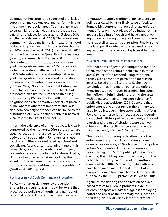delinquency hot spots, and suggested that lack of supervision may be one explanation for high juvenile crime in particular areas. Youth are attracted to certain kinds of activities, and so choose specific kinds of places for socialization (Felson, 2006 as cited in Weisburd et al., 2009). These locations commonly include malls, movie theaters, fast food restaurants, parks, and similar places (Weisburd et al., 2009; Weisburd et al., 2011). Bichler et al. (2011) described such places as "juvenile crime magnets" (p. 478), and research by Roman (2002) supports this contention. In this study, blocks containing youth hangouts experienced a 63% increase in violent crime during after school hours (Roman, 2002). Interestingly, the relationship between youth hangouts and crime was not found during morning commuting hours or on weekends (Roman, 2002). Notably, spaces that foster juvenile activity are not found on every block, but are located on a limited number of street segments in a city (Weisburd et al., 2009). Thus, some neighborhoods are primarily exporters of juvenile crime whereas others are importers, and variation between neighborhoods can be linked to the distribution of juvenile activity centers (Chamard, 2007 as cited in Bichler et al., 2011).

In sum, the existence of crime hot spots is clearly supported by the literature. Often these sites are specific locations that are centers for the routine activities of a population. For juveniles, these routine activities are dominated by school and socializing. Agencies can take advantage of this research by focusing a variety of delinquency prevention efforts in particular locations. That is, "if police become better at recognizing the 'good streets' in the bad areas, they can take a more holistic approach to addressing crime problems" (Groff et al., 2010, p. 25).

## **Key Issues in Hot Spots Delinquency Prevention**

Police who target delinquency prevention efforts in particular places should be aware that place-based policing of youth has a number of potential pitfalls. For example, there may be a

temptation to apply traditional police tactics to delinquency, which is unlikely to be effective. Some critics contend that focusing law enforcement efforts on micro-places of delinquency may increase labeling of youth and have a negative impact on police legitimacy and community relations, as well as cause racial tension. Finally, some scholars question whether place-based policing reduces crime or simply displaces it to other areas.

#### **Issue One: Overreliance on Traditional Tactics**

After hot spots of juvenile delinquency are identified, what actions should police take in those areas? Police often respond using traditional tactics such as random patrols and increasing arrests. Based on the literature, Kochel (2011) concluded that, in general, police use enforcement-focused techniques in criminal hot spots. Such efforts might include saturating the area with police and maintaining zero-tolerance for public disorder. Weisburd (2011) concurs that enforcement and arrest remain the primary tools used by police, even in hot spots policing efforts. For example, in a series of focus groups recently conducted within a police department, enhanced patrols and the use of citations were the two crime-reduction tactics officers recommended most frequently (Bichler & Gaines, 2005).

The use of anti-loitering legislation is another enforcement approach to addressing delinquency. For example, a 1997 law permitted police in New South Wales, Australia, to remove youth under the age of 16 from public places without charging them if they are unsupervised, or if the police believe they are at risk of committing a crime (White, 2004). Similar legislative attempts have been made in the United States, but in many cases such laws have been ruled unconstitutional by the U.S. Supreme Court (White, 2004).

Agencies considering the application of placebased tactics to juvenile problems in delinquency hot spots are advised against employing patrol and arrest as their primary tools, despite their long history of use by law enforcement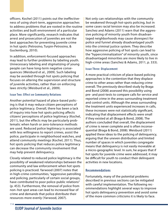officers. Kochel (2011) points out the ineffectiveness of using short-term, aggressive approaches to address problems that are rooted in the routine activities and built environment of a particular place. More significantly, research indicates that arrest and prosecution of juveniles are not the best approaches for preventing juvenile crime in hot spots (Petrosino, Turpin-Petrosino, & Guckenburg, 2010).

In addition, enforcement-focused approaches may lead to further problems by labeling youth. Unnecessary labeling and stigmatizing of young people can have long-term negative consequences (Weisburd et al., 2009). Such labeling may be avoided through hot spots policing that focuses on altering the supervision and structure of juvenile activities, rather than on enforcing laws strictly (Weisburd et al., 2009).

## **Issue Two: Effect on Community Relations**

Another potential hazard of place-based policing is that it may reduce citizen perceptions of police legitimacy. Overall, there has been a lack of inquiry into how hot spots policing affects citizens' perceptions of police legitimacy (Kochel, 2011), but the effects may be particularly problematic when harsh or zero-tolerance methods are used. Reduced police legitimacy is associated with less willingness to report crimes, assist the police, participate in neighborhood watches, and attend community meetings (Kochel, 2011). Thus, hot spots policing that reduces police legitimacy can decrease the community involvement that may help prevent delinquency.

Closely related to reduced police legitimacy is the possibility of weakened relationships between the community and law enforcement when hot spots policing is practiced. Yarwood (2007) notes that in high-crime communities, "aggressive patrolling and policing, particularly of certain social groups, have contributed to poor police-public relations" (p. 453). Furthermore, the removal of police from non–hot spot areas can lead to increased fear of crime and demands that police distribute their resources more evenly (Yarwood, 2007).

Not only can relationships with the community be weakened through hot-spots policing, but in some cases racial tension may also be increased. Sanchez and Adams (2011) warn that the aggressive policing of minority youth from disadvantaged neighborhoods may cause disrespect for police and funnel already disadvantaged youth into the criminal justice system. They describe how aggressive policing of hot spots can lead to the "hypercriminalization" of minority youth, since disadvantaged minorities are more likely to live in high-crime areas (Sanchez & Adams, 2011, p. 333).

## **Issue Three: Displacement**

A more practical criticism of place-based policing approaches is the contention that they displace crime to other areas rather than reducing crime overall. The previously described study by Braga and Bond (2008) assessed this possibility using pre- and post-tests to compare calls for service and reported crime in the areas surrounding treatment and control units. Although the areas surrounding the treatment units experienced increases in calls, these increases were not statistically significant, indicating that displacement effects were small if they existed at all (Braga & Bond, 2008). The authors concluded that overall, the displacement of crime is never complete and is often inconsequential (Braga & Bond, 2008). Weisburd (2011) applied these ideas to the policing of delinquency, arguing that the uneven distribution and limited number of spaces in which juveniles congregate means that delinquency is not easily moveable at a micro-geographic level. In sum, he argues that if hot spots for juvenile crime were addressed, it may be difficult for youth to conduct their delinquent activities in new locations.

## **Recommendations**

Fortunately, many of the potential problems described in previous sections can be mitigated with careful implementation. The following recommendations highlight several ways to improve hot spots delinquency prevention and avoid some of the more common criticisms it is likely to face.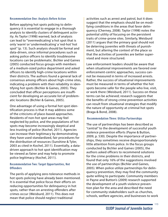### **Recommendation One: Analysis Before Action**

Before applying hot spots policing to delinquency it is essential to engage in a thorough analysis to identify clusters of delinquent activity. As Taylor (1998) warned, lack of analysis can lead to "'overmedicating' a hot spot that is only 'warm' or 'undermedicating' a 'red-hot' hot spot" (p. 13). Such analysis should be formal and data-driven, since informal procedures such as asking police officers to identify troublesome locations can be problematic. Bichler and Gaines (2005) conducted focus groups with members of a medium-sized police department and asked officers to identify high-crime locations within their districts. The authors found a general lack of consensus among officers about high-crime sites, indicating a problem with their reliability in identifying hot spots (Bichler & Gaines, 2005). They concluded that officer perceptions are insufficient for developing an accurate list of problematic locations (Bichler & Gaines, 2005).

One advantage of using a formal hot spot identification process is that it may address some of the criticisms of place-based approaches. Residents of non-hot spot areas may feel neglected by police, and the populations of hot spots may become increasingly skeptical and less trusting of police (Kochel, 2011). Agencies can increase their legitimacy by demonstrating they have used standardized, fair procedures for the distribution of resources (Sunshine & Tyler, 2003 as cited in Kochel, 2011). Essentially, a datadriven approach to hot spot identification may be viewed as fairer and may help to promote police legitimacy (Kochel, 2011).

## **Recommendation Two: Target Opportunities, Not Offenders**

The perils of applying zero-tolerance methods in hot spots policing have already been mentioned. It is essential that police focus their efforts on reducing opportunities for delinquency in hot spots, rather than on arresting offenders after crimes occur (Weisburd, 2011). This does not mean that police should neglect traditional

activities such as arrest and patrol, but it does suggest that the emphasis should be on modifying conditions in the areas that favor delinquency (Cherney, 2008). Taylor (1998) notes the potential utility of focusing on the persistent traits of crime-prone sites. Similarly, Weisburd (2011) argues that the primary goal should not be deterring juveniles with threats of punishment, but altering the context of the place so that the activities of juveniles are better supervised and more structured.

Law enforcement leaders should be aware that when situational improvements are favored over enforcement-centric approaches, success cannot be measured in terms of increased arrests. Rather, the success of situational improvements must be measured in terms of whether the hot spots become safer for the people who live, visit, or work there (Weisburd, 2011). Success on these terms can be achieved; research suggests that the benefits of strong crime prevention activities can result from situational strategies that modify the nature of opportunity at criminal hot spots (Braga & Bond, 2008).

### **Recommendation Three: Utilize Partnerships**

The use of partnerships has been described as "central" to the development of successful youth violence prevention efforts (Payne & Button, 2009, p. 530). Despite the importance of partnerships, they sometimes receive disproportionately little attention from police. In the focus groups conducted by Bichler and Gaines (2005), the authors asked officers to recommend solutions for the crime problems in their districts, and found that only 16% of the suggestions involved the use of partnerships (Bichler and Gaines, 2005). When police utilize partnerships for delinquency prevention, they may find the community quite willing to participate. Community members in Payne and Button's (2009) research supported the development of a youth violence prevention plan for the area and described the need for community stakeholders such as churches, schools, welfare agencies, and businesses to work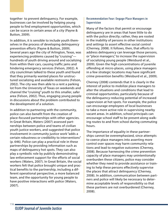together to prevent delinquency. For example, businesses can be involved by helping young people to find employment opportunities, which can be scarce in certain areas of a city (Payne & Button, 2009).

In addition, it is sensible to include youth themselves in the process of developing delinquency prevention efforts (Payne & Button, 2009). Several years ago the city of Arlington, Texas, was experiencing problems caused by "cruising" hundreds of youth driving around and socializing from within their cars, causing traffic jams and hindering emergency services (Felson, 2002). A city councilman talked to these youth and found that they primarily wanted places for unstructured socializing and available restrooms (Felson, 2002). The city was then able to a rent a parking lot from the University of Texas on weekends and channel the "cruising" youth to this smaller, safer area (Felson, 2002). Thus, engaging young people in discussions about the problem contributed to the development of a solution.

In addition to partnering with the community, police can also benefit from the creation of place-focused partnerships with other agencies. In Great Britain, Waters (2007) assessed partnerships between police and teams of civilian youth justice workers, and suggested that police involvement in community justice work "adds a certain robustness or credibility to interventions" (p. 646). Police can play a practical role in these partnerships by providing information such as maps of delinquency hot spots. They can also play a symbolic role by publicly demonstrating law enforcement support for the efforts of social workers (Waters, 2007). In Great Britain, the social workers felt that police brought unique and practical benefits to the partnership, including a different operational perspective, a more balanced team, and the opportunity for young people to have positive interactions with police (Waters, 2007).

## **Recommendation Four: Engage Place Managers in Supervision**

Many of the factors that permit or encourage delinquency are in areas that have little to do with the police directly; rather, they are rooted in the inability of persons in other institutions and settings to assert effective social control (Cherney, 2008). It follows, then, that efforts to address delinquency can leverage those persons, or "place managers," to increase the supervision of socializing young people (Weisburd et al., 2009). Given the high concentrations of juvenile offending at micro-places, using place managers in a few strategic locations may have significant crime prevention benefits (Weisburd et al., 2009).

Cherney (2008) contends that it is clearly in the interest of police to mobilize place managers to alter the situations and conditions that lead to criminal opportunities, particularly because of the delinquency-reducing potential of increased supervision at hot spots. For example, the police can encourage employees of local businesses to take a more active role in supervising nearby vacant areas. In addition, school principals can encourage school staff to be present along walking routes to and from school during commuting hours.

The importance of equality in these partnerships cannot be overemphasized, since attempts to coerce place managers into asserting more control over spaces may harm community relations and lead to negative outcomes (Cherney, 2008). Because harnessing the crime prevention capacity of place managers may unintentionally overburden these citizens, police may consider whether they need to provide assistance or training to help these persons effectively supervise the places that attract delinquency (Cherney, 2008). In addition, communication between partners and police will likely be necessary to determine acceptable levels of responsibility so that these partners are not overburdened (Cherney, 2008).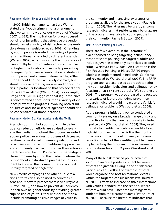### **Recommendation Five: Use Multi-Modal Interventions**

In 2002, British parliamentarian Lord Warner stated that "youth crime is not a phenomenon that we can simply police our way out of" (Waters, 2007, p. 635). The implication for place-focused policing of juveniles is that effective prevention should target a variety of risk factors across multiple domains (Weisburd et al., 2008). Offending by young people is rooted in a variety of problems traditionally handled by different agencies (Waters, 2007), which supports the importance of using multiple forms of intervention at particular high-crime locations. Essentially, preventing delinquency requires a combination of strategies, not improved enforcement alone (White, 2004). Efforts should not be exclusively coercive, but should involve targeting services and opportunities in particular locations so that pro-social alternatives are available (White, 2004). For example, Braga et al. (2010) suggested that if gun violence is concentrated at hot spots, then a variety of violence prevention programs involving both criminal justice and social service agencies should also be concentrated at those locations.

### **Recommendation Six: Communicate Via the Media**

Agencies utilizing hot spots policing in delinquency reduction efforts are advised to leverage the media throughout the process. As noted above, police can address problems of decreased legitimacy, weakened community relations, and racial tensions by using broad-based approaches and community partnerships rather than enforcement-centered tactics. Police can further mitigate these problems by using the media to inform the public about a data-driven process for hot spot identification so that communities do not feel unfairly targeted or neglected.

News media campaigns and other public relations efforts can also be used to educate citizens about how to protect themselves (Payne & Button, 2009), and how to prevent delinquency in their own neighborhoods by providing greater supervision of youth. Other uses for the media include promoting positive images of youth in

the community and increasing awareness of programs available for the area's youth (Payne & Button, 2009). The latter may be useful, as some research indicates that residents may be unaware of the programs available to young people in their community (Payne & Button, 2009).

#### **Risk-Focused Policing at Places**

There are few examples in the literature of place-focused policing targeting delinquency; most hot spots policing has targeted adults and includes juvenile crime only as it relates to adult crime (Weisburd et al., 2008). An exception is the Risk-Focused Policing at Places (RFPP) program, which was implemented in Redlands, California and reviewed by Weisburd et al. (2008). The RFPP program took a place-based approach to reducing youth problem behaviors and delinquency by focusing on at-risk census blocks (Weisburd et al., 2008). The program was broad-based and focused on a variety of factors that crime prevention research indicated would impact an area's risk for delinquency problems (Weisburd et al., 2008).

At the program's initiation, police conducted a community survey on a broader range of risk and protective factors than are traditionally included in police data (Weisburd et al., 2008). They used this data to identify particular census blocks at high risk for juvenile crime. Police then took a proactive approach to delinquency and crime reduction in half of the identified problem areas, implementing the program under experimental conditions for about 2 years (Weisburd et al., 2008).

Many of these risk-focused police activities sought to increase positive contact between officers and juveniles living in the at-risk areas (Weisburd et al., 2008). For example, officers would organize and host recreational events within the targeted census blocks (Weisburd et al., 2008). Efforts to increase positive interactions with youth extended into the schools, where officers would have lunchtime meetings with students from the treatment areas (Weisburd et al., 2008). Because the literature indicates that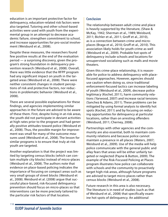education is an important protective factor for delinquency, education-related risk factors were also targeted. Tutoring and other school-based activities were used with youth from the experimental group in an attempt to decrease academic failure, strengthen commitment to school, and increase opportunities for pro-social involvement (Weisburd et al., 2008).

Despite these measures, the researchers found few positive results at the end of the evaluation period — a surprising discovery, given the program's strong foundation in delinquency prevention research (Weisburd et al., 2008). Overall, there was little evidence that the RFPP program had any significant impact on youth in the targeted areas (Weisburd et al., 2008). There were neither consistent changes in student perceptions of risk and protective factors, nor reductions in problematic behavior (Weisburd et al., 2008).

There are several possible explanations for these findings, and agencies implementing similar approaches in the future are advised to be aware of these them. First, despite living in at-risk areas, the youth did not participate in deviant activities at high rates prior to the program and had generally positive attitudes toward police (Weisburd et al., 2008). Thus, the possible margin for improvement was small for many of the outcome measures used (Weisburd et al., 2008). The lesson for similar programs is to ensure that truly at-risk youth are targeted.

Another explanation is that the project was limited by targeting census blocks (which can contain multiple city blocks) instead of micro-places (Weisburd et al., 2008). The authors note that evidence on place-based policing indicates the importance of focusing on compact areas such as very small groups of street blocks (Weisburd et al., 2008). Weisburd et al. (2008) argue that successful place-based, risk-focused delinquency prevention should focus on micro-places so that interventions can be more precisely tailored to the particular risk factors of that location.

## **Conclusion**

The relationship between adult crime and place is heavily supported by the literature, (Shaw & McKay, 1942; Sherman et al., 1989; Weisburd, 2011; Bichler et al., 2011; Groff et al., 2010), as is a connection between crime and microplaces (Braga et al., 2010; Groff et al., 2010). This association likely holds for youth crime as well (Weisburd et al., 2009). Probable hot spots of delinquency include schools and locations for unsupervised socializing such as malls and movie theaters.

Given this crime-place relationship, it is reasonable for police to address delinquency with placefocused approaches. However, agencies should use caution when doing so, since traditional enforcement-focused tactics can increase labeling of youth (Weisburd et al., 2009), decrease police legitimacy (Kochel, 2011), harm community relations (Yarwood, 2007) and increase racial tensions (Sanchez & Adams, 2011). These problems can be mitigated by using formal analysis to identify hot spots (Kochel, 2011) and by focusing on reducing opportunities for delinquency at particular locations, rather than on arresting offenders (Weisburd, 2011; Cherney, 2008).

Partnerships with other agencies and the community are also essential, both to maintain community relations and because police cannot maintain a presence in all places (Waters, 2007; Weisburd et al., 2009). Use of the media will help police communicate with the general public and allay fears that areas will be either unfairly targeted or neglected (Payne & Button, 2009). The example of the Risk-Focused Policing at Places program illustrates how police can collaborate with schools and the community to proactively target high-risk areas, although future programs are advised to target micro-places rather than census blocks (Weisburd et al., 2008).

Future research in this area is also necessary. The literature is in need of studies (such as that of Weisburd et al., 2008) that specifically examine hot spots of delinquency. An additional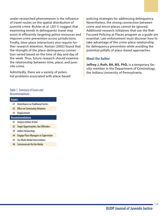under-researched phenomenon is the influence of travel routes on the spatial distribution of juvenile crime. Bichler et al. (2011) suggest that examining trends in delinquents' travel may assist in efficiently targeting police resources and improve crime prevention across jurisdictions. Finally, time-place interactions also require further research attention. Roman (2002) found that the strength of the place-delinquency connection varied based on the time of day and day of the week. Thus, future research should examine the relationship between time, place, and juvenile crime.

Admittedly, there are a variety of potential problems associated with place-based

## policing strategies for addressing delinquency. Nevertheless, the strong connection between crime and micro-places cannot be ignored. Additional research initiatives that use the Risk-Focused Policing at Places program as a guide are essential. Law enforcement must discover how to take advantage of the crime-place relationship for delinquency prevention while avoiding the potential pitfalls of place-based approaches.

## **About the Author**

**Jeffrey J. Roth, BA, MS, PhD,** is a temporary faculty member in the Department of Criminology, the Indiana University of Pennsylvania.

#### Table 1. *Summary of Issues and Recommendations*

#### **Issues:**

- #1 Overreliance on Traditional Tactics
- #2 Effect on Community Relations
- #3 Displacement

#### **Recommendations**

- #1 Analysis Before Action
- #2 Target Opportunities, Not Offenders
- #3 Utilize Partnerships
- #4 Engage Place Managers in Supervision
- #5 Use Multi-Modal Interventions
- #6 Communicate Via the Media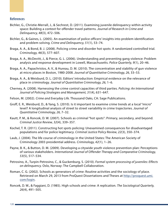## **References**

- Bichler, G., Christie-Merrall, J., & Sechrest, D. (2011). Examining juvenile delinquency within activity space: Building a context for offender travel patterns. *Journal of Research in Crime and Delinquency, 48*(3), 472–506.
- Bichler, G., & Gaines, L. (2005). An examination of police officers' insights into problem identification and problem solving. *Crime and Delinquency, 51*(1), 53–74.
- Braga, A. A., & Bond, B. J. (2008). Policing crime and disorder hot spots: A randomized controlled trial. *Criminology, 46*(3), 577–607.
- Braga, A. A., McDevitt, J., & Pierce, G. L. (2006). Understanding and preventing gang violence: Problem analysis and response development in Lowell, Massachusetts. *Police Quarterly, 9*(1), 20–46.
- Braga, A. A., Papachristos, A. V., & Hureau, D. M. (2010). The concentration and stability of gun violence at micro places in Boston, 1980-2008. *Journal of Quantitative Criminology, 26,* 33–53.
- Braga, A. A., & Weisburd, D. L. (2010). Editors' introduction: Empirical evidence on the relevance of place in criminology. *Journal of Quantitative Criminology, 26,* 1–6.
- Cherney, A. (2008). Harnessing the crime control capacities of third parties. *Policing: An International Journal of Policing Strategies and Management, 31*(4), 631–647.
- Felson, M. (2002). *Crime and Everyday Life.* Thousand Oaks, CA: Sage Publications.
- Groff, E. R., Weisburd, D., & Yang, S. (2010). Is it important to examine crime trends at a local "micro" level? A longitudinal analysis of street to street variability in crime trajectories. *Journal of Quantitative Criminology, 26,* 7–32.
- Kautt, P. M., & Roncek, D. W. (2007). Schools as criminal "hot spots": Primary, secondary, and beyond. *Criminal Justice Review, 32*(4), 339–357.
- Kochel, T. R. (2011). Constructing hot spots policing: Unexamined consequences for disadvantaged populations and for police legitimacy. *Criminal Justice Policy Review, 22*(3), 350–374.
- Laub, J. (2004). The life course of criminology in the United States: The American Society of Criminology 2003 presidential address. *Criminology, 42*(1), 1–26.
- Payne, B. K., & Button, D. M. (2009). Developing a citywide youth violence prevention plan: Perceptions of various stakeholders. *International Journal of Offender Therapy and Comparative Criminology, 53*(5), 517–534.
- Petrosino, A., Turpin-Petrosino, C., & Guckenburg, S. (2010). *Formal system processing of juveniles: Effects on delinquency.* Oslo, Norway: The Campbell Collaboration.
- Roman, C. G. (2002). Schools as generators of crime: Routine activities and the sociology of place. Retrieved on March 29, 2013 from ProQuest Dissertations and Theses at [http://proquest.umi.](http://proquest.umi.com/login) [com/login](http://proquest.umi.com/login).
- Roncek, D. W., & Faggiani, D. (1985). High schools and crime: A replication. *The Sociological Quarterly, 26*(4), 491–505.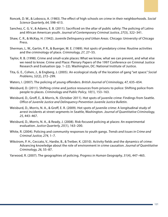- Roncek, D. W., & Lobosco, A. (1983). The effect of high schools on crime in their neighborhoods. *Social Science Quarterly, 64,* 598–613.
- Sanchez, C. G. V., & Adams, E. B. (2011). Sacrificed on the altar of public safety: The policing of Latino and African American youth. *Journal of Contemporary Criminal Justice, 27*(3), 322–341.
- Shaw, C. R., & McKay, H. (1942). *Juvenile Delinquency and Urban Areas*. Chicago: University of Chicago Press.
- Sherman, L. W., Gartin, P. R., & Buerger, M. E. (1989). Hot spots of predatory crime: Routine activities and the criminology of place. *Criminology, 27*, 27–55.
- Taylor, R. B. (1998). Crime and small-scale places: What we know, what we can prevent, and what else we need to know. Crime and Place: Plenary Papers of the 1997 Conference on Criminal Justice Research and Evaluation (pp. 1–22). Washington, DC: National Institute of Justice.
- Tita, G. E., Cohen, J., & Engberg, J. (2005). An ecological study of the location of gang "set space." *Social Problems, 52*(2), 272–299.
- Waters, I. (2007). The policing of young offenders. *British Journal of Criminology, 47,* 635–654.
- Weisburd, D. (2011). Shifting crime and justice resources from prisons to police: Shifting police from people to places. *Criminology and Public Policy, 10*(1), 153–163.
- Weisburd, D., Groff, E., & Morris, N. (October 2011). Hot spots of juvenile crime: Findings from Seattle. *Office of Juvenile Justice and Delinquency Prevention Juvenile Justice Bulletin*.
- Weisburd, D., Morris, N. A., & Groff, E. R. (2009). Hot spots of juvenile crime: A longitudinal study of arrest incidents at street segments in Seattle, Washington. *Journal of Quantitative Criminology, 25,* 443–467.
- Weisburd, D., Morris, N. A., & Ready, J. (2008). Risk-focused policing at places: An experimental evaluation. *Justice Quarterly, 25*(1), 163–200.
- White, R. (2004). Policing and community responses to youth gangs. *Trends and Issues in Crime and Criminal Justice, 274,* 1–7*.*
- Wikstrom, P. H., Ceccato, V., Hardie, B., & Treiber, K. (2010). Activity fields and the dynamics of crime: Advancing knowledge about the role of environment in crime causation. *Journal of Quantitative Criminology, 26,* 55–87.
- Yarwood, R. (2007). The geographies of policing. *Progress in Human Geography, 31*(4), 447–465.